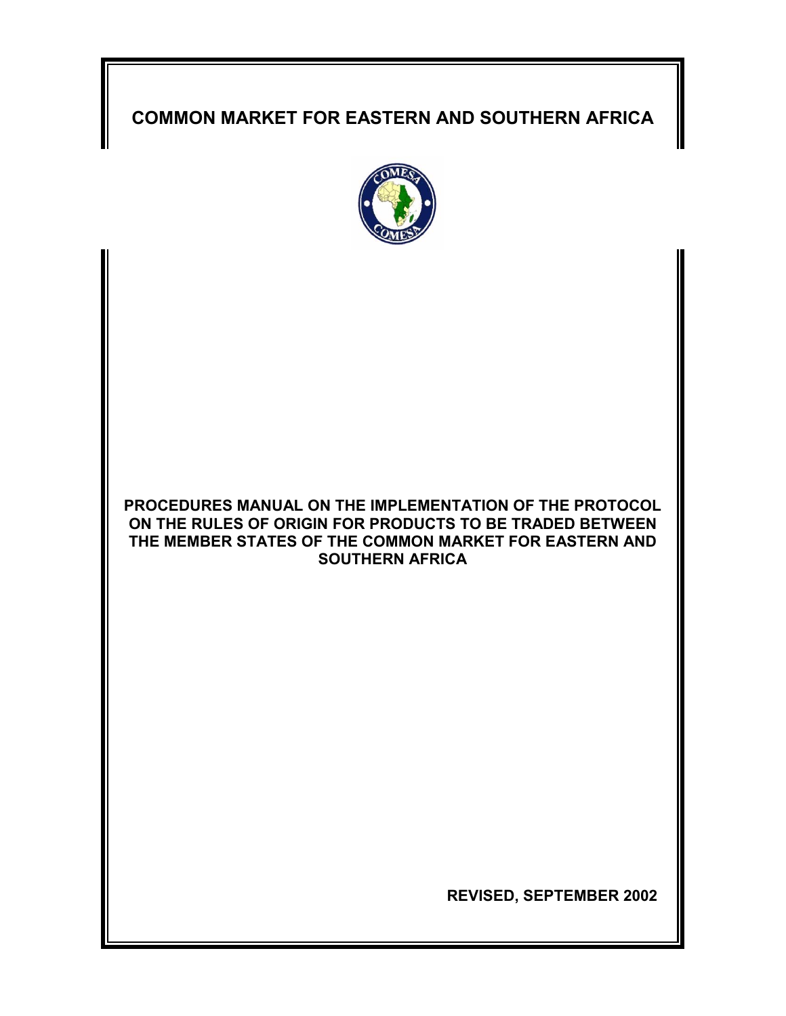# **COMMON MARKET FOR EASTERN AND SOUTHERN AFRICA**



# **PROCEDURES MANUAL ON THE IMPLEMENTATION OF THE PROTOCOL ON THE RULES OF ORIGIN FOR PRODUCTS TO BE TRADED BETWEEN THE MEMBER STATES OF THE COMMON MARKET FOR EASTERN AND SOUTHERN AFRICA**

 **REVISED, SEPTEMBER 2002**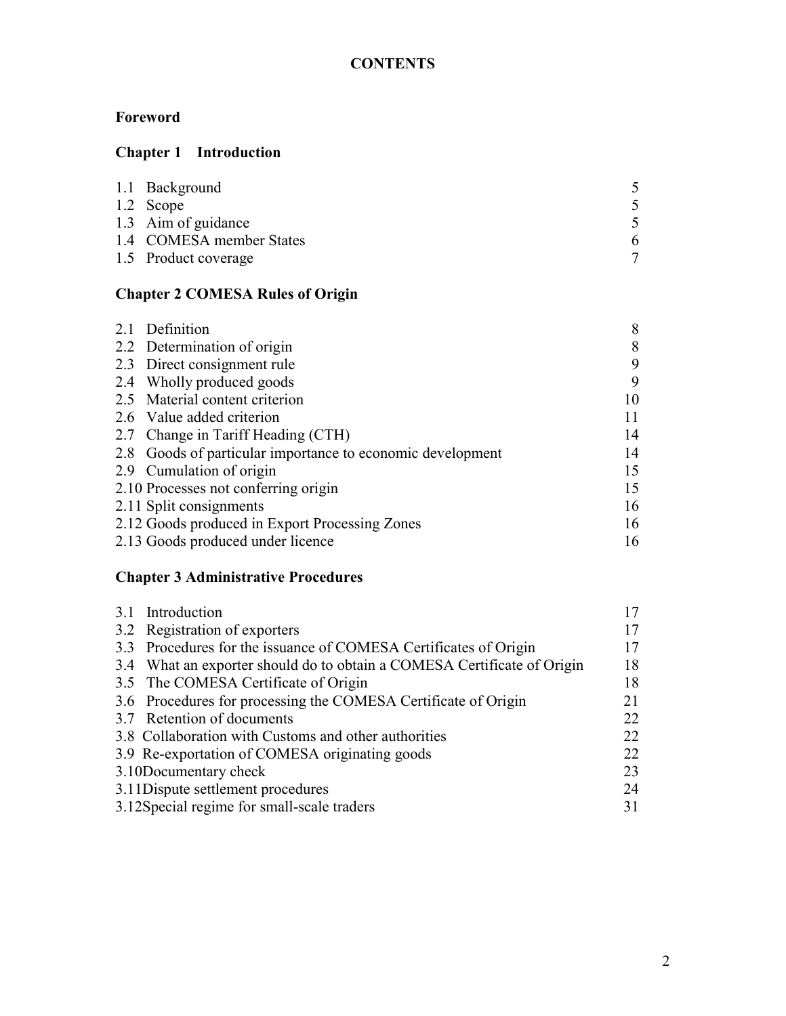# **Foreword**

# **Chapter 1 Introduction**

| 1.1 Background           |   |
|--------------------------|---|
| 1.2 Scope                |   |
| 1.3 Aim of guidance      |   |
| 1.4 COMESA member States | 6 |
| 1.5 Product coverage     |   |

# **Chapter 2 COMESA Rules of Origin**

| 2.1 Definition                                         | 8  |
|--------------------------------------------------------|----|
| 2.2 Determination of origin                            | 8  |
| 2.3 Direct consignment rule                            | 9  |
| 2.4 Wholly produced goods                              | 9  |
| 2.5 Material content criterion                         | 10 |
| 2.6 Value added criterion                              | 11 |
| 2.7 Change in Tariff Heading (CTH)                     | 14 |
| Goods of particular importance to economic development | 14 |
| 2.9 Cumulation of origin                               | 15 |
| 2.10 Processes not conferring origin                   | 15 |
| 2.11 Split consignments                                | 16 |
| 2.12 Goods produced in Export Processing Zones         | 16 |
| 2.13 Goods produced under licence                      | 16 |
|                                                        |    |

# **Chapter 3 Administrative Procedures**

| 3.1 Introduction                                                        |    |
|-------------------------------------------------------------------------|----|
| 3.2 Registration of exporters                                           |    |
| 3.3 Procedures for the issuance of COMESA Certificates of Origin        |    |
| 3.4 What an exporter should do to obtain a COMESA Certificate of Origin | 18 |
| 3.5 The COMESA Certificate of Origin                                    | 18 |
| 3.6 Procedures for processing the COMESA Certificate of Origin          | 21 |
| 3.7 Retention of documents                                              | 22 |
| 3.8 Collaboration with Customs and other authorities                    | 22 |
| 3.9 Re-exportation of COMESA originating goods                          | 22 |
| 3.10Documentary check                                                   | 23 |
| 3.11 Dispute settlement procedures                                      | 24 |
| 3.12Special regime for small-scale traders                              | 31 |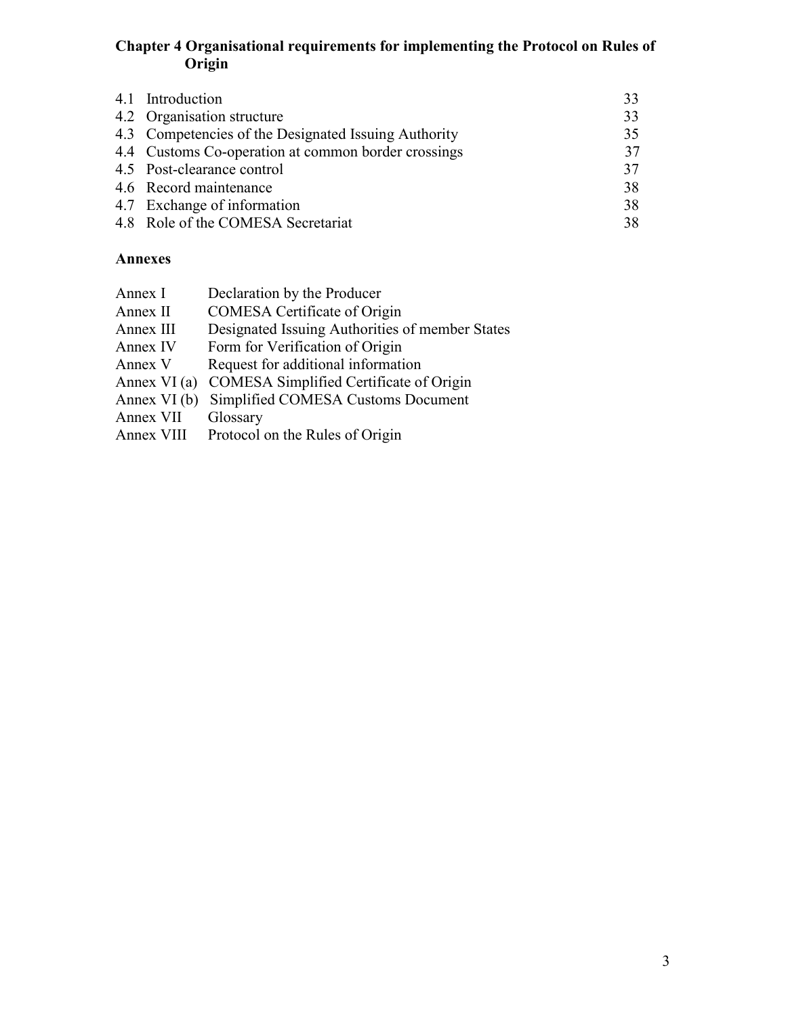#### **Chapter 4 Organisational requirements for implementing the Protocol on Rules of Origin**

| 4.1 Introduction                                     | 33 |
|------------------------------------------------------|----|
| 4.2 Organisation structure                           | 33 |
| 4.3 Competencies of the Designated Issuing Authority | 35 |
| 4.4 Customs Co-operation at common border crossings  | 37 |
| 4.5 Post-clearance control                           | 37 |
| 4.6 Record maintenance                               | 38 |
| 4.7 Exchange of information                          | 38 |
| 4.8 Role of the COMESA Secretariat                   | 38 |
|                                                      |    |

### **Annexes**

| Annex I      | Declaration by the Producer                     |
|--------------|-------------------------------------------------|
| Annex II     | <b>COMESA</b> Certificate of Origin             |
| Annex III    | Designated Issuing Authorities of member States |
| Annex IV     | Form for Verification of Origin                 |
| Annex V      | Request for additional information              |
| Annex VI (a) | COMESA Simplified Certificate of Origin         |
| Annex VI (b) | Simplified COMESA Customs Document              |
| Annex VII    | Glossary                                        |
| Annex VIII   | Protocol on the Rules of Origin                 |
|              |                                                 |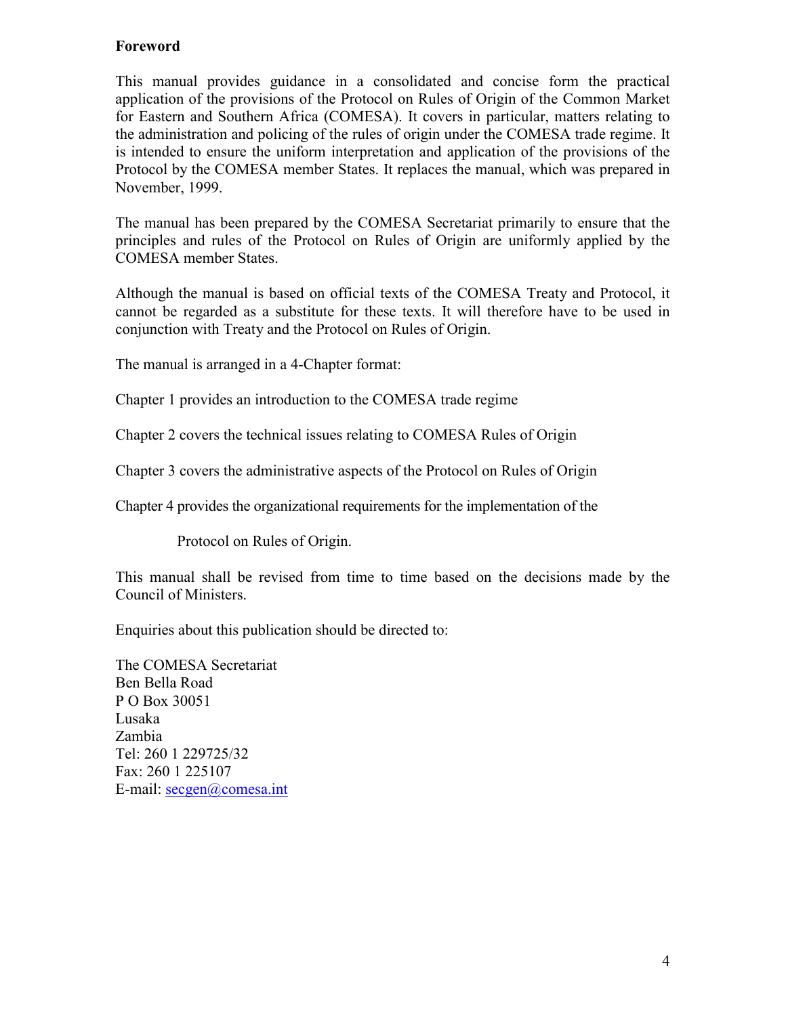### **Foreword**

This manual provides guidance in a consolidated and concise form the practical application of the provisions of the Protocol on Rules of Origin of the Common Market for Eastern and Southern Africa (COMESA). It covers in particular, matters relating to the administration and policing of the rules of origin under the COMESA trade regime. It is intended to ensure the uniform interpretation and application of the provisions of the Protocol by the COMESA member States. It replaces the manual, which was prepared in November, 1999.

The manual has been prepared by the COMESA Secretariat primarily to ensure that the principles and rules of the Protocol on Rules of Origin are uniformly applied by the COMESA member States.

Although the manual is based on official texts of the COMESA Treaty and Protocol, it cannot be regarded as a substitute for these texts. It will therefore have to be used in conjunction with Treaty and the Protocol on Rules of Origin.

The manual is arranged in a 4-Chapter format:

Chapter 1 provides an introduction to the COMESA trade regime

Chapter 2 covers the technical issues relating to COMESA Rules of Origin

Chapter 3 covers the administrative aspects of the Protocol on Rules of Origin

Chapter 4 provides the organizational requirements for the implementation of the

Protocol on Rules of Origin.

This manual shall be revised from time to time based on the decisions made by the Council of Ministers.

Enquiries about this publication should be directed to:

The COMESA Secretariat Ben Bella Road P O Box 30051 Lusaka Zambia Tel: 260 1 229725/32 Fax: 26[0 1 225107](mailto:secgen@comesa.int) E-mail: secgen@comesa.int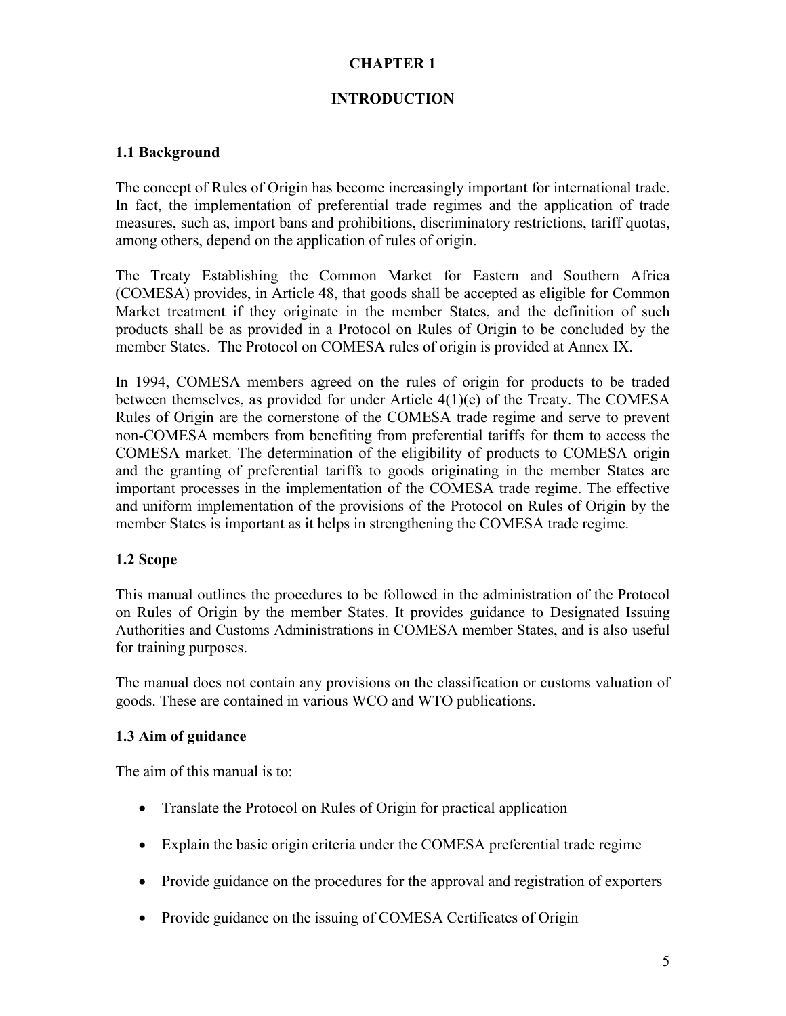### **CHAPTER 1**

#### **INTRODUCTION**

#### **1.1 Background**

The concept of Rules of Origin has become increasingly important for international trade. In fact, the implementation of preferential trade regimes and the application of trade measures, such as, import bans and prohibitions, discriminatory restrictions, tariff quotas, among others, depend on the application of rules of origin.

The Treaty Establishing the Common Market for Eastern and Southern Africa (COMESA) provides, in Article 48, that goods shall be accepted as eligible for Common Market treatment if they originate in the member States, and the definition of such products shall be as provided in a Protocol on Rules of Origin to be concluded by the member States. The Protocol on COMESA rules of origin is provided at Annex IX.

In 1994, COMESA members agreed on the rules of origin for products to be traded between themselves, as provided for under Article 4(1)(e) of the Treaty. The COMESA Rules of Origin are the cornerstone of the COMESA trade regime and serve to prevent non-COMESA members from benefiting from preferential tariffs for them to access the COMESA market. The determination of the eligibility of products to COMESA origin and the granting of preferential tariffs to goods originating in the member States are important processes in the implementation of the COMESA trade regime. The effective and uniform implementation of the provisions of the Protocol on Rules of Origin by the member States is important as it helps in strengthening the COMESA trade regime.

#### **1.2 Scope**

This manual outlines the procedures to be followed in the administration of the Protocol on Rules of Origin by the member States. It provides guidance to Designated Issuing Authorities and Customs Administrations in COMESA member States, and is also useful for training purposes.

The manual does not contain any provisions on the classification or customs valuation of goods. These are contained in various WCO and WTO publications.

#### **1.3 Aim of guidance**

The aim of this manual is to:

- Translate the Protocol on Rules of Origin for practical application
- Explain the basic origin criteria under the COMESA preferential trade regime
- Provide guidance on the procedures for the approval and registration of exporters
- Provide guidance on the issuing of COMESA Certificates of Origin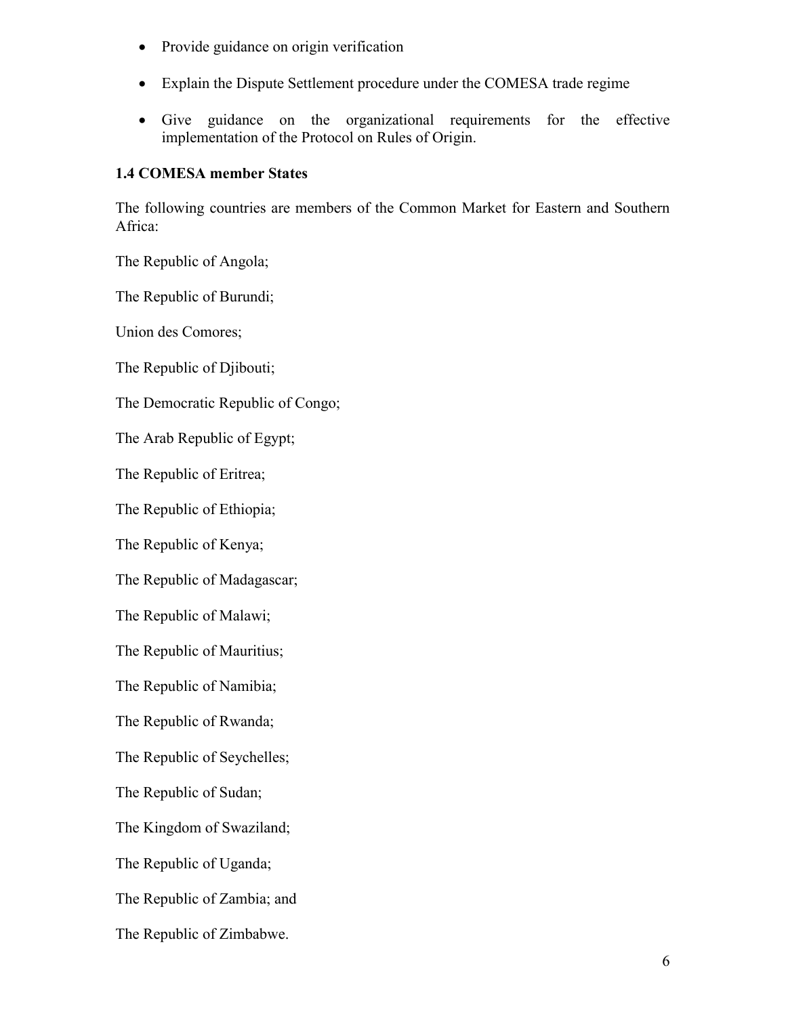- Provide guidance on origin verification
- Explain the Dispute Settlement procedure under the COMESA trade regime
- Give guidance on the organizational requirements for the effective implementation of the Protocol on Rules of Origin.

#### **1.4 COMESA member States**

The following countries are members of the Common Market for Eastern and Southern Africa:

The Republic of Angola;

The Republic of Burundi;

Union des Comores;

The Republic of Djibouti;

The Democratic Republic of Congo;

The Arab Republic of Egypt;

The Republic of Eritrea;

The Republic of Ethiopia;

The Republic of Kenya;

The Republic of Madagascar;

The Republic of Malawi;

The Republic of Mauritius;

The Republic of Namibia;

The Republic of Rwanda;

The Republic of Seychelles;

The Republic of Sudan;

The Kingdom of Swaziland;

The Republic of Uganda;

The Republic of Zambia; and

The Republic of Zimbabwe.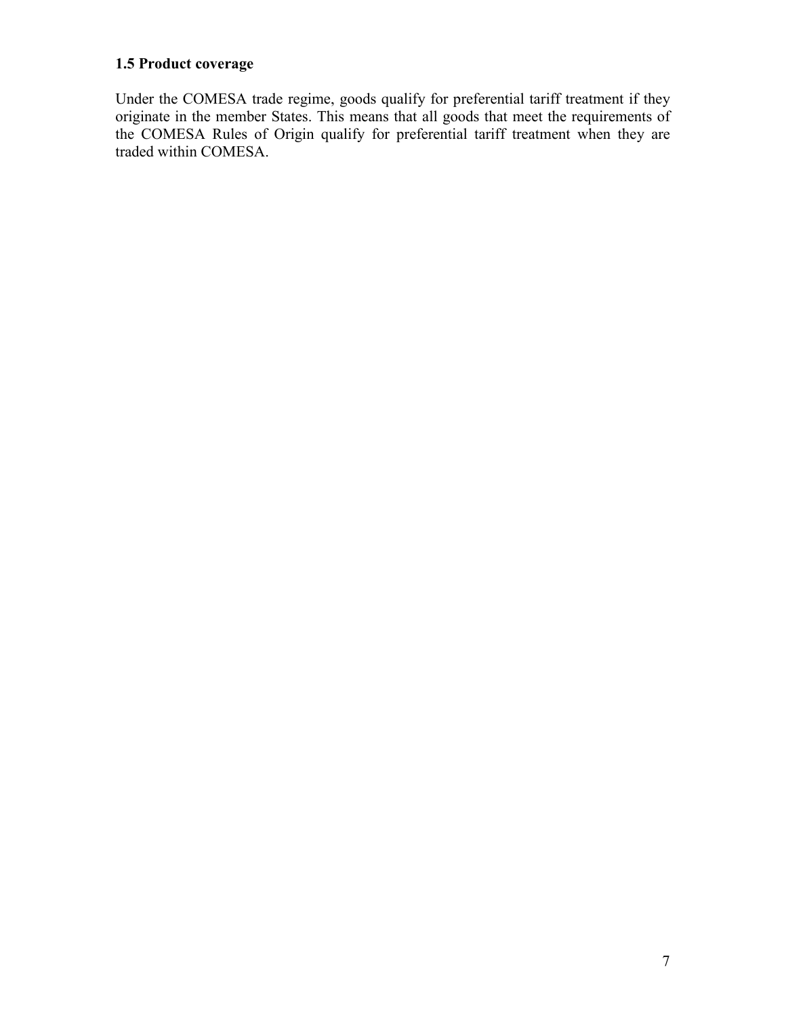# **1.5 Product coverage**

Under the COMESA trade regime, goods qualify for preferential tariff treatment if they originate in the member States. This means that all goods that meet the requirements of the COMESA Rules of Origin qualify for preferential tariff treatment when they are traded within COMESA.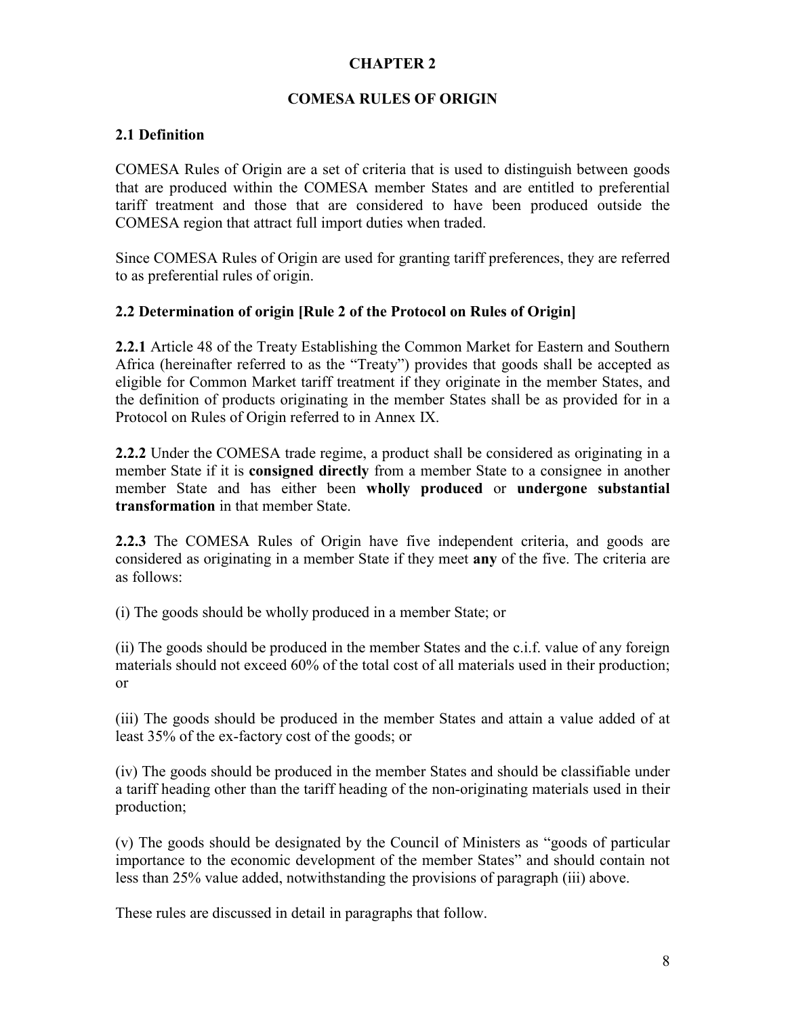#### **CHAPTER 2**

#### **COMESA RULES OF ORIGIN**

#### **2.1 Definition**

COMESA Rules of Origin are a set of criteria that is used to distinguish between goods that are produced within the COMESA member States and are entitled to preferential tariff treatment and those that are considered to have been produced outside the COMESA region that attract full import duties when traded.

Since COMESA Rules of Origin are used for granting tariff preferences, they are referred to as preferential rules of origin.

#### **2.2 Determination of origin [Rule 2 of the Protocol on Rules of Origin]**

**2.2.1** Article 48 of the Treaty Establishing the Common Market for Eastern and Southern Africa (hereinafter referred to as the "Treaty") provides that goods shall be accepted as eligible for Common Market tariff treatment if they originate in the member States, and the definition of products originating in the member States shall be as provided for in a Protocol on Rules of Origin referred to in Annex IX.

**2.2.2** Under the COMESA trade regime, a product shall be considered as originating in a member State if it is **consigned directly** from a member State to a consignee in another member State and has either been **wholly produced** or **undergone substantial transformation** in that member State.

**2.2.3** The COMESA Rules of Origin have five independent criteria, and goods are considered as originating in a member State if they meet **any** of the five. The criteria are as follows:

(i) The goods should be wholly produced in a member State; or

(ii) The goods should be produced in the member States and the c.i.f. value of any foreign materials should not exceed 60% of the total cost of all materials used in their production; or

(iii) The goods should be produced in the member States and attain a value added of at least 35% of the ex-factory cost of the goods; or

(iv) The goods should be produced in the member States and should be classifiable under a tariff heading other than the tariff heading of the non-originating materials used in their production;

(v) The goods should be designated by the Council of Ministers as "goods of particular importance to the economic development of the member States" and should contain not less than 25% value added, notwithstanding the provisions of paragraph (iii) above.

These rules are discussed in detail in paragraphs that follow.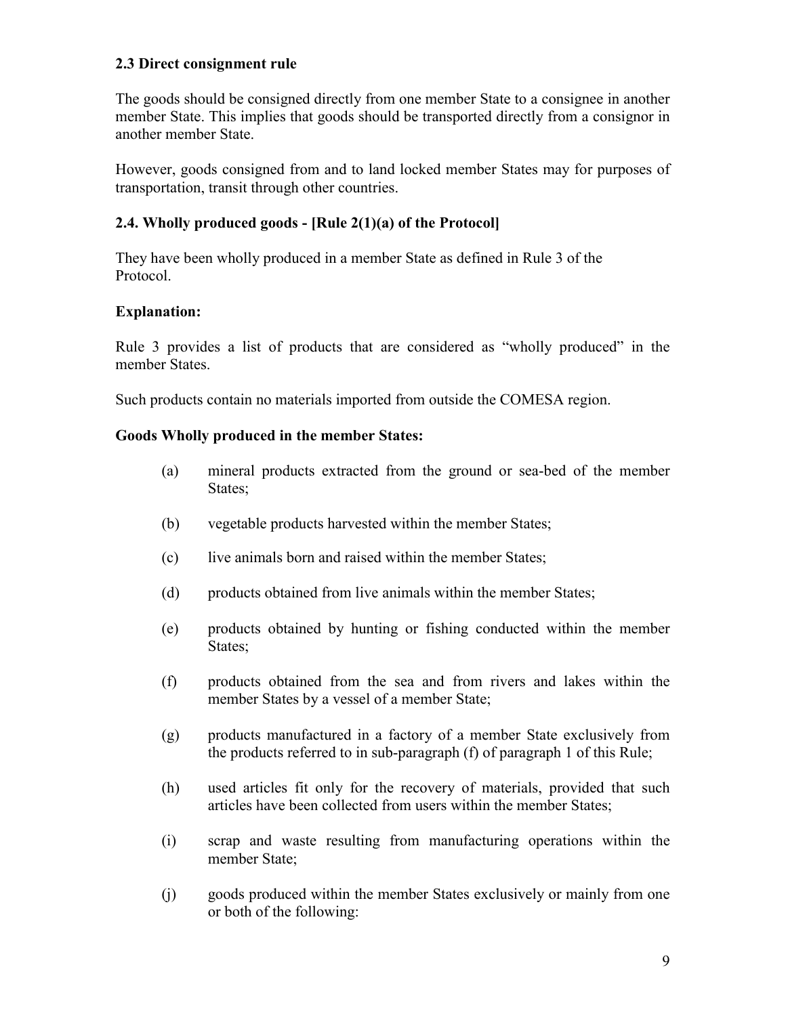#### **2.3 Direct consignment rule**

The goods should be consigned directly from one member State to a consignee in another member State. This implies that goods should be transported directly from a consignor in another member State.

However, goods consigned from and to land locked member States may for purposes of transportation, transit through other countries.

#### **2.4. Wholly produced goods - [Rule 2(1)(a) of the Protocol]**

They have been wholly produced in a member State as defined in Rule 3 of the Protocol.

#### **Explanation:**

Rule 3 provides a list of products that are considered as "wholly produced" in the member States.

Such products contain no materials imported from outside the COMESA region.

#### **Goods Wholly produced in the member States:**

- (a) mineral products extracted from the ground or sea-bed of the member States;
- (b) vegetable products harvested within the member States;
- (c) live animals born and raised within the member States;
- (d) products obtained from live animals within the member States;
- (e) products obtained by hunting or fishing conducted within the member States;
- (f) products obtained from the sea and from rivers and lakes within the member States by a vessel of a member State;
- (g) products manufactured in a factory of a member State exclusively from the products referred to in sub-paragraph (f) of paragraph 1 of this Rule;
- (h) used articles fit only for the recovery of materials, provided that such articles have been collected from users within the member States;
- (i) scrap and waste resulting from manufacturing operations within the member State;
- (j) goods produced within the member States exclusively or mainly from one or both of the following: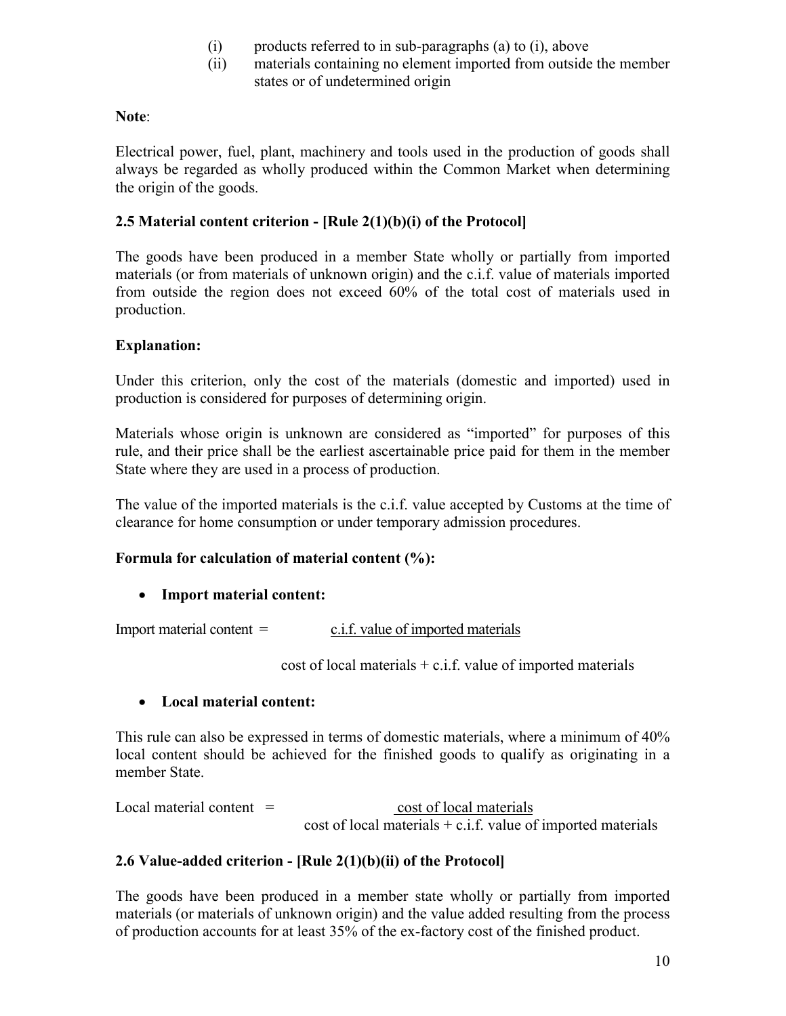- (i) products referred to in sub-paragraphs (a) to (i), above
- (ii) materials containing no element imported from outside the member states or of undetermined origin

#### **Note**:

Electrical power, fuel, plant, machinery and tools used in the production of goods shall always be regarded as wholly produced within the Common Market when determining the origin of the goods.

#### **2.5 Material content criterion - [Rule 2(1)(b)(i) of the Protocol]**

The goods have been produced in a member State wholly or partially from imported materials (or from materials of unknown origin) and the c.i.f. value of materials imported from outside the region does not exceed 60% of the total cost of materials used in production.

#### **Explanation:**

Under this criterion, only the cost of the materials (domestic and imported) used in production is considered for purposes of determining origin.

Materials whose origin is unknown are considered as "imported" for purposes of this rule, and their price shall be the earliest ascertainable price paid for them in the member State where they are used in a process of production.

The value of the imported materials is the c.i.f. value accepted by Customs at the time of clearance for home consumption or under temporary admission procedures.

#### **Formula for calculation of material content (%):**

#### **Import material content:**

 $Import$  material content  $=$  c.i.f. value of imported materials

cost of local materials  $+ c.i.f.$  value of imported materials

#### **Local material content:**

This rule can also be expressed in terms of domestic materials, where a minimum of 40% local content should be achieved for the finished goods to qualify as originating in a member State.

 $Local material content = cost of local materials$  $cost of local materials + c.i.f. value of imported materials$ 

#### **2.6 Value-added criterion - [Rule 2(1)(b)(ii) of the Protocol]**

The goods have been produced in a member state wholly or partially from imported materials (or materials of unknown origin) and the value added resulting from the process of production accounts for at least 35% of the ex-factory cost of the finished product.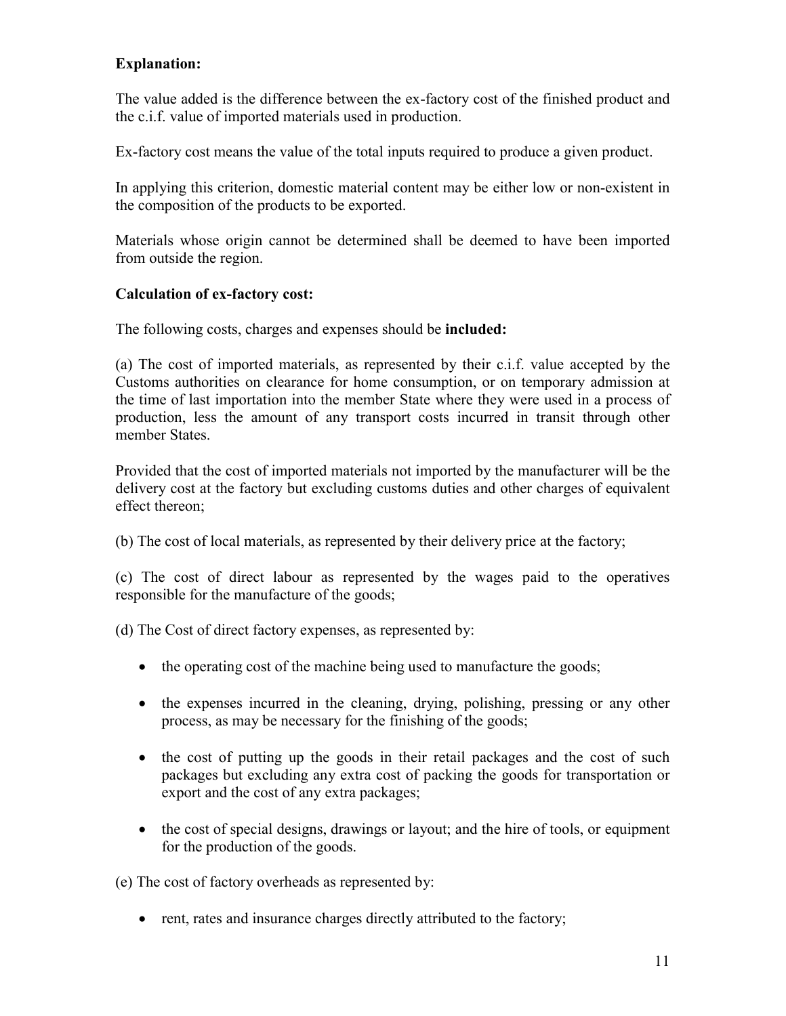# **Explanation:**

The value added is the difference between the ex-factory cost of the finished product and the c.i.f. value of imported materials used in production.

Ex-factory cost means the value of the total inputs required to produce a given product.

In applying this criterion, domestic material content may be either low or non-existent in the composition of the products to be exported.

Materials whose origin cannot be determined shall be deemed to have been imported from outside the region.

### **Calculation of ex-factory cost:**

The following costs, charges and expenses should be **included:**

(a) The cost of imported materials, as represented by their c.i.f. value accepted by the Customs authorities on clearance for home consumption, or on temporary admission at the time of last importation into the member State where they were used in a process of production, less the amount of any transport costs incurred in transit through other member States.

Provided that the cost of imported materials not imported by the manufacturer will be the delivery cost at the factory but excluding customs duties and other charges of equivalent effect thereon;

(b) The cost of local materials, as represented by their delivery price at the factory;

(c) The cost of direct labour as represented by the wages paid to the operatives responsible for the manufacture of the goods;

(d) The Cost of direct factory expenses, as represented by:

- the operating cost of the machine being used to manufacture the goods;
- the expenses incurred in the cleaning, drying, polishing, pressing or any other process, as may be necessary for the finishing of the goods;
- the cost of putting up the goods in their retail packages and the cost of such packages but excluding any extra cost of packing the goods for transportation or export and the cost of any extra packages;
- the cost of special designs, drawings or layout; and the hire of tools, or equipment for the production of the goods.

(e) The cost of factory overheads as represented by:

• rent, rates and insurance charges directly attributed to the factory;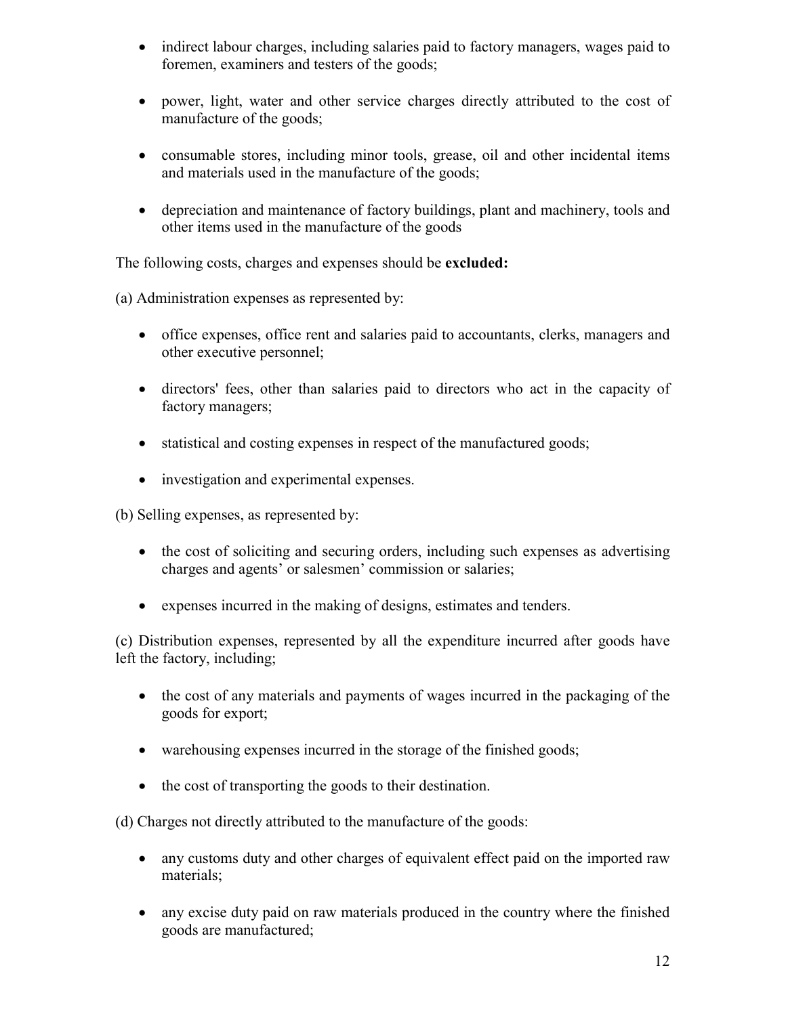- indirect labour charges, including salaries paid to factory managers, wages paid to foremen, examiners and testers of the goods;
- power, light, water and other service charges directly attributed to the cost of manufacture of the goods;
- consumable stores, including minor tools, grease, oil and other incidental items and materials used in the manufacture of the goods;
- depreciation and maintenance of factory buildings, plant and machinery, tools and other items used in the manufacture of the goods

The following costs, charges and expenses should be **excluded:**

(a) Administration expenses as represented by:

- office expenses, office rent and salaries paid to accountants, clerks, managers and other executive personnel;
- directors' fees, other than salaries paid to directors who act in the capacity of factory managers;
- statistical and costing expenses in respect of the manufactured goods;
- investigation and experimental expenses.

(b) Selling expenses, as represented by:

- the cost of soliciting and securing orders, including such expenses as advertising charges and agents' or salesmen' commission or salaries;
- expenses incurred in the making of designs, estimates and tenders.

(c) Distribution expenses, represented by all the expenditure incurred after goods have left the factory, including;

- the cost of any materials and payments of wages incurred in the packaging of the goods for export;
- warehousing expenses incurred in the storage of the finished goods;
- the cost of transporting the goods to their destination.

(d) Charges not directly attributed to the manufacture of the goods:

- any customs duty and other charges of equivalent effect paid on the imported raw materials;
- any excise duty paid on raw materials produced in the country where the finished goods are manufactured;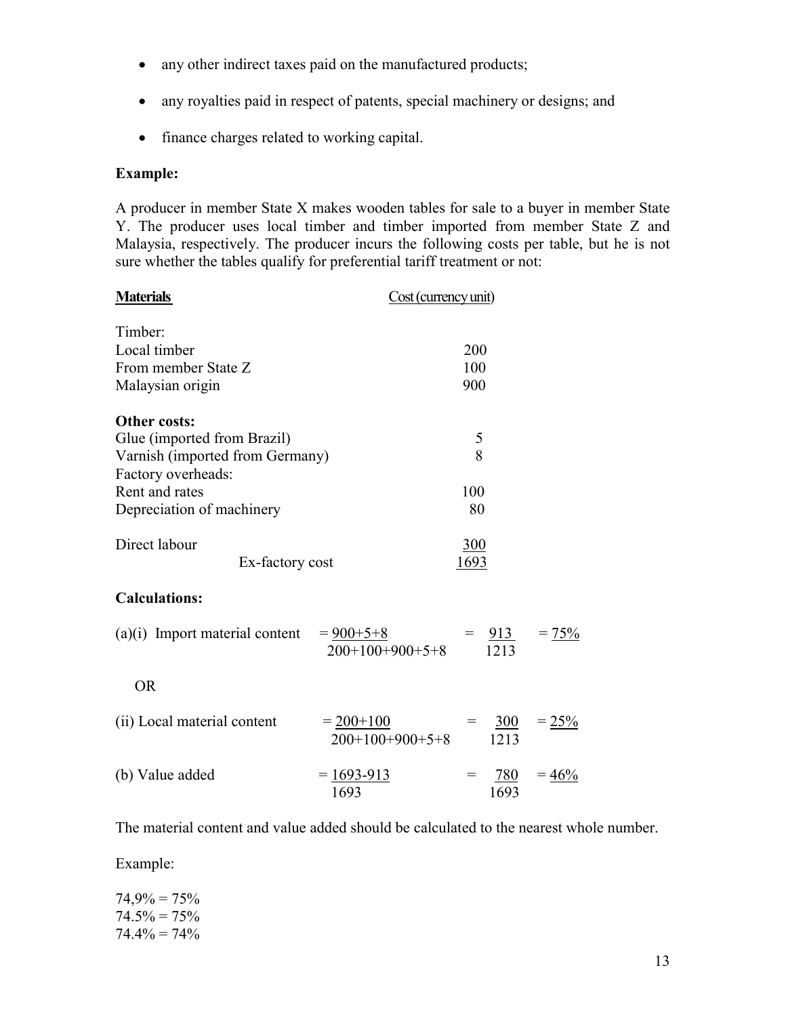- any other indirect taxes paid on the manufactured products;
- any royalties paid in respect of patents, special machinery or designs; and
- finance charges related to working capital.

#### **Example:**

A producer in member State X makes wooden tables for sale to a buyer in member State Y. The producer uses local timber and timber imported from member State Z and Malaysia, respectively. The producer incurs the following costs per table, but he is not sure whether the tables qualify for preferential tariff treatment or not:

| <b>Materials</b>                           | Cost (currency unit)               |      |                 |          |
|--------------------------------------------|------------------------------------|------|-----------------|----------|
| Timber:                                    |                                    |      |                 |          |
| Local timber                               |                                    | 200  |                 |          |
| From member State Z                        |                                    | 100  |                 |          |
| Malaysian origin                           |                                    | 900  |                 |          |
| <b>Other costs:</b>                        |                                    |      |                 |          |
| Glue (imported from Brazil)                |                                    | 5    |                 |          |
| Varnish (imported from Germany)            |                                    | 8    |                 |          |
| Factory overheads:                         |                                    |      |                 |          |
| Rent and rates                             |                                    | 100  |                 |          |
| Depreciation of machinery                  |                                    | 80   |                 |          |
| Direct labour                              |                                    | 300  |                 |          |
| Ex-factory cost                            |                                    | 1693 |                 |          |
| <b>Calculations:</b>                       |                                    |      |                 |          |
| (a)(i) Import material content $= 900+5+8$ | $200+100+900+5+8$                  |      | $= 913$<br>1213 | $= 75%$  |
| <b>OR</b>                                  |                                    |      |                 |          |
| (ii) Local material content                | $= 200 + 100$<br>$200+100+900+5+8$ | $=$  | 300<br>1213     | $= 25\%$ |
| (b) Value added                            | $= 1693 - 913$<br>1693             | $=$  | 780<br>1693     | $=46%$   |

The material content and value added should be calculated to the nearest whole number.

Example:

 $74.9\% = 75\%$  $74.5\% = 75\%$  $74.4\% = 74\%$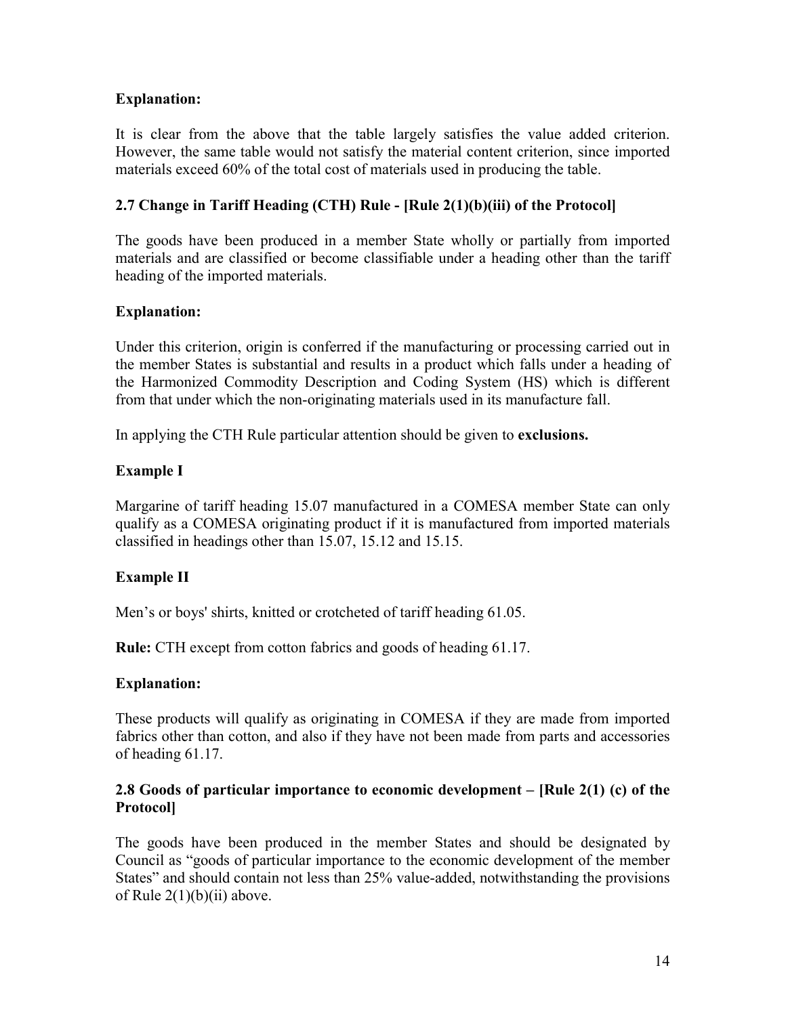### **Explanation:**

It is clear from the above that the table largely satisfies the value added criterion. However, the same table would not satisfy the material content criterion, since imported materials exceed 60% of the total cost of materials used in producing the table.

### **2.7 Change in Tariff Heading (CTH) Rule - [Rule 2(1)(b)(iii) of the Protocol]**

The goods have been produced in a member State wholly or partially from imported materials and are classified or become classifiable under a heading other than the tariff heading of the imported materials.

#### **Explanation:**

Under this criterion, origin is conferred if the manufacturing or processing carried out in the member States is substantial and results in a product which falls under a heading of the Harmonized Commodity Description and Coding System (HS) which is different from that under which the non-originating materials used in its manufacture fall.

In applying the CTH Rule particular attention should be given to **exclusions.**

### **Example I**

Margarine of tariff heading 15.07 manufactured in a COMESA member State can only qualify as a COMESA originating product if it is manufactured from imported materials classified in headings other than 15.07, 15.12 and 15.15.

#### **Example II**

Men's or boys' shirts, knitted or crotcheted of tariff heading 61.05.

**Rule:** CTH except from cotton fabrics and goods of heading 61.17.

#### **Explanation:**

These products will qualify as originating in COMESA if they are made from imported fabrics other than cotton, and also if they have not been made from parts and accessories of heading 61.17.

#### **2.8 Goods of particular importance to economic development – [Rule 2(1) (c) of the Protocol]**

The goods have been produced in the member States and should be designated by Council as "goods of particular importance to the economic development of the member States" and should contain not less than 25% value-added, notwithstanding the provisions of Rule  $2(1)(b)(ii)$  above.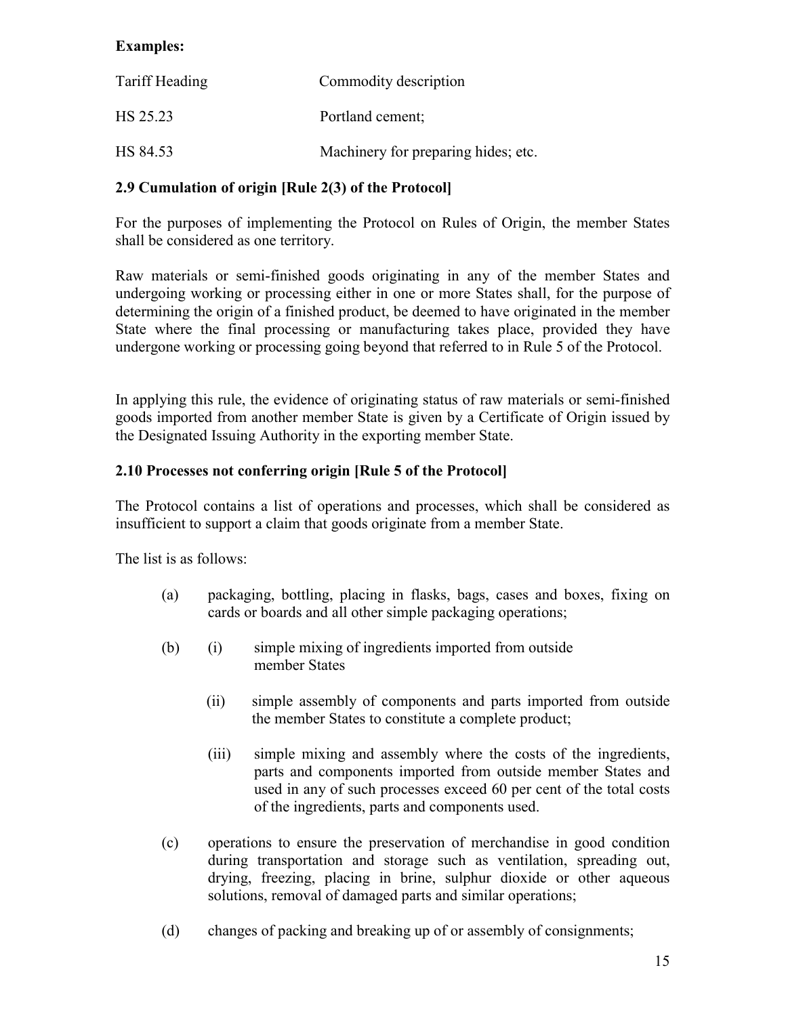## **Examples:**

| Tariff Heading | Commodity description               |
|----------------|-------------------------------------|
| HS 25.23       | Portland cement;                    |
| HS 84.53       | Machinery for preparing hides; etc. |

#### **2.9 Cumulation of origin [Rule 2(3) of the Protocol]**

For the purposes of implementing the Protocol on Rules of Origin, the member States shall be considered as one territory.

Raw materials or semi-finished goods originating in any of the member States and undergoing working or processing either in one or more States shall, for the purpose of determining the origin of a finished product, be deemed to have originated in the member State where the final processing or manufacturing takes place, provided they have undergone working or processing going beyond that referred to in Rule 5 of the Protocol.

In applying this rule, the evidence of originating status of raw materials or semi-finished goods imported from another member State is given by a Certificate of Origin issued by the Designated Issuing Authority in the exporting member State.

#### **2.10 Processes not conferring origin [Rule 5 of the Protocol]**

The Protocol contains a list of operations and processes, which shall be considered as insufficient to support a claim that goods originate from a member State.

The list is as follows:

- (a) packaging, bottling, placing in flasks, bags, cases and boxes, fixing on cards or boards and all other simple packaging operations;
- (b) (i) simple mixing of ingredients imported from outside member States
	- (ii) simple assembly of components and parts imported from outside the member States to constitute a complete product;
	- (iii) simple mixing and assembly where the costs of the ingredients, parts and components imported from outside member States and used in any of such processes exceed 60 per cent of the total costs of the ingredients, parts and components used.
- (c) operations to ensure the preservation of merchandise in good condition during transportation and storage such as ventilation, spreading out, drying, freezing, placing in brine, sulphur dioxide or other aqueous solutions, removal of damaged parts and similar operations;
- (d) changes of packing and breaking up of or assembly of consignments;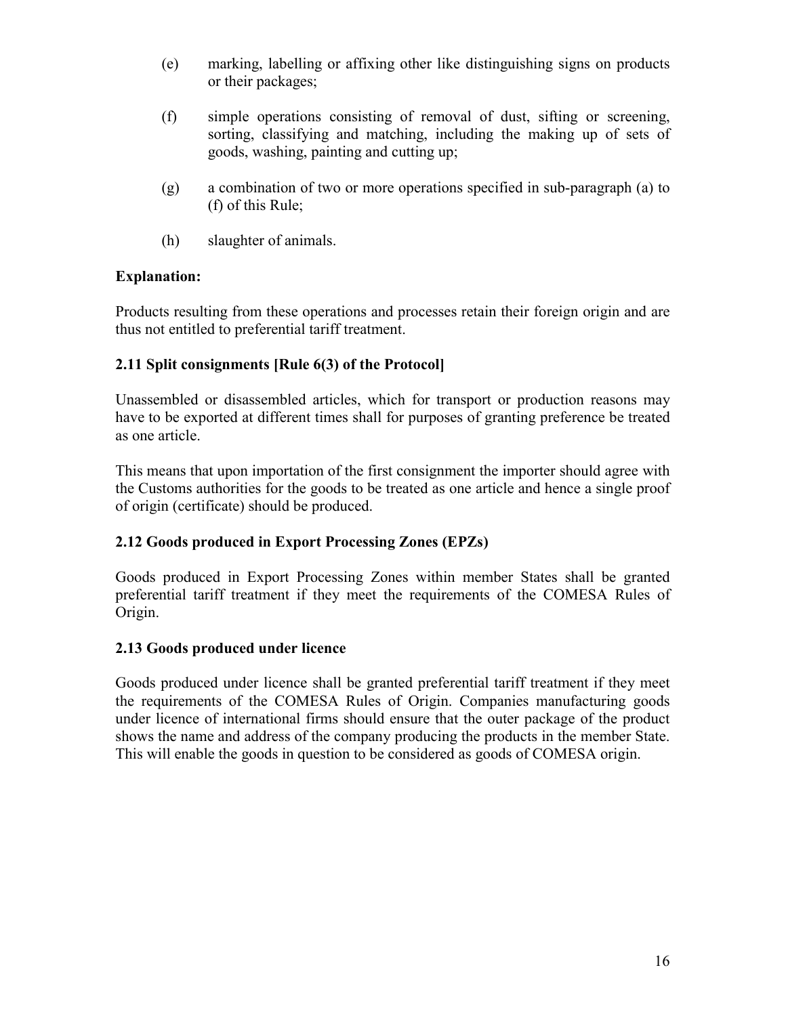- (e) marking, labelling or affixing other like distinguishing signs on products or their packages;
- (f) simple operations consisting of removal of dust, sifting or screening, sorting, classifying and matching, including the making up of sets of goods, washing, painting and cutting up;
- (g) a combination of two or more operations specified in sub-paragraph (a) to (f) of this Rule;
- (h) slaughter of animals.

### **Explanation:**

Products resulting from these operations and processes retain their foreign origin and are thus not entitled to preferential tariff treatment.

# **2.11 Split consignments [Rule 6(3) of the Protocol]**

Unassembled or disassembled articles, which for transport or production reasons may have to be exported at different times shall for purposes of granting preference be treated as one article.

This means that upon importation of the first consignment the importer should agree with the Customs authorities for the goods to be treated as one article and hence a single proof of origin (certificate) should be produced.

# **2.12 Goods produced in Export Processing Zones (EPZs)**

Goods produced in Export Processing Zones within member States shall be granted preferential tariff treatment if they meet the requirements of the COMESA Rules of Origin.

#### **2.13 Goods produced under licence**

Goods produced under licence shall be granted preferential tariff treatment if they meet the requirements of the COMESA Rules of Origin. Companies manufacturing goods under licence of international firms should ensure that the outer package of the product shows the name and address of the company producing the products in the member State. This will enable the goods in question to be considered as goods of COMESA origin.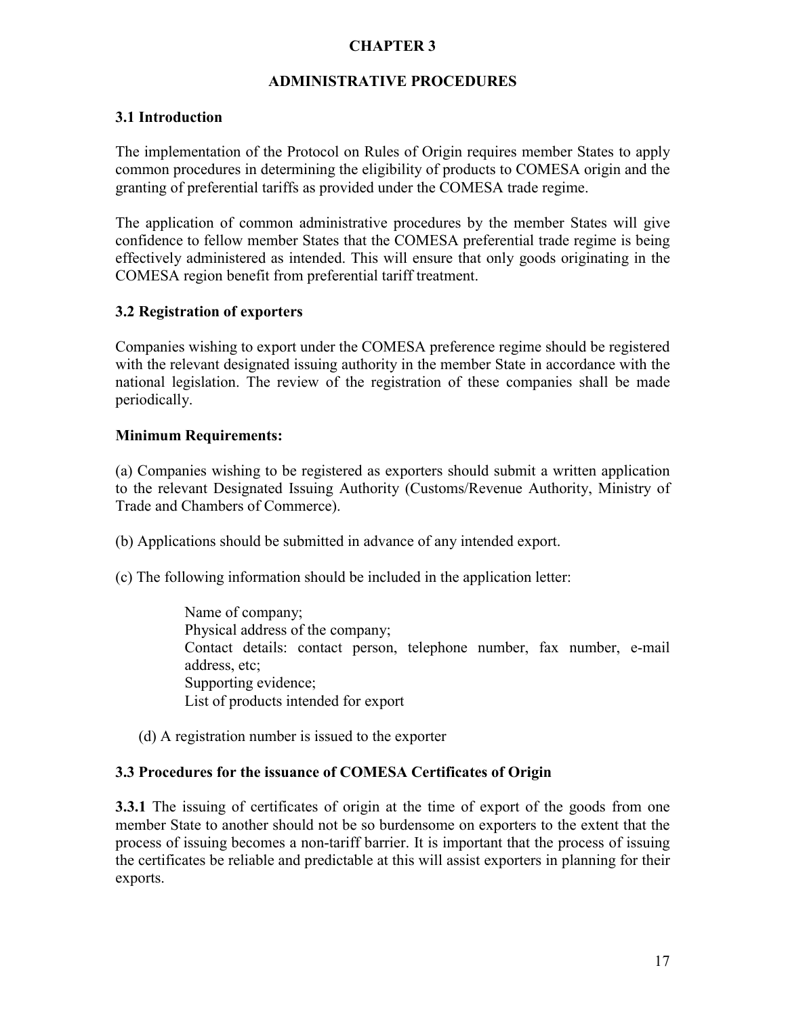### **CHAPTER 3**

#### **ADMINISTRATIVE PROCEDURES**

#### **3.1 Introduction**

The implementation of the Protocol on Rules of Origin requires member States to apply common procedures in determining the eligibility of products to COMESA origin and the granting of preferential tariffs as provided under the COMESA trade regime.

The application of common administrative procedures by the member States will give confidence to fellow member States that the COMESA preferential trade regime is being effectively administered as intended. This will ensure that only goods originating in the COMESA region benefit from preferential tariff treatment.

#### **3.2 Registration of exporters**

Companies wishing to export under the COMESA preference regime should be registered with the relevant designated issuing authority in the member State in accordance with the national legislation. The review of the registration of these companies shall be made periodically.

#### **Minimum Requirements:**

(a) Companies wishing to be registered as exporters should submit a written application to the relevant Designated Issuing Authority (Customs/Revenue Authority, Ministry of Trade and Chambers of Commerce).

(b) Applications should be submitted in advance of any intended export.

(c) The following information should be included in the application letter:

Name of company; Physical address of the company; Contact details: contact person, telephone number, fax number, e-mail address, etc; Supporting evidence; List of products intended for export

(d) A registration number is issued to the exporter

#### **3.3 Procedures for the issuance of COMESA Certificates of Origin**

**3.3.1** The issuing of certificates of origin at the time of export of the goods from one member State to another should not be so burdensome on exporters to the extent that the process of issuing becomes a non-tariff barrier. It is important that the process of issuing the certificates be reliable and predictable at this will assist exporters in planning for their exports.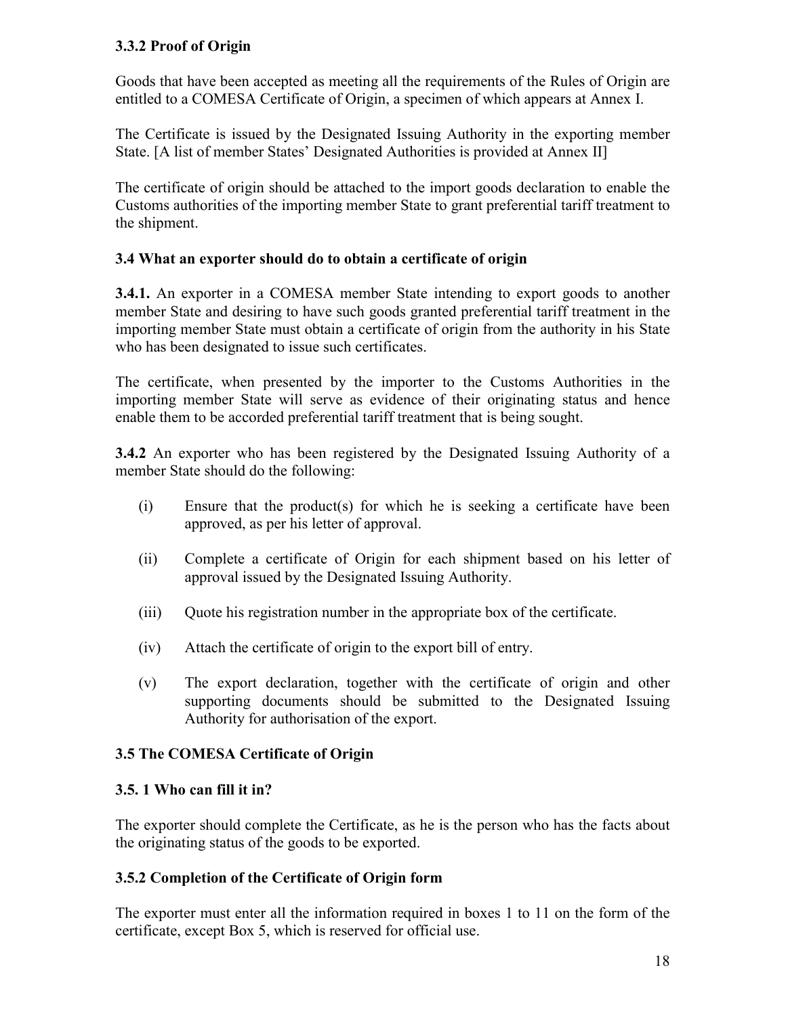### **3.3.2 Proof of Origin**

Goods that have been accepted as meeting all the requirements of the Rules of Origin are entitled to a COMESA Certificate of Origin, a specimen of which appears at Annex I.

The Certificate is issued by the Designated Issuing Authority in the exporting member State. [A list of member States' Designated Authorities is provided at Annex II]

The certificate of origin should be attached to the import goods declaration to enable the Customs authorities of the importing member State to grant preferential tariff treatment to the shipment.

#### **3.4 What an exporter should do to obtain a certificate of origin**

**3.4.1.** An exporter in a COMESA member State intending to export goods to another member State and desiring to have such goods granted preferential tariff treatment in the importing member State must obtain a certificate of origin from the authority in his State who has been designated to issue such certificates.

The certificate, when presented by the importer to the Customs Authorities in the importing member State will serve as evidence of their originating status and hence enable them to be accorded preferential tariff treatment that is being sought.

**3.4.2** An exporter who has been registered by the Designated Issuing Authority of a member State should do the following:

- (i) Ensure that the product(s) for which he is seeking a certificate have been approved, as per his letter of approval.
- (ii) Complete a certificate of Origin for each shipment based on his letter of approval issued by the Designated Issuing Authority.
- (iii) Quote his registration number in the appropriate box of the certificate.
- (iv) Attach the certificate of origin to the export bill of entry.
- (v) The export declaration, together with the certificate of origin and other supporting documents should be submitted to the Designated Issuing Authority for authorisation of the export.

#### **3.5 The COMESA Certificate of Origin**

#### **3.5. 1 Who can fill it in?**

The exporter should complete the Certificate, as he is the person who has the facts about the originating status of the goods to be exported.

#### **3.5.2 Completion of the Certificate of Origin form**

The exporter must enter all the information required in boxes 1 to 11 on the form of the certificate, except Box 5, which is reserved for official use.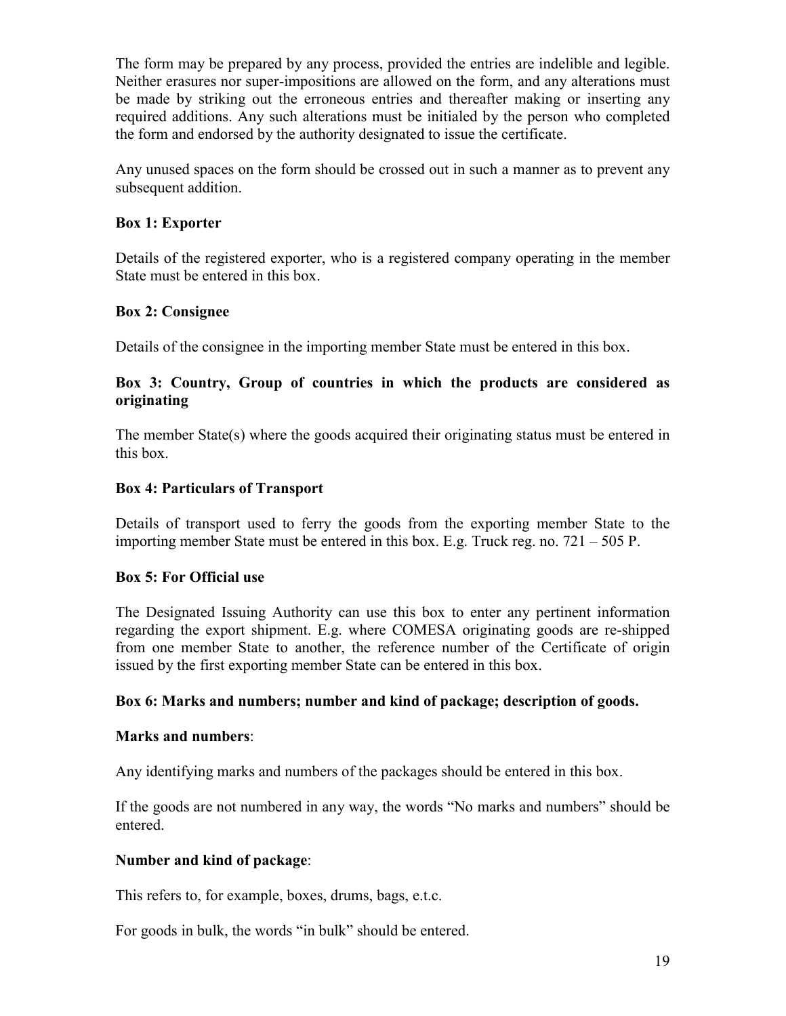The form may be prepared by any process, provided the entries are indelible and legible. Neither erasures nor super-impositions are allowed on the form, and any alterations must be made by striking out the erroneous entries and thereafter making or inserting any required additions. Any such alterations must be initialed by the person who completed the form and endorsed by the authority designated to issue the certificate.

Any unused spaces on the form should be crossed out in such a manner as to prevent any subsequent addition.

#### **Box 1: Exporter**

Details of the registered exporter, who is a registered company operating in the member State must be entered in this box.

#### **Box 2: Consignee**

Details of the consignee in the importing member State must be entered in this box.

#### **Box 3: Country, Group of countries in which the products are considered as originating**

The member State(s) where the goods acquired their originating status must be entered in this box.

#### **Box 4: Particulars of Transport**

Details of transport used to ferry the goods from the exporting member State to the importing member State must be entered in this box. E.g. Truck reg. no. 721 – 505 P.

#### **Box 5: For Official use**

The Designated Issuing Authority can use this box to enter any pertinent information regarding the export shipment. E.g. where COMESA originating goods are re-shipped from one member State to another, the reference number of the Certificate of origin issued by the first exporting member State can be entered in this box.

#### **Box 6: Marks and numbers; number and kind of package; description of goods.**

#### **Marks and numbers**:

Any identifying marks and numbers of the packages should be entered in this box.

If the goods are not numbered in any way, the words "No marks and numbers" should be entered.

#### **Number and kind of package**:

This refers to, for example, boxes, drums, bags, e.t.c.

For goods in bulk, the words "in bulk" should be entered.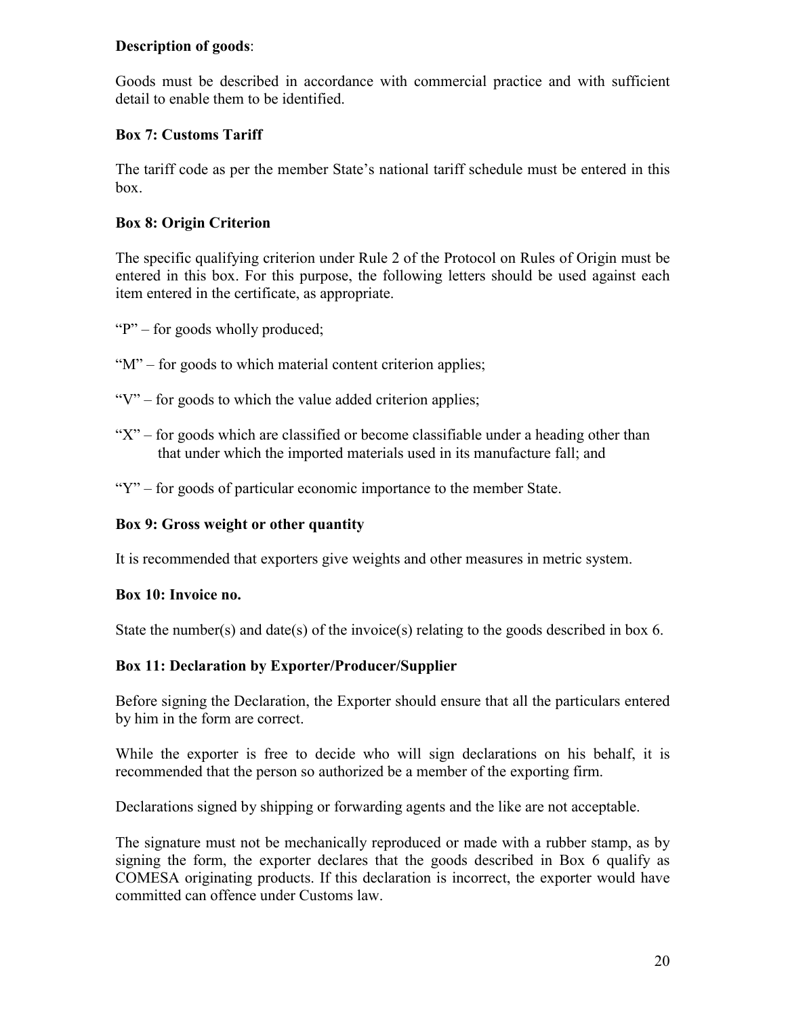#### **Description of goods**:

Goods must be described in accordance with commercial practice and with sufficient detail to enable them to be identified.

### **Box 7: Customs Tariff**

The tariff code as per the member State's national tariff schedule must be entered in this box.

#### **Box 8: Origin Criterion**

The specific qualifying criterion under Rule 2 of the Protocol on Rules of Origin must be entered in this box. For this purpose, the following letters should be used against each item entered in the certificate, as appropriate.

- "P" for goods wholly produced:
- "M" for goods to which material content criterion applies;
- " $V$ " for goods to which the value added criterion applies;
- " $X$ " for goods which are classified or become classifiable under a heading other than that under which the imported materials used in its manufacture fall; and
- "Y" for goods of particular economic importance to the member State.

#### **Box 9: Gross weight or other quantity**

It is recommended that exporters give weights and other measures in metric system.

#### **Box 10: Invoice no.**

State the number(s) and date(s) of the invoice(s) relating to the goods described in box 6.

#### **Box 11: Declaration by Exporter/Producer/Supplier**

Before signing the Declaration, the Exporter should ensure that all the particulars entered by him in the form are correct.

While the exporter is free to decide who will sign declarations on his behalf, it is recommended that the person so authorized be a member of the exporting firm.

Declarations signed by shipping or forwarding agents and the like are not acceptable.

The signature must not be mechanically reproduced or made with a rubber stamp, as by signing the form, the exporter declares that the goods described in Box 6 qualify as COMESA originating products. If this declaration is incorrect, the exporter would have committed can offence under Customs law.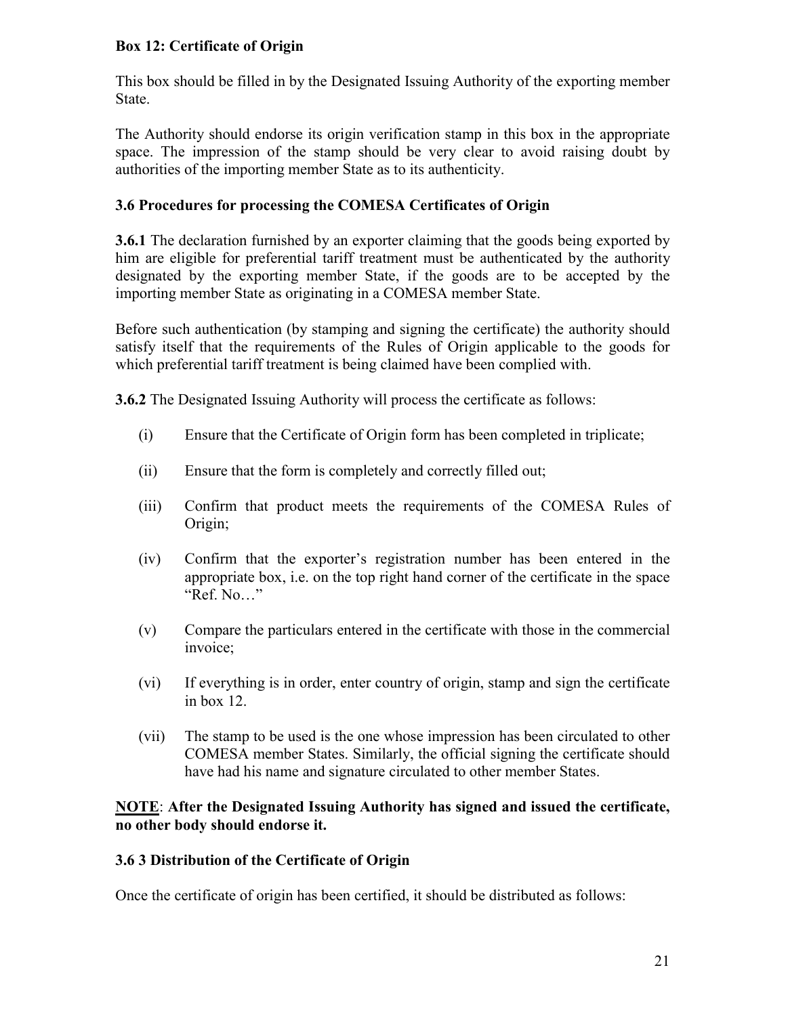#### **Box 12: Certificate of Origin**

This box should be filled in by the Designated Issuing Authority of the exporting member State.

The Authority should endorse its origin verification stamp in this box in the appropriate space. The impression of the stamp should be very clear to avoid raising doubt by authorities of the importing member State as to its authenticity.

#### **3.6 Procedures for processing the COMESA Certificates of Origin**

**3.6.1** The declaration furnished by an exporter claiming that the goods being exported by him are eligible for preferential tariff treatment must be authenticated by the authority designated by the exporting member State, if the goods are to be accepted by the importing member State as originating in a COMESA member State.

Before such authentication (by stamping and signing the certificate) the authority should satisfy itself that the requirements of the Rules of Origin applicable to the goods for which preferential tariff treatment is being claimed have been complied with.

**3.6.2** The Designated Issuing Authority will process the certificate as follows:

- (i) Ensure that the Certificate of Origin form has been completed in triplicate;
- (ii) Ensure that the form is completely and correctly filled out;
- (iii) Confirm that product meets the requirements of the COMESA Rules of Origin;
- (iv) Confirm that the exporter's registration number has been entered in the appropriate box, i.e. on the top right hand corner of the certificate in the space "Ref. No…"
- (v) Compare the particulars entered in the certificate with those in the commercial invoice;
- (vi) If everything is in order, enter country of origin, stamp and sign the certificate in box 12.
- (vii) The stamp to be used is the one whose impression has been circulated to other COMESA member States. Similarly, the official signing the certificate should have had his name and signature circulated to other member States.

**NOTE**: **After the Designated Issuing Authority has signed and issued the certificate, no other body should endorse it.**

#### **3.6 3 Distribution of the Certificate of Origin**

Once the certificate of origin has been certified, it should be distributed as follows: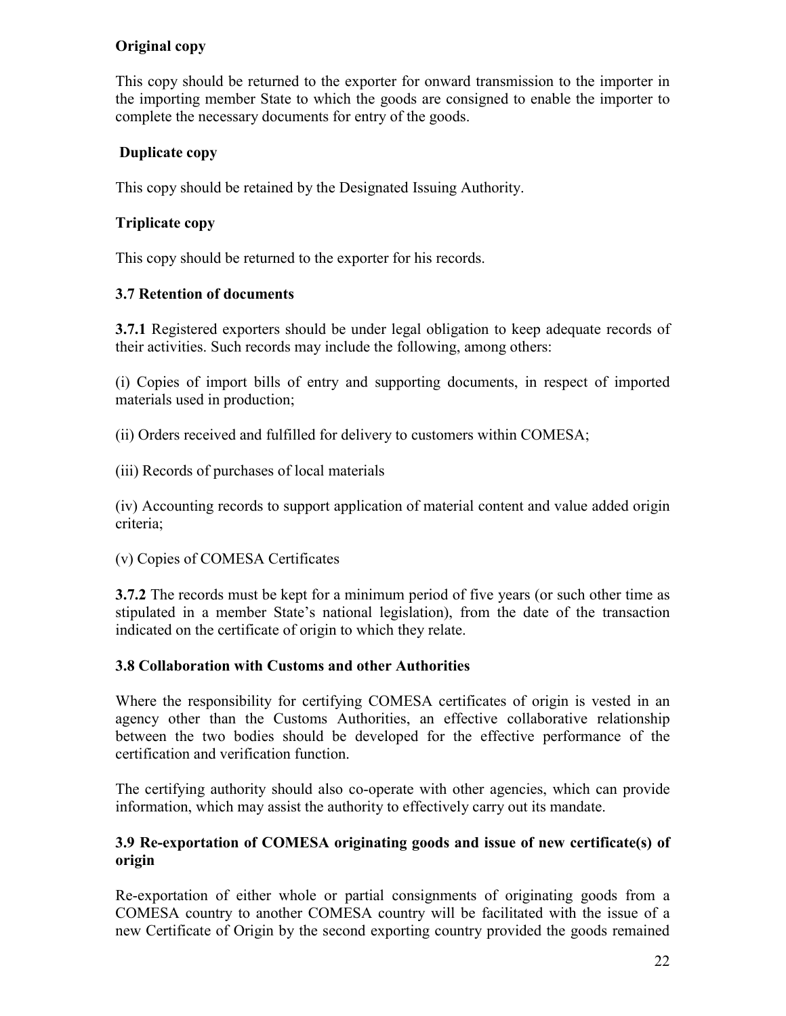# **Original copy**

This copy should be returned to the exporter for onward transmission to the importer in the importing member State to which the goods are consigned to enable the importer to complete the necessary documents for entry of the goods.

# **Duplicate copy**

This copy should be retained by the Designated Issuing Authority.

# **Triplicate copy**

This copy should be returned to the exporter for his records.

# **3.7 Retention of documents**

**3.7.1** Registered exporters should be under legal obligation to keep adequate records of their activities. Such records may include the following, among others:

(i) Copies of import bills of entry and supporting documents, in respect of imported materials used in production;

(ii) Orders received and fulfilled for delivery to customers within COMESA;

(iii) Records of purchases of local materials

(iv) Accounting records to support application of material content and value added origin criteria;

(v) Copies of COMESA Certificates

**3.7.2** The records must be kept for a minimum period of five years (or such other time as stipulated in a member State's national legislation), from the date of the transaction indicated on the certificate of origin to which they relate.

# **3.8 Collaboration with Customs and other Authorities**

Where the responsibility for certifying COMESA certificates of origin is vested in an agency other than the Customs Authorities, an effective collaborative relationship between the two bodies should be developed for the effective performance of the certification and verification function.

The certifying authority should also co-operate with other agencies, which can provide information, which may assist the authority to effectively carry out its mandate.

### **3.9 Re-exportation of COMESA originating goods and issue of new certificate(s) of origin**

Re-exportation of either whole or partial consignments of originating goods from a COMESA country to another COMESA country will be facilitated with the issue of a new Certificate of Origin by the second exporting country provided the goods remained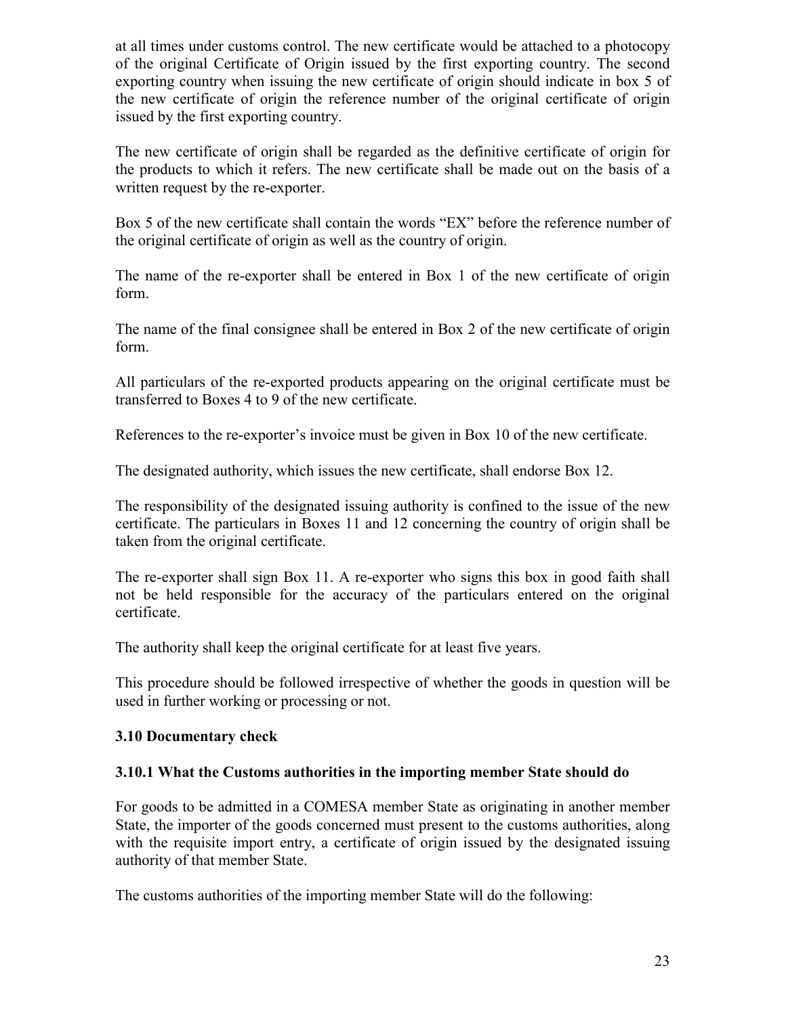at all times under customs control. The new certificate would be attached to a photocopy of the original Certificate of Origin issued by the first exporting country. The second exporting country when issuing the new certificate of origin should indicate in box 5 of the new certificate of origin the reference number of the original certificate of origin issued by the first exporting country.

The new certificate of origin shall be regarded as the definitive certificate of origin for the products to which it refers. The new certificate shall be made out on the basis of a written request by the re-exporter.

Box 5 of the new certificate shall contain the words "EX" before the reference number of the original certificate of origin as well as the country of origin.

The name of the re-exporter shall be entered in Box 1 of the new certificate of origin form.

The name of the final consignee shall be entered in Box 2 of the new certificate of origin form.

All particulars of the re-exported products appearing on the original certificate must be transferred to Boxes 4 to 9 of the new certificate.

References to the re-exporter's invoice must be given in Box 10 of the new certificate.

The designated authority, which issues the new certificate, shall endorse Box 12.

The responsibility of the designated issuing authority is confined to the issue of the new certificate. The particulars in Boxes 11 and 12 concerning the country of origin shall be taken from the original certificate.

The re-exporter shall sign Box 11. A re-exporter who signs this box in good faith shall not be held responsible for the accuracy of the particulars entered on the original certificate.

The authority shall keep the original certificate for at least five years.

This procedure should be followed irrespective of whether the goods in question will be used in further working or processing or not.

#### **3.10 Documentary check**

#### **3.10.1 What the Customs authorities in the importing member State should do**

For goods to be admitted in a COMESA member State as originating in another member State, the importer of the goods concerned must present to the customs authorities, along with the requisite import entry, a certificate of origin issued by the designated issuing authority of that member State.

The customs authorities of the importing member State will do the following: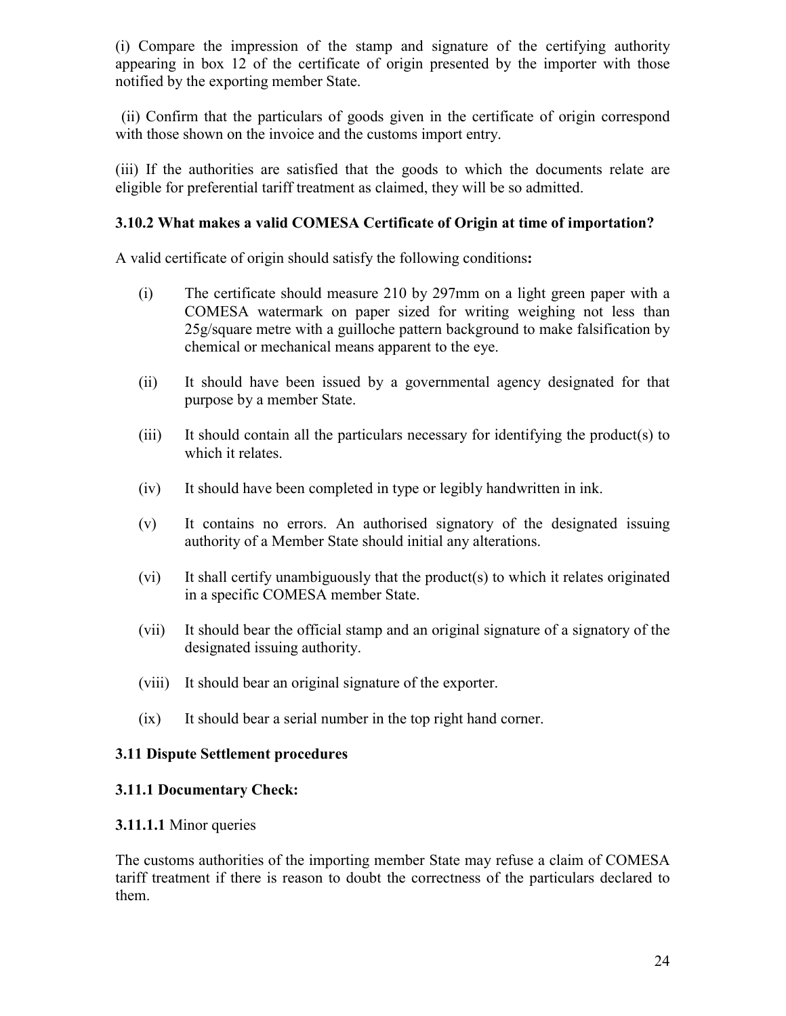(i) Compare the impression of the stamp and signature of the certifying authority appearing in box 12 of the certificate of origin presented by the importer with those notified by the exporting member State.

 (ii) Confirm that the particulars of goods given in the certificate of origin correspond with those shown on the invoice and the customs import entry.

(iii) If the authorities are satisfied that the goods to which the documents relate are eligible for preferential tariff treatment as claimed, they will be so admitted.

#### **3.10.2 What makes a valid COMESA Certificate of Origin at time of importation?**

A valid certificate of origin should satisfy the following conditions**:**

- (i) The certificate should measure 210 by 297mm on a light green paper with a COMESA watermark on paper sized for writing weighing not less than 25g/square metre with a guilloche pattern background to make falsification by chemical or mechanical means apparent to the eye.
- (ii) It should have been issued by a governmental agency designated for that purpose by a member State.
- (iii) It should contain all the particulars necessary for identifying the product(s) to which it relates.
- (iv) It should have been completed in type or legibly handwritten in ink.
- (v) It contains no errors. An authorised signatory of the designated issuing authority of a Member State should initial any alterations.
- (vi) It shall certify unambiguously that the product(s) to which it relates originated in a specific COMESA member State.
- (vii) It should bear the official stamp and an original signature of a signatory of the designated issuing authority.
- (viii) It should bear an original signature of the exporter.
- (ix) It should bear a serial number in the top right hand corner.

# **3.11 Dispute Settlement procedures**

#### **3.11.1 Documentary Check:**

#### **3.11.1.1** Minor queries

The customs authorities of the importing member State may refuse a claim of COMESA tariff treatment if there is reason to doubt the correctness of the particulars declared to them.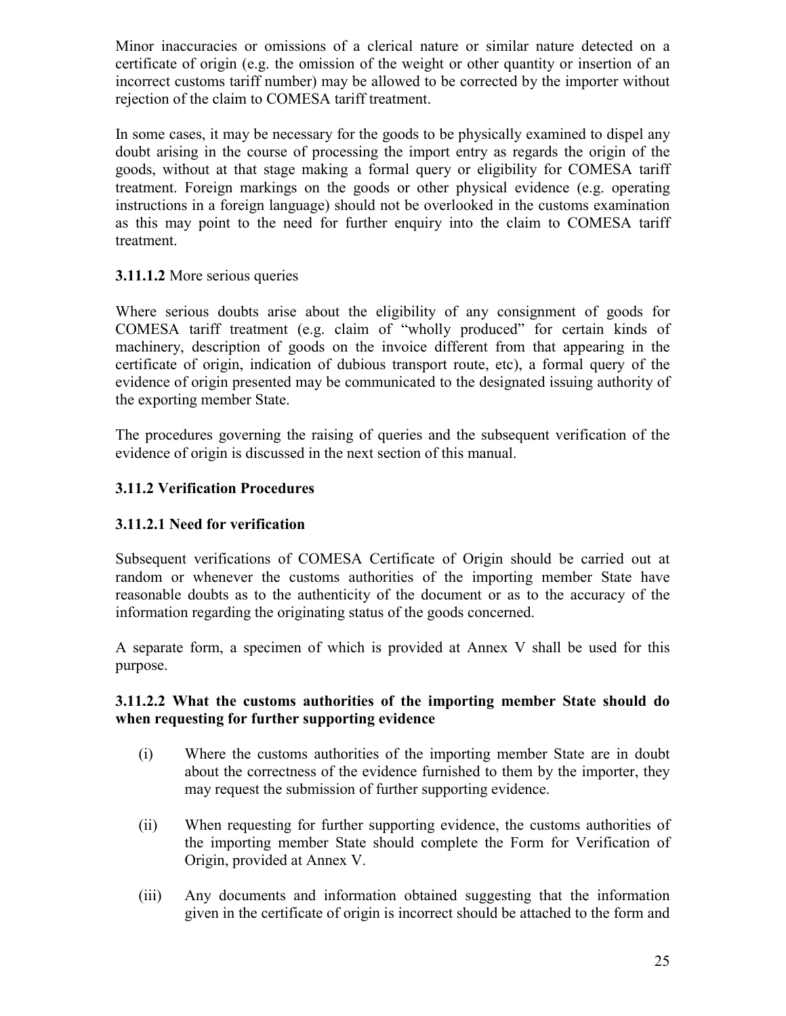Minor inaccuracies or omissions of a clerical nature or similar nature detected on a certificate of origin (e.g. the omission of the weight or other quantity or insertion of an incorrect customs tariff number) may be allowed to be corrected by the importer without rejection of the claim to COMESA tariff treatment.

In some cases, it may be necessary for the goods to be physically examined to dispel any doubt arising in the course of processing the import entry as regards the origin of the goods, without at that stage making a formal query or eligibility for COMESA tariff treatment. Foreign markings on the goods or other physical evidence (e.g. operating instructions in a foreign language) should not be overlooked in the customs examination as this may point to the need for further enquiry into the claim to COMESA tariff treatment.

# **3.11.1.2** More serious queries

Where serious doubts arise about the eligibility of any consignment of goods for COMESA tariff treatment (e.g. claim of "wholly produced" for certain kinds of machinery, description of goods on the invoice different from that appearing in the certificate of origin, indication of dubious transport route, etc), a formal query of the evidence of origin presented may be communicated to the designated issuing authority of the exporting member State.

The procedures governing the raising of queries and the subsequent verification of the evidence of origin is discussed in the next section of this manual.

### **3.11.2 Verification Procedures**

#### **3.11.2.1 Need for verification**

Subsequent verifications of COMESA Certificate of Origin should be carried out at random or whenever the customs authorities of the importing member State have reasonable doubts as to the authenticity of the document or as to the accuracy of the information regarding the originating status of the goods concerned.

A separate form, a specimen of which is provided at Annex V shall be used for this purpose.

#### **3.11.2.2 What the customs authorities of the importing member State should do when requesting for further supporting evidence**

- (i) Where the customs authorities of the importing member State are in doubt about the correctness of the evidence furnished to them by the importer, they may request the submission of further supporting evidence.
- (ii) When requesting for further supporting evidence, the customs authorities of the importing member State should complete the Form for Verification of Origin, provided at Annex V.
- (iii) Any documents and information obtained suggesting that the information given in the certificate of origin is incorrect should be attached to the form and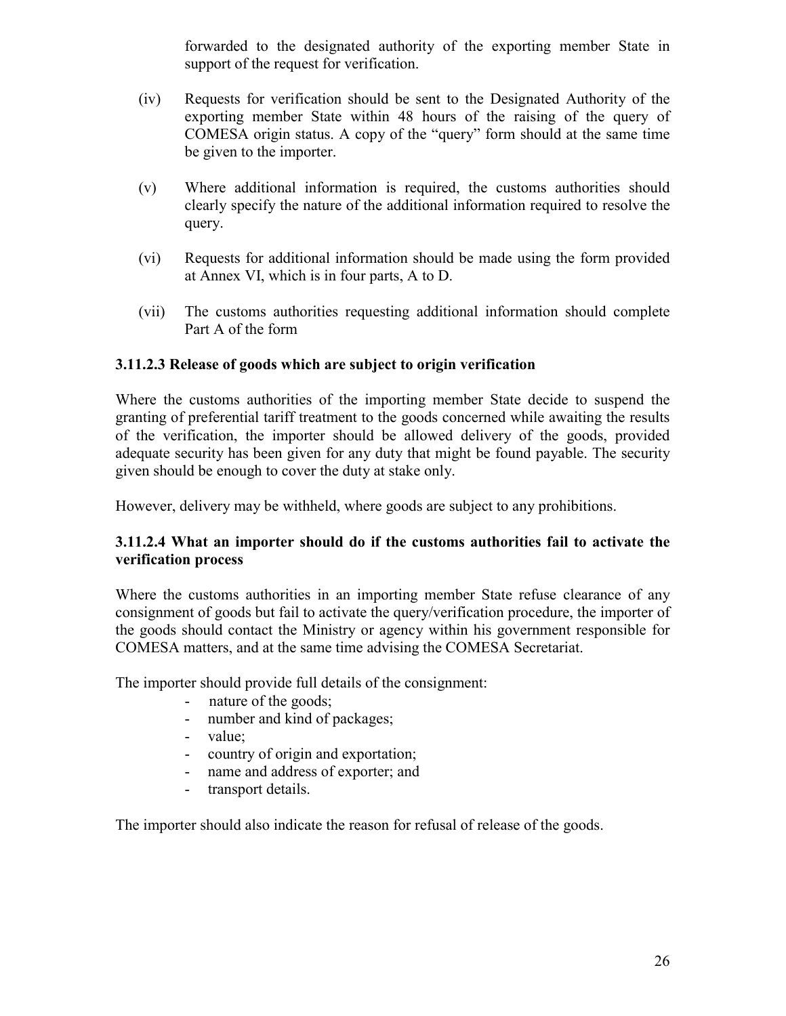forwarded to the designated authority of the exporting member State in support of the request for verification.

- (iv) Requests for verification should be sent to the Designated Authority of the exporting member State within 48 hours of the raising of the query of COMESA origin status. A copy of the "query" form should at the same time be given to the importer.
- (v) Where additional information is required, the customs authorities should clearly specify the nature of the additional information required to resolve the query.
- (vi) Requests for additional information should be made using the form provided at Annex VI, which is in four parts, A to D.
- (vii) The customs authorities requesting additional information should complete Part A of the form

#### **3.11.2.3 Release of goods which are subject to origin verification**

Where the customs authorities of the importing member State decide to suspend the granting of preferential tariff treatment to the goods concerned while awaiting the results of the verification, the importer should be allowed delivery of the goods, provided adequate security has been given for any duty that might be found payable. The security given should be enough to cover the duty at stake only.

However, delivery may be withheld, where goods are subject to any prohibitions.

### **3.11.2.4 What an importer should do if the customs authorities fail to activate the verification process**

Where the customs authorities in an importing member State refuse clearance of any consignment of goods but fail to activate the query/verification procedure, the importer of the goods should contact the Ministry or agency within his government responsible for COMESA matters, and at the same time advising the COMESA Secretariat.

The importer should provide full details of the consignment:

- nature of the goods;
- number and kind of packages;
- value;
- country of origin and exportation;
- name and address of exporter; and
- transport details.

The importer should also indicate the reason for refusal of release of the goods.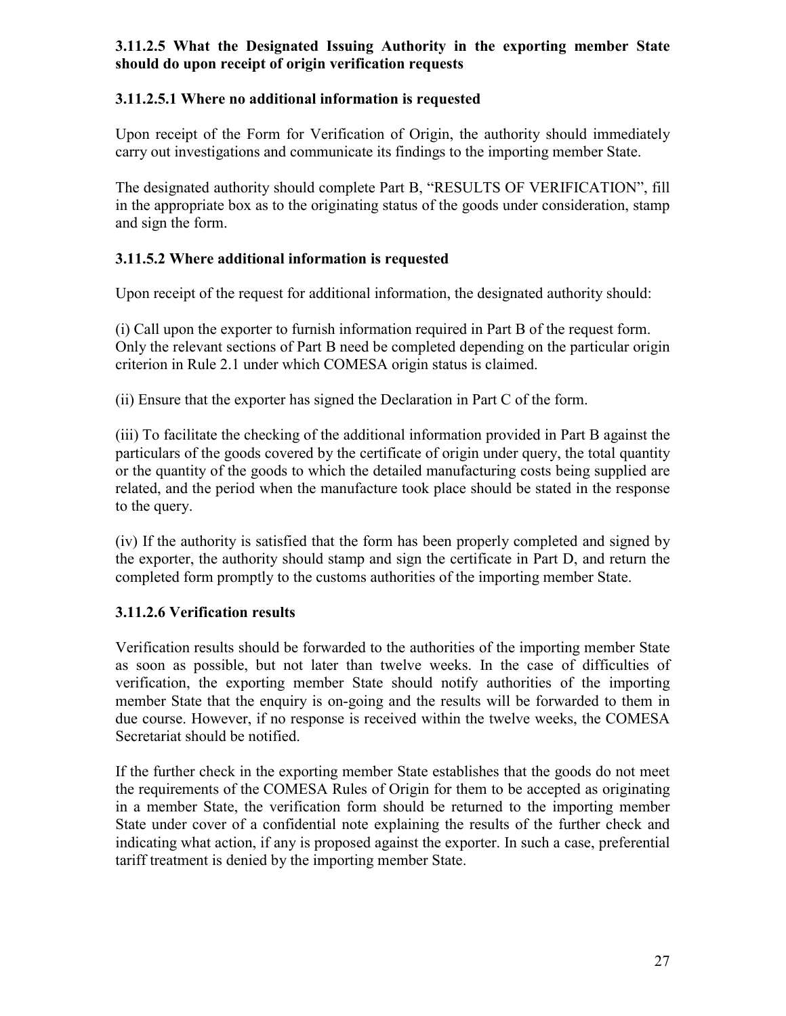### **3.11.2.5 What the Designated Issuing Authority in the exporting member State should do upon receipt of origin verification requests**

### **3.11.2.5.1 Where no additional information is requested**

Upon receipt of the Form for Verification of Origin, the authority should immediately carry out investigations and communicate its findings to the importing member State.

The designated authority should complete Part B, "RESULTS OF VERIFICATION", fill in the appropriate box as to the originating status of the goods under consideration, stamp and sign the form.

#### **3.11.5.2 Where additional information is requested**

Upon receipt of the request for additional information, the designated authority should:

(i) Call upon the exporter to furnish information required in Part B of the request form. Only the relevant sections of Part B need be completed depending on the particular origin criterion in Rule 2.1 under which COMESA origin status is claimed.

(ii) Ensure that the exporter has signed the Declaration in Part C of the form.

(iii) To facilitate the checking of the additional information provided in Part B against the particulars of the goods covered by the certificate of origin under query, the total quantity or the quantity of the goods to which the detailed manufacturing costs being supplied are related, and the period when the manufacture took place should be stated in the response to the query.

(iv) If the authority is satisfied that the form has been properly completed and signed by the exporter, the authority should stamp and sign the certificate in Part D, and return the completed form promptly to the customs authorities of the importing member State.

#### **3.11.2.6 Verification results**

Verification results should be forwarded to the authorities of the importing member State as soon as possible, but not later than twelve weeks. In the case of difficulties of verification, the exporting member State should notify authorities of the importing member State that the enquiry is on-going and the results will be forwarded to them in due course. However, if no response is received within the twelve weeks, the COMESA Secretariat should be notified.

If the further check in the exporting member State establishes that the goods do not meet the requirements of the COMESA Rules of Origin for them to be accepted as originating in a member State, the verification form should be returned to the importing member State under cover of a confidential note explaining the results of the further check and indicating what action, if any is proposed against the exporter. In such a case, preferential tariff treatment is denied by the importing member State.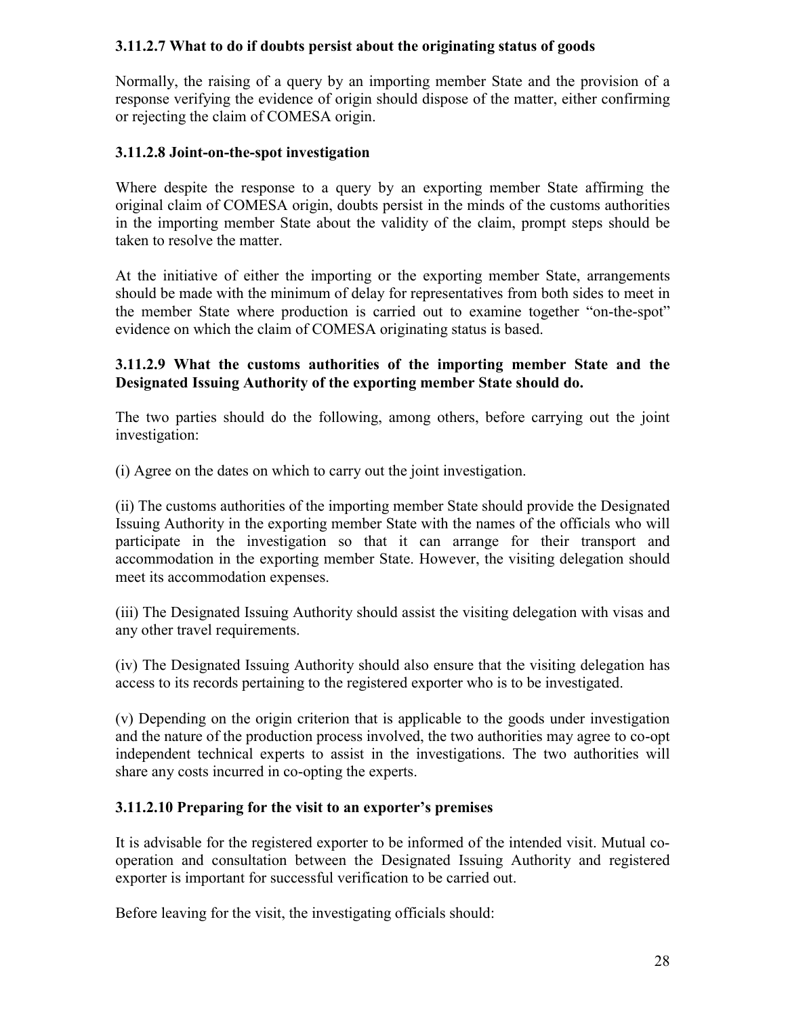#### **3.11.2.7 What to do if doubts persist about the originating status of goods**

Normally, the raising of a query by an importing member State and the provision of a response verifying the evidence of origin should dispose of the matter, either confirming or rejecting the claim of COMESA origin.

#### **3.11.2.8 Joint-on-the-spot investigation**

Where despite the response to a query by an exporting member State affirming the original claim of COMESA origin, doubts persist in the minds of the customs authorities in the importing member State about the validity of the claim, prompt steps should be taken to resolve the matter.

At the initiative of either the importing or the exporting member State, arrangements should be made with the minimum of delay for representatives from both sides to meet in the member State where production is carried out to examine together "on-the-spot" evidence on which the claim of COMESA originating status is based.

#### **3.11.2.9 What the customs authorities of the importing member State and the Designated Issuing Authority of the exporting member State should do.**

The two parties should do the following, among others, before carrying out the joint investigation:

(i) Agree on the dates on which to carry out the joint investigation.

(ii) The customs authorities of the importing member State should provide the Designated Issuing Authority in the exporting member State with the names of the officials who will participate in the investigation so that it can arrange for their transport and accommodation in the exporting member State. However, the visiting delegation should meet its accommodation expenses.

(iii) The Designated Issuing Authority should assist the visiting delegation with visas and any other travel requirements.

(iv) The Designated Issuing Authority should also ensure that the visiting delegation has access to its records pertaining to the registered exporter who is to be investigated.

(v) Depending on the origin criterion that is applicable to the goods under investigation and the nature of the production process involved, the two authorities may agree to co-opt independent technical experts to assist in the investigations. The two authorities will share any costs incurred in co-opting the experts.

#### **3.11.2.10 Preparing for the visit to an exporter's premises**

It is advisable for the registered exporter to be informed of the intended visit. Mutual cooperation and consultation between the Designated Issuing Authority and registered exporter is important for successful verification to be carried out.

Before leaving for the visit, the investigating officials should: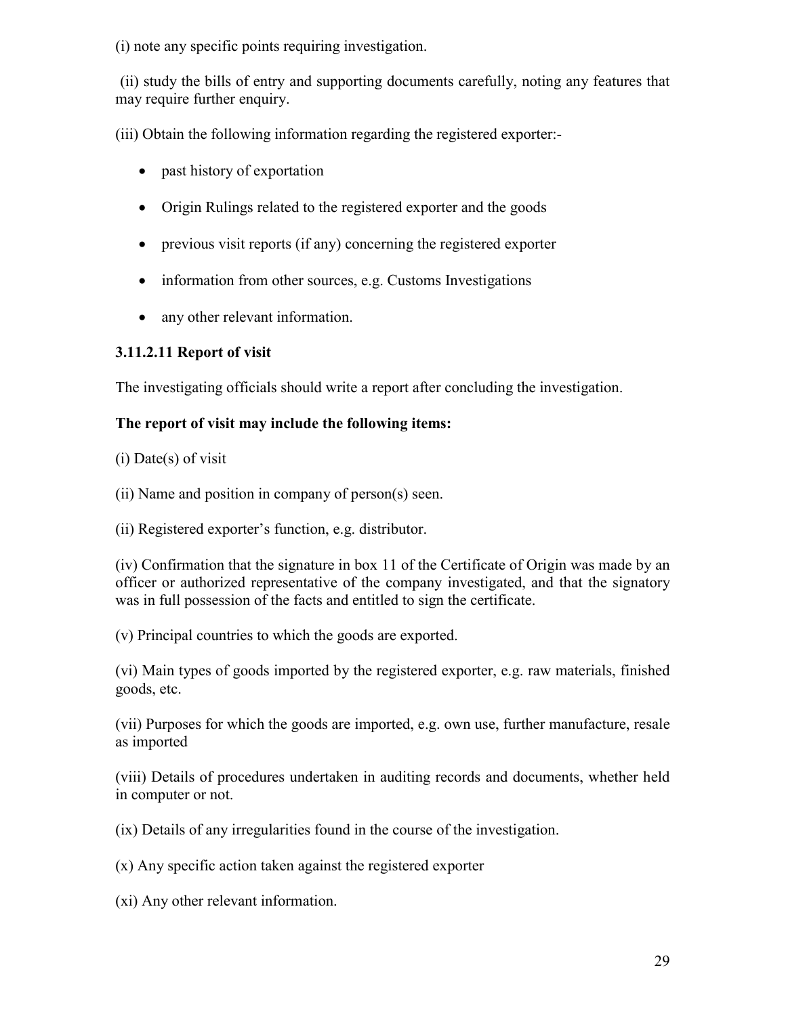(i) note any specific points requiring investigation.

 (ii) study the bills of entry and supporting documents carefully, noting any features that may require further enquiry.

(iii) Obtain the following information regarding the registered exporter:-

- past history of exportation
- Origin Rulings related to the registered exporter and the goods
- previous visit reports (if any) concerning the registered exporter
- information from other sources, e.g. Customs Investigations
- any other relevant information.

#### **3.11.2.11 Report of visit**

The investigating officials should write a report after concluding the investigation.

#### **The report of visit may include the following items:**

(i) Date(s) of visit

- (ii) Name and position in company of person(s) seen.
- (ii) Registered exporter's function, e.g. distributor.

(iv) Confirmation that the signature in box 11 of the Certificate of Origin was made by an officer or authorized representative of the company investigated, and that the signatory was in full possession of the facts and entitled to sign the certificate.

(v) Principal countries to which the goods are exported.

(vi) Main types of goods imported by the registered exporter, e.g. raw materials, finished goods, etc.

(vii) Purposes for which the goods are imported, e.g. own use, further manufacture, resale as imported

(viii) Details of procedures undertaken in auditing records and documents, whether held in computer or not.

(ix) Details of any irregularities found in the course of the investigation.

(x) Any specific action taken against the registered exporter

(xi) Any other relevant information.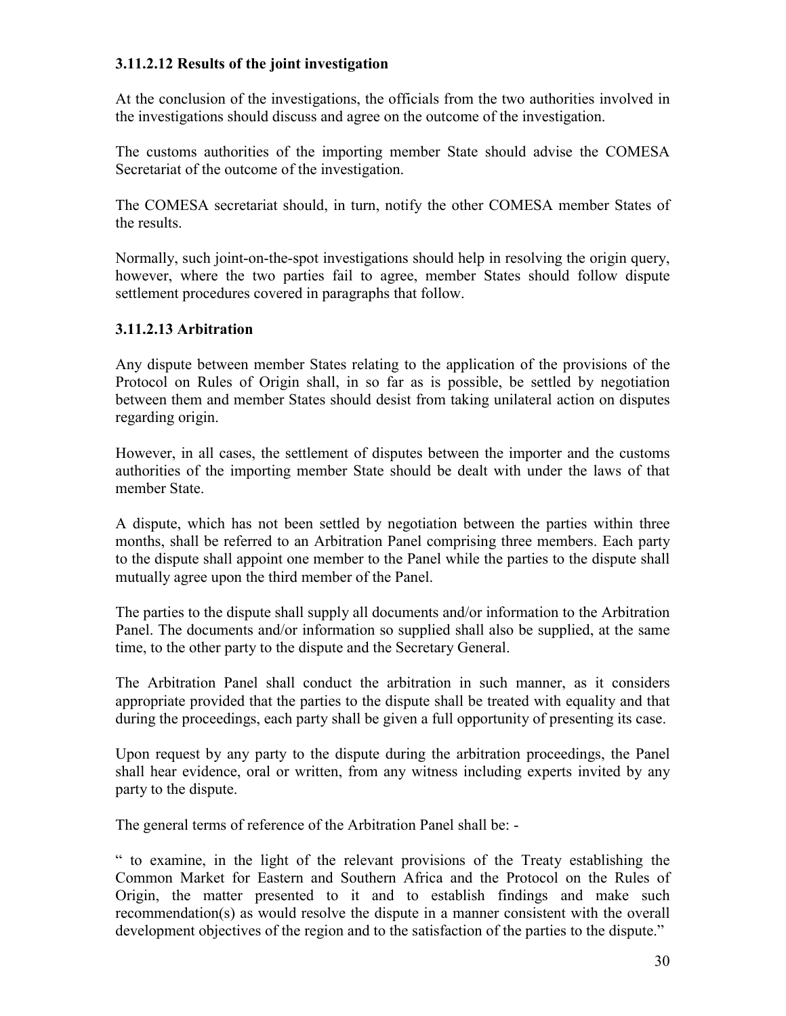#### **3.11.2.12 Results of the joint investigation**

At the conclusion of the investigations, the officials from the two authorities involved in the investigations should discuss and agree on the outcome of the investigation.

The customs authorities of the importing member State should advise the COMESA Secretariat of the outcome of the investigation.

The COMESA secretariat should, in turn, notify the other COMESA member States of the results.

Normally, such joint-on-the-spot investigations should help in resolving the origin query, however, where the two parties fail to agree, member States should follow dispute settlement procedures covered in paragraphs that follow.

#### **3.11.2.13 Arbitration**

Any dispute between member States relating to the application of the provisions of the Protocol on Rules of Origin shall, in so far as is possible, be settled by negotiation between them and member States should desist from taking unilateral action on disputes regarding origin.

However, in all cases, the settlement of disputes between the importer and the customs authorities of the importing member State should be dealt with under the laws of that member State.

A dispute, which has not been settled by negotiation between the parties within three months, shall be referred to an Arbitration Panel comprising three members. Each party to the dispute shall appoint one member to the Panel while the parties to the dispute shall mutually agree upon the third member of the Panel.

The parties to the dispute shall supply all documents and/or information to the Arbitration Panel. The documents and/or information so supplied shall also be supplied, at the same time, to the other party to the dispute and the Secretary General.

The Arbitration Panel shall conduct the arbitration in such manner, as it considers appropriate provided that the parties to the dispute shall be treated with equality and that during the proceedings, each party shall be given a full opportunity of presenting its case.

Upon request by any party to the dispute during the arbitration proceedings, the Panel shall hear evidence, oral or written, from any witness including experts invited by any party to the dispute.

The general terms of reference of the Arbitration Panel shall be: -

" to examine, in the light of the relevant provisions of the Treaty establishing the Common Market for Eastern and Southern Africa and the Protocol on the Rules of Origin, the matter presented to it and to establish findings and make such recommendation(s) as would resolve the dispute in a manner consistent with the overall development objectives of the region and to the satisfaction of the parties to the dispute."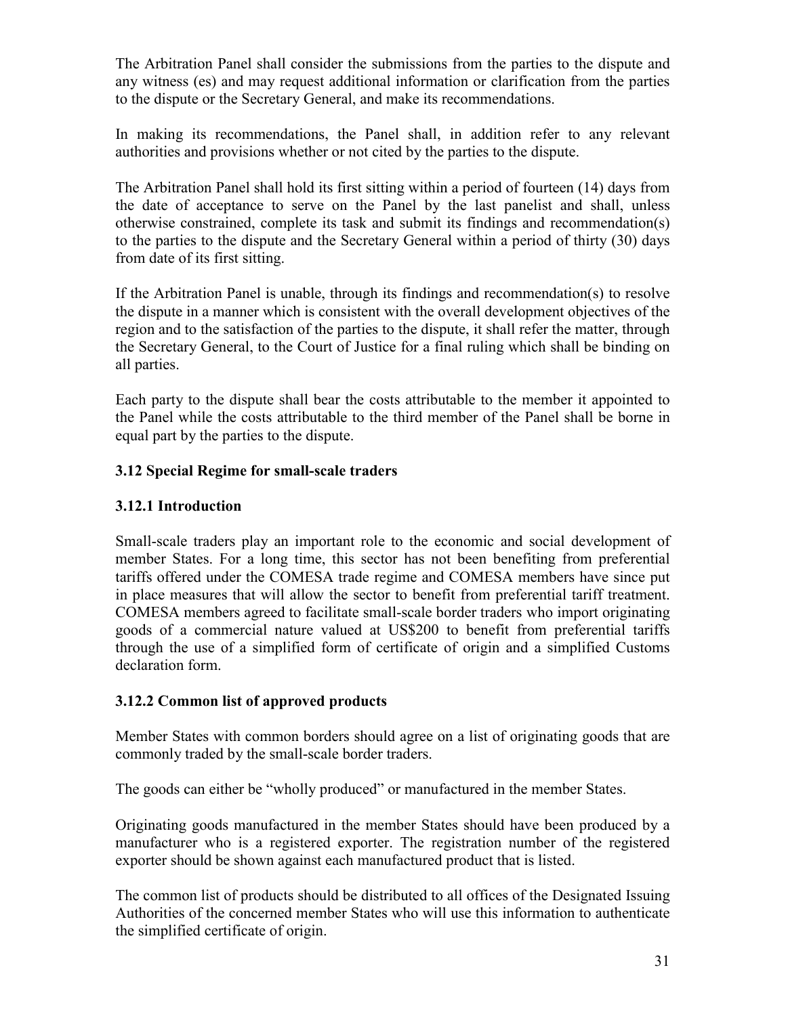The Arbitration Panel shall consider the submissions from the parties to the dispute and any witness (es) and may request additional information or clarification from the parties to the dispute or the Secretary General, and make its recommendations.

In making its recommendations, the Panel shall, in addition refer to any relevant authorities and provisions whether or not cited by the parties to the dispute.

The Arbitration Panel shall hold its first sitting within a period of fourteen (14) days from the date of acceptance to serve on the Panel by the last panelist and shall, unless otherwise constrained, complete its task and submit its findings and recommendation(s) to the parties to the dispute and the Secretary General within a period of thirty (30) days from date of its first sitting.

If the Arbitration Panel is unable, through its findings and recommendation(s) to resolve the dispute in a manner which is consistent with the overall development objectives of the region and to the satisfaction of the parties to the dispute, it shall refer the matter, through the Secretary General, to the Court of Justice for a final ruling which shall be binding on all parties.

Each party to the dispute shall bear the costs attributable to the member it appointed to the Panel while the costs attributable to the third member of the Panel shall be borne in equal part by the parties to the dispute.

### **3.12 Special Regime for small-scale traders**

### **3.12.1 Introduction**

Small-scale traders play an important role to the economic and social development of member States. For a long time, this sector has not been benefiting from preferential tariffs offered under the COMESA trade regime and COMESA members have since put in place measures that will allow the sector to benefit from preferential tariff treatment. COMESA members agreed to facilitate small-scale border traders who import originating goods of a commercial nature valued at US\$200 to benefit from preferential tariffs through the use of a simplified form of certificate of origin and a simplified Customs declaration form.

#### **3.12.2 Common list of approved products**

Member States with common borders should agree on a list of originating goods that are commonly traded by the small-scale border traders.

The goods can either be "wholly produced" or manufactured in the member States.

Originating goods manufactured in the member States should have been produced by a manufacturer who is a registered exporter. The registration number of the registered exporter should be shown against each manufactured product that is listed.

The common list of products should be distributed to all offices of the Designated Issuing Authorities of the concerned member States who will use this information to authenticate the simplified certificate of origin.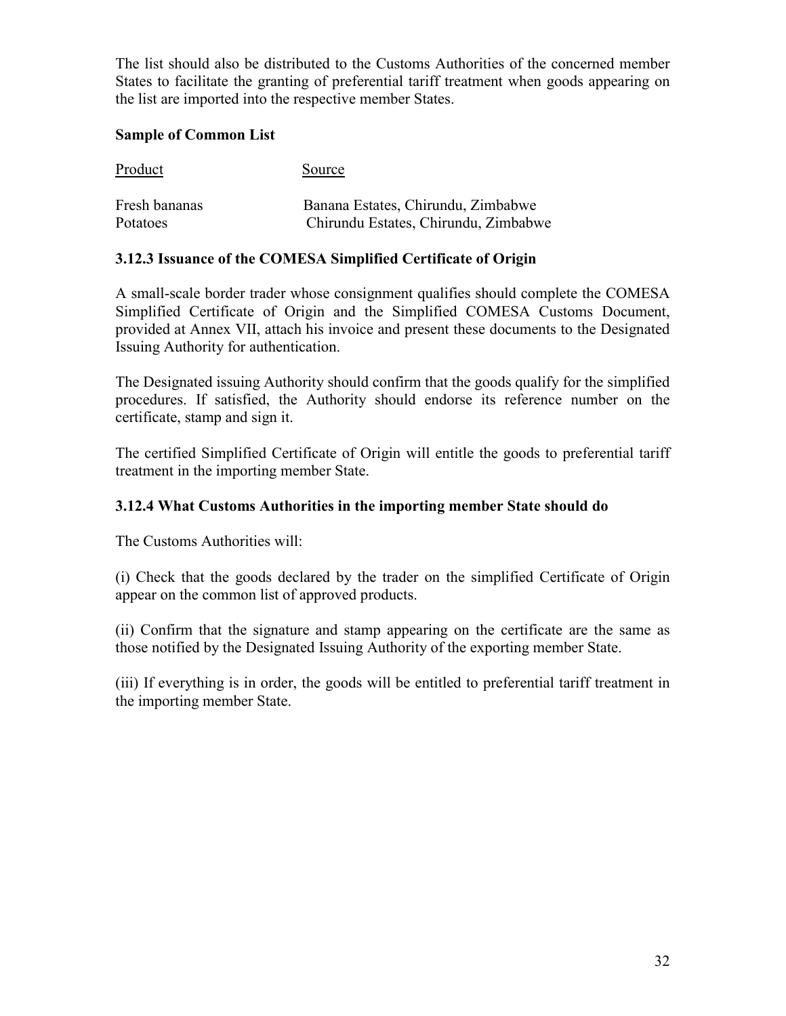The list should also be distributed to the Customs Authorities of the concerned member States to facilitate the granting of preferential tariff treatment when goods appearing on the list are imported into the respective member States.

#### **Sample of Common List**

| Product       | Source                               |
|---------------|--------------------------------------|
| Fresh bananas | Banana Estates, Chirundu, Zimbabwe   |
| Potatoes      | Chirundu Estates, Chirundu, Zimbabwe |

#### **3.12.3 Issuance of the COMESA Simplified Certificate of Origin**

A small-scale border trader whose consignment qualifies should complete the COMESA Simplified Certificate of Origin and the Simplified COMESA Customs Document, provided at Annex VII, attach his invoice and present these documents to the Designated Issuing Authority for authentication.

The Designated issuing Authority should confirm that the goods qualify for the simplified procedures. If satisfied, the Authority should endorse its reference number on the certificate, stamp and sign it.

The certified Simplified Certificate of Origin will entitle the goods to preferential tariff treatment in the importing member State.

#### **3.12.4 What Customs Authorities in the importing member State should do**

The Customs Authorities will:

(i) Check that the goods declared by the trader on the simplified Certificate of Origin appear on the common list of approved products.

(ii) Confirm that the signature and stamp appearing on the certificate are the same as those notified by the Designated Issuing Authority of the exporting member State.

(iii) If everything is in order, the goods will be entitled to preferential tariff treatment in the importing member State.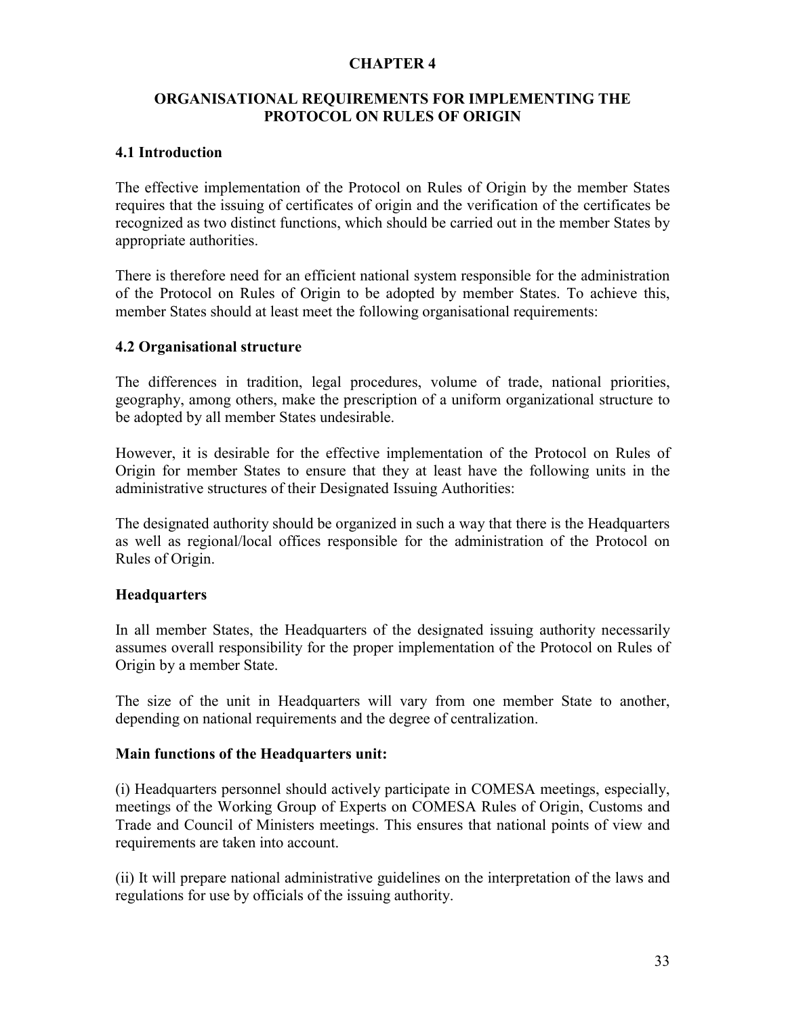#### **CHAPTER 4**

#### **ORGANISATIONAL REQUIREMENTS FOR IMPLEMENTING THE PROTOCOL ON RULES OF ORIGIN**

#### **4.1 Introduction**

The effective implementation of the Protocol on Rules of Origin by the member States requires that the issuing of certificates of origin and the verification of the certificates be recognized as two distinct functions, which should be carried out in the member States by appropriate authorities.

There is therefore need for an efficient national system responsible for the administration of the Protocol on Rules of Origin to be adopted by member States. To achieve this, member States should at least meet the following organisational requirements:

#### **4.2 Organisational structure**

The differences in tradition, legal procedures, volume of trade, national priorities, geography, among others, make the prescription of a uniform organizational structure to be adopted by all member States undesirable.

However, it is desirable for the effective implementation of the Protocol on Rules of Origin for member States to ensure that they at least have the following units in the administrative structures of their Designated Issuing Authorities:

The designated authority should be organized in such a way that there is the Headquarters as well as regional/local offices responsible for the administration of the Protocol on Rules of Origin.

#### **Headquarters**

In all member States, the Headquarters of the designated issuing authority necessarily assumes overall responsibility for the proper implementation of the Protocol on Rules of Origin by a member State.

The size of the unit in Headquarters will vary from one member State to another, depending on national requirements and the degree of centralization.

#### **Main functions of the Headquarters unit:**

(i) Headquarters personnel should actively participate in COMESA meetings, especially, meetings of the Working Group of Experts on COMESA Rules of Origin, Customs and Trade and Council of Ministers meetings. This ensures that national points of view and requirements are taken into account.

(ii) It will prepare national administrative guidelines on the interpretation of the laws and regulations for use by officials of the issuing authority.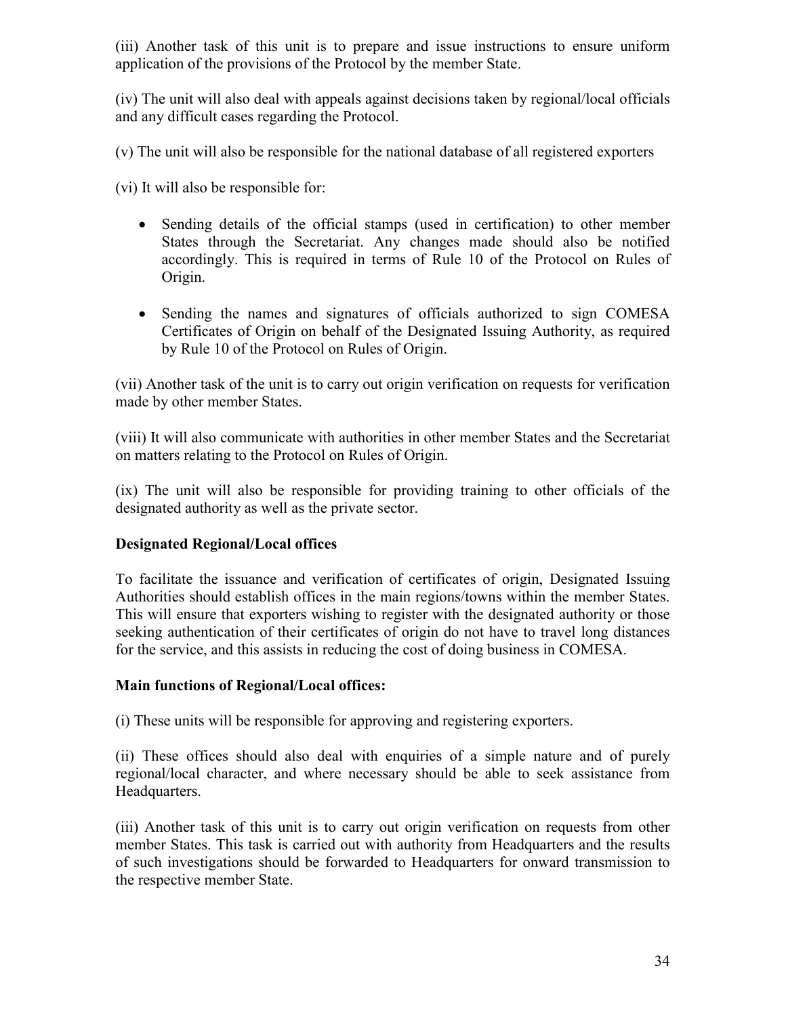(iii) Another task of this unit is to prepare and issue instructions to ensure uniform application of the provisions of the Protocol by the member State.

(iv) The unit will also deal with appeals against decisions taken by regional/local officials and any difficult cases regarding the Protocol.

(v) The unit will also be responsible for the national database of all registered exporters

(vi) It will also be responsible for:

- Sending details of the official stamps (used in certification) to other member States through the Secretariat. Any changes made should also be notified accordingly. This is required in terms of Rule 10 of the Protocol on Rules of Origin.
- Sending the names and signatures of officials authorized to sign COMESA Certificates of Origin on behalf of the Designated Issuing Authority, as required by Rule 10 of the Protocol on Rules of Origin.

(vii) Another task of the unit is to carry out origin verification on requests for verification made by other member States.

(viii) It will also communicate with authorities in other member States and the Secretariat on matters relating to the Protocol on Rules of Origin.

(ix) The unit will also be responsible for providing training to other officials of the designated authority as well as the private sector.

#### **Designated Regional/Local offices**

To facilitate the issuance and verification of certificates of origin, Designated Issuing Authorities should establish offices in the main regions/towns within the member States. This will ensure that exporters wishing to register with the designated authority or those seeking authentication of their certificates of origin do not have to travel long distances for the service, and this assists in reducing the cost of doing business in COMESA.

#### **Main functions of Regional/Local offices:**

(i) These units will be responsible for approving and registering exporters.

(ii) These offices should also deal with enquiries of a simple nature and of purely regional/local character, and where necessary should be able to seek assistance from Headquarters.

(iii) Another task of this unit is to carry out origin verification on requests from other member States. This task is carried out with authority from Headquarters and the results of such investigations should be forwarded to Headquarters for onward transmission to the respective member State.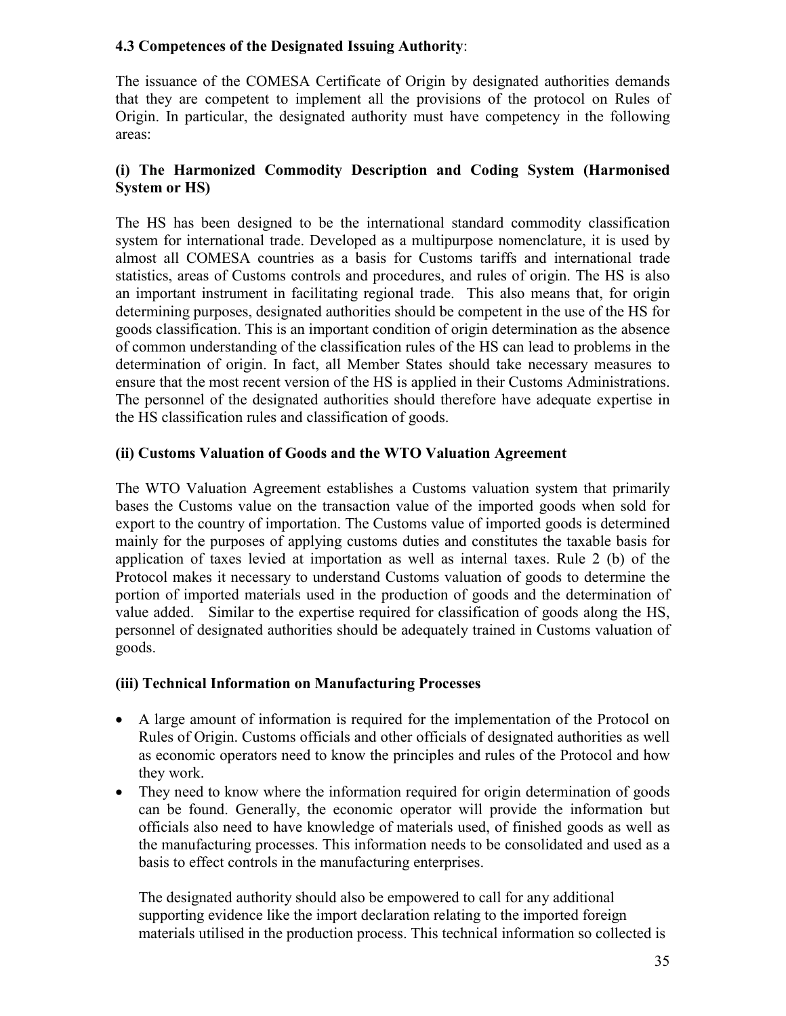#### **4.3 Competences of the Designated Issuing Authority**:

The issuance of the COMESA Certificate of Origin by designated authorities demands that they are competent to implement all the provisions of the protocol on Rules of Origin. In particular, the designated authority must have competency in the following areas:

#### **(i) The Harmonized Commodity Description and Coding System (Harmonised System or HS)**

The HS has been designed to be the international standard commodity classification system for international trade. Developed as a multipurpose nomenclature, it is used by almost all COMESA countries as a basis for Customs tariffs and international trade statistics, areas of Customs controls and procedures, and rules of origin. The HS is also an important instrument in facilitating regional trade. This also means that, for origin determining purposes, designated authorities should be competent in the use of the HS for goods classification. This is an important condition of origin determination as the absence of common understanding of the classification rules of the HS can lead to problems in the determination of origin. In fact, all Member States should take necessary measures to ensure that the most recent version of the HS is applied in their Customs Administrations. The personnel of the designated authorities should therefore have adequate expertise in the HS classification rules and classification of goods.

#### **(ii) Customs Valuation of Goods and the WTO Valuation Agreement**

The WTO Valuation Agreement establishes a Customs valuation system that primarily bases the Customs value on the transaction value of the imported goods when sold for export to the country of importation. The Customs value of imported goods is determined mainly for the purposes of applying customs duties and constitutes the taxable basis for application of taxes levied at importation as well as internal taxes. Rule 2 (b) of the Protocol makes it necessary to understand Customs valuation of goods to determine the portion of imported materials used in the production of goods and the determination of value added. Similar to the expertise required for classification of goods along the HS, personnel of designated authorities should be adequately trained in Customs valuation of goods.

#### **(iii) Technical Information on Manufacturing Processes**

- A large amount of information is required for the implementation of the Protocol on Rules of Origin. Customs officials and other officials of designated authorities as well as economic operators need to know the principles and rules of the Protocol and how they work.
- They need to know where the information required for origin determination of goods can be found. Generally, the economic operator will provide the information but officials also need to have knowledge of materials used, of finished goods as well as the manufacturing processes. This information needs to be consolidated and used as a basis to effect controls in the manufacturing enterprises.

The designated authority should also be empowered to call for any additional supporting evidence like the import declaration relating to the imported foreign materials utilised in the production process. This technical information so collected is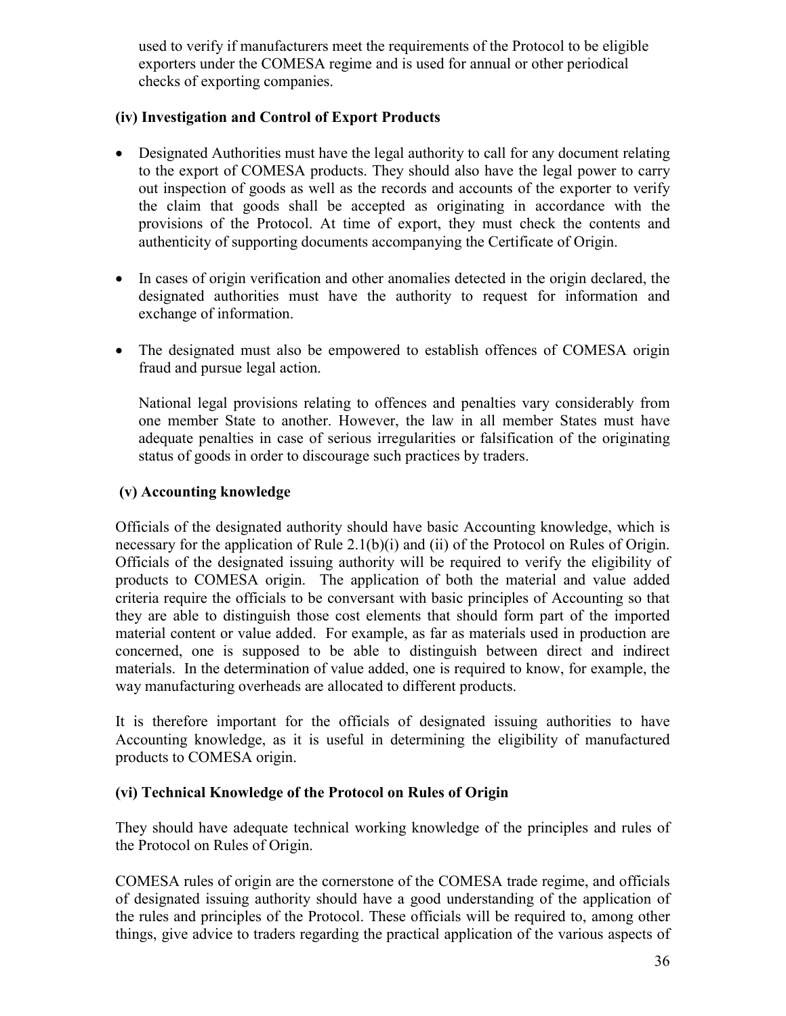used to verify if manufacturers meet the requirements of the Protocol to be eligible exporters under the COMESA regime and is used for annual or other periodical checks of exporting companies.

#### **(iv) Investigation and Control of Export Products**

- Designated Authorities must have the legal authority to call for any document relating to the export of COMESA products. They should also have the legal power to carry out inspection of goods as well as the records and accounts of the exporter to verify the claim that goods shall be accepted as originating in accordance with the provisions of the Protocol. At time of export, they must check the contents and authenticity of supporting documents accompanying the Certificate of Origin.
- In cases of origin verification and other anomalies detected in the origin declared, the designated authorities must have the authority to request for information and exchange of information.
- The designated must also be empowered to establish offences of COMESA origin fraud and pursue legal action.

National legal provisions relating to offences and penalties vary considerably from one member State to another. However, the law in all member States must have adequate penalties in case of serious irregularities or falsification of the originating status of goods in order to discourage such practices by traders.

#### **(v) Accounting knowledge**

Officials of the designated authority should have basic Accounting knowledge, which is necessary for the application of Rule 2.1(b)(i) and (ii) of the Protocol on Rules of Origin. Officials of the designated issuing authority will be required to verify the eligibility of products to COMESA origin. The application of both the material and value added criteria require the officials to be conversant with basic principles of Accounting so that they are able to distinguish those cost elements that should form part of the imported material content or value added. For example, as far as materials used in production are concerned, one is supposed to be able to distinguish between direct and indirect materials. In the determination of value added, one is required to know, for example, the way manufacturing overheads are allocated to different products.

It is therefore important for the officials of designated issuing authorities to have Accounting knowledge, as it is useful in determining the eligibility of manufactured products to COMESA origin.

#### **(vi) Technical Knowledge of the Protocol on Rules of Origin**

They should have adequate technical working knowledge of the principles and rules of the Protocol on Rules of Origin.

COMESA rules of origin are the cornerstone of the COMESA trade regime, and officials of designated issuing authority should have a good understanding of the application of the rules and principles of the Protocol. These officials will be required to, among other things, give advice to traders regarding the practical application of the various aspects of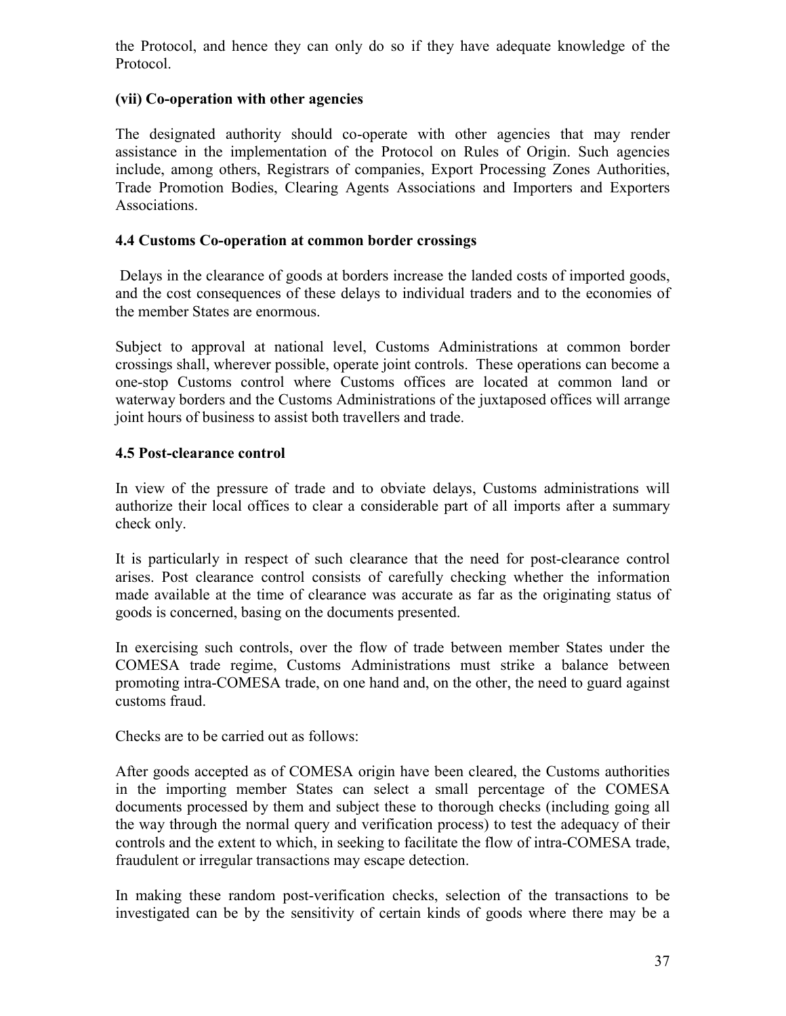the Protocol, and hence they can only do so if they have adequate knowledge of the Protocol.

#### **(vii) Co-operation with other agencies**

The designated authority should co-operate with other agencies that may render assistance in the implementation of the Protocol on Rules of Origin. Such agencies include, among others, Registrars of companies, Export Processing Zones Authorities, Trade Promotion Bodies, Clearing Agents Associations and Importers and Exporters Associations.

#### **4.4 Customs Co-operation at common border crossings**

 Delays in the clearance of goods at borders increase the landed costs of imported goods, and the cost consequences of these delays to individual traders and to the economies of the member States are enormous.

Subject to approval at national level, Customs Administrations at common border crossings shall, wherever possible, operate joint controls. These operations can become a one-stop Customs control where Customs offices are located at common land or waterway borders and the Customs Administrations of the juxtaposed offices will arrange joint hours of business to assist both travellers and trade.

#### **4.5 Post-clearance control**

In view of the pressure of trade and to obviate delays, Customs administrations will authorize their local offices to clear a considerable part of all imports after a summary check only.

It is particularly in respect of such clearance that the need for post-clearance control arises. Post clearance control consists of carefully checking whether the information made available at the time of clearance was accurate as far as the originating status of goods is concerned, basing on the documents presented.

In exercising such controls, over the flow of trade between member States under the COMESA trade regime, Customs Administrations must strike a balance between promoting intra-COMESA trade, on one hand and, on the other, the need to guard against customs fraud.

Checks are to be carried out as follows:

After goods accepted as of COMESA origin have been cleared, the Customs authorities in the importing member States can select a small percentage of the COMESA documents processed by them and subject these to thorough checks (including going all the way through the normal query and verification process) to test the adequacy of their controls and the extent to which, in seeking to facilitate the flow of intra-COMESA trade, fraudulent or irregular transactions may escape detection.

In making these random post-verification checks, selection of the transactions to be investigated can be by the sensitivity of certain kinds of goods where there may be a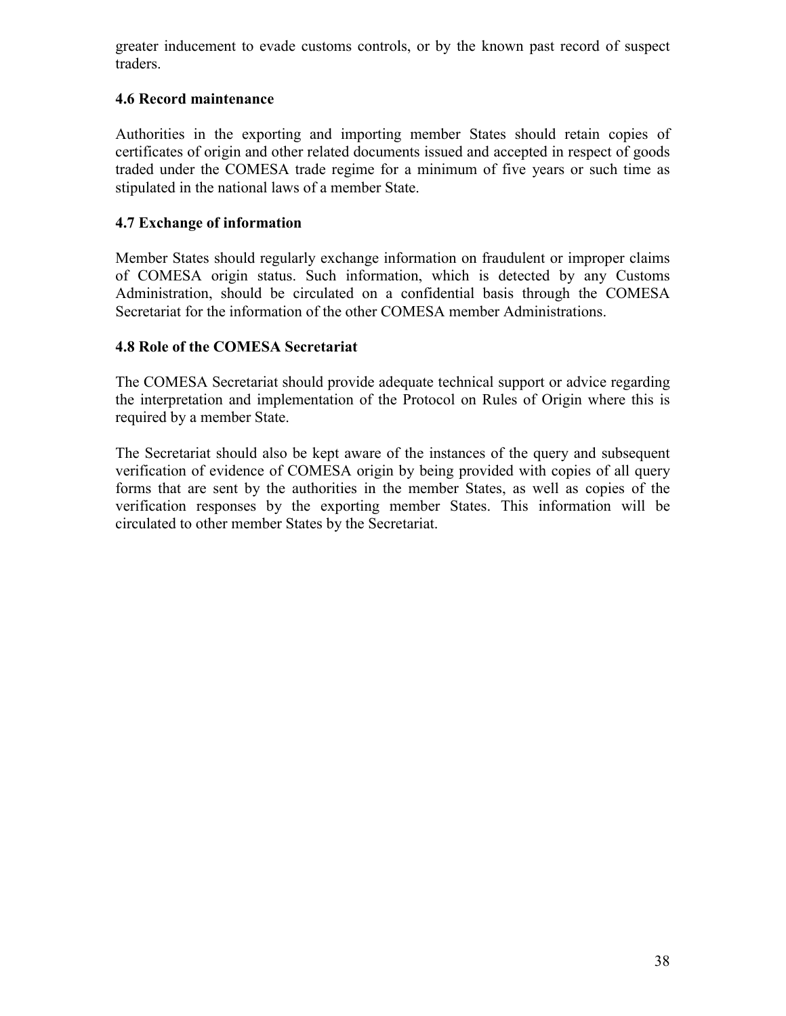greater inducement to evade customs controls, or by the known past record of suspect traders.

#### **4.6 Record maintenance**

Authorities in the exporting and importing member States should retain copies of certificates of origin and other related documents issued and accepted in respect of goods traded under the COMESA trade regime for a minimum of five years or such time as stipulated in the national laws of a member State.

#### **4.7 Exchange of information**

Member States should regularly exchange information on fraudulent or improper claims of COMESA origin status. Such information, which is detected by any Customs Administration, should be circulated on a confidential basis through the COMESA Secretariat for the information of the other COMESA member Administrations.

#### **4.8 Role of the COMESA Secretariat**

The COMESA Secretariat should provide adequate technical support or advice regarding the interpretation and implementation of the Protocol on Rules of Origin where this is required by a member State.

The Secretariat should also be kept aware of the instances of the query and subsequent verification of evidence of COMESA origin by being provided with copies of all query forms that are sent by the authorities in the member States, as well as copies of the verification responses by the exporting member States. This information will be circulated to other member States by the Secretariat.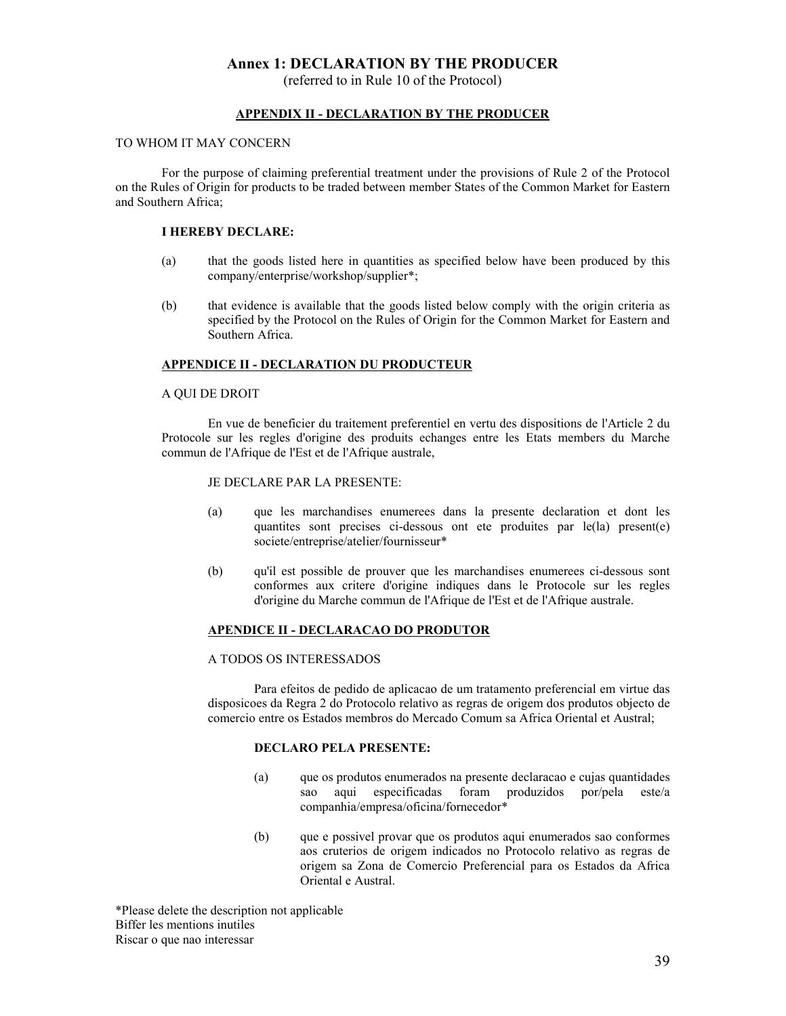#### **Annex 1: DECLARATION BY THE PRODUCER**

(referred to in Rule 10 of the Protocol)

#### **APPENDIX II - DECLARATION BY THE PRODUCER**

#### TO WHOM IT MAY CONCERN

For the purpose of claiming preferential treatment under the provisions of Rule 2 of the Protocol on the Rules of Origin for products to be traded between member States of the Common Market for Eastern and Southern Africa;

#### **I HEREBY DECLARE:**

- (a) that the goods listed here in quantities as specified below have been produced by this company/enterprise/workshop/supplier\*;
- (b) that evidence is available that the goods listed below comply with the origin criteria as specified by the Protocol on the Rules of Origin for the Common Market for Eastern and Southern Africa.

#### **APPENDICE II - DECLARATION DU PRODUCTEUR**

#### A QUI DE DROIT

En vue de beneficier du traitement preferentiel en vertu des dispositions de l'Article 2 du Protocole sur les regles d'origine des produits echanges entre les Etats members du Marche commun de l'Afrique de l'Est et de l'Afrique australe,

#### JE DECLARE PAR LA PRESENTE:

- (a) que les marchandises enumerees dans la presente declaration et dont les quantites sont precises ci-dessous ont ete produites par le(la) present(e) societe/entreprise/atelier/fournisseur\*
- (b) qu'il est possible de prouver que les marchandises enumerees ci-dessous sont conformes aux critere d'origine indiques dans le Protocole sur les regles d'origine du Marche commun de l'Afrique de l'Est et de l'Afrique australe.

#### **APENDICE II - DECLARACAO DO PRODUTOR**

#### A TODOS OS INTERESSADOS

Para efeitos de pedido de aplicacao de um tratamento preferencial em virtue das disposicoes da Regra 2 do Protocolo relativo as regras de origem dos produtos objecto de comercio entre os Estados membros do Mercado Comum sa Africa Oriental et Austral;

#### **DECLARO PELA PRESENTE:**

- (a) que os produtos enumerados na presente declaracao e cujas quantidades sao aqui especificadas foram produzidos por/pela este/a companhia/empresa/oficina/fornecedor\*
- (b) que e possivel provar que os produtos aqui enumerados sao conformes aos cruterios de origem indicados no Protocolo relativo as regras de origem sa Zona de Comercio Preferencial para os Estados da Africa Oriental e Austral.

\*Please delete the description not applicable Biffer les mentions inutiles Riscar o que nao interessar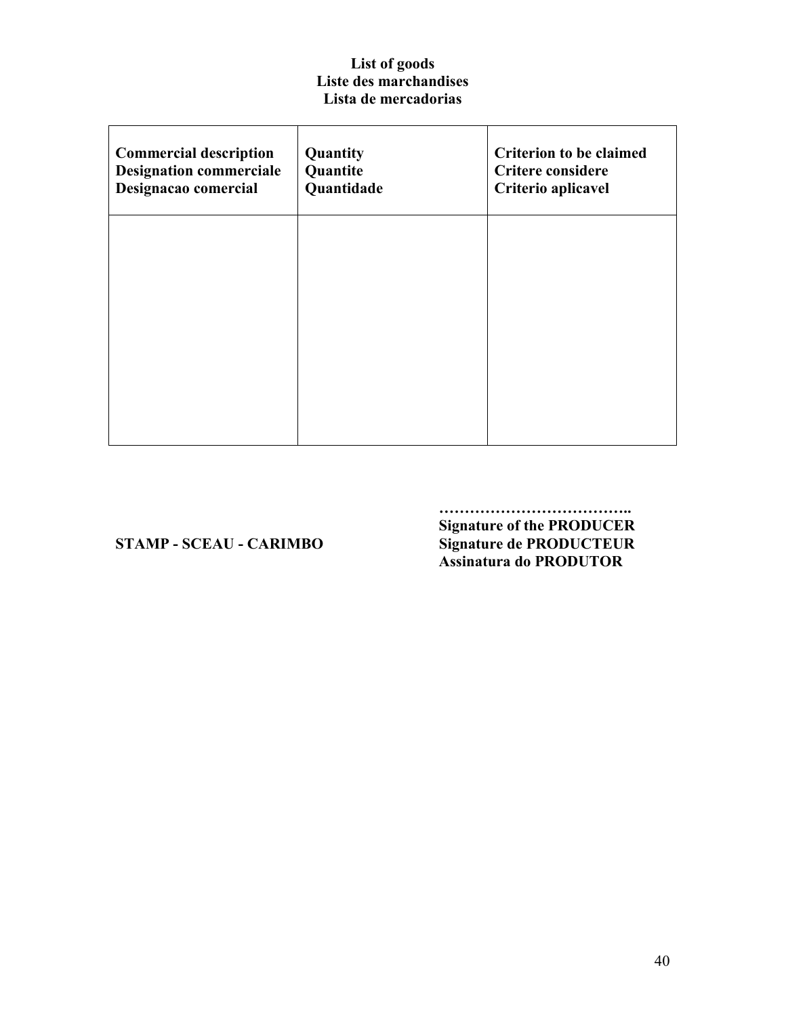### **List of goods Liste des marchandises Lista de mercadorias**

| <b>Commercial description</b><br><b>Designation commerciale</b><br>Designacao comercial | Quantity<br>Quantite<br>Quantidade | <b>Criterion to be claimed</b><br><b>Critere considere</b><br>Criterio aplicavel |
|-----------------------------------------------------------------------------------------|------------------------------------|----------------------------------------------------------------------------------|
|                                                                                         |                                    |                                                                                  |
|                                                                                         |                                    |                                                                                  |
|                                                                                         |                                    |                                                                                  |

**……………………………….. Signature of the PRODUCER STAMP - SCEAU - CARIMBO Signature de PRODUCTEUR Assinatura do PRODUTOR**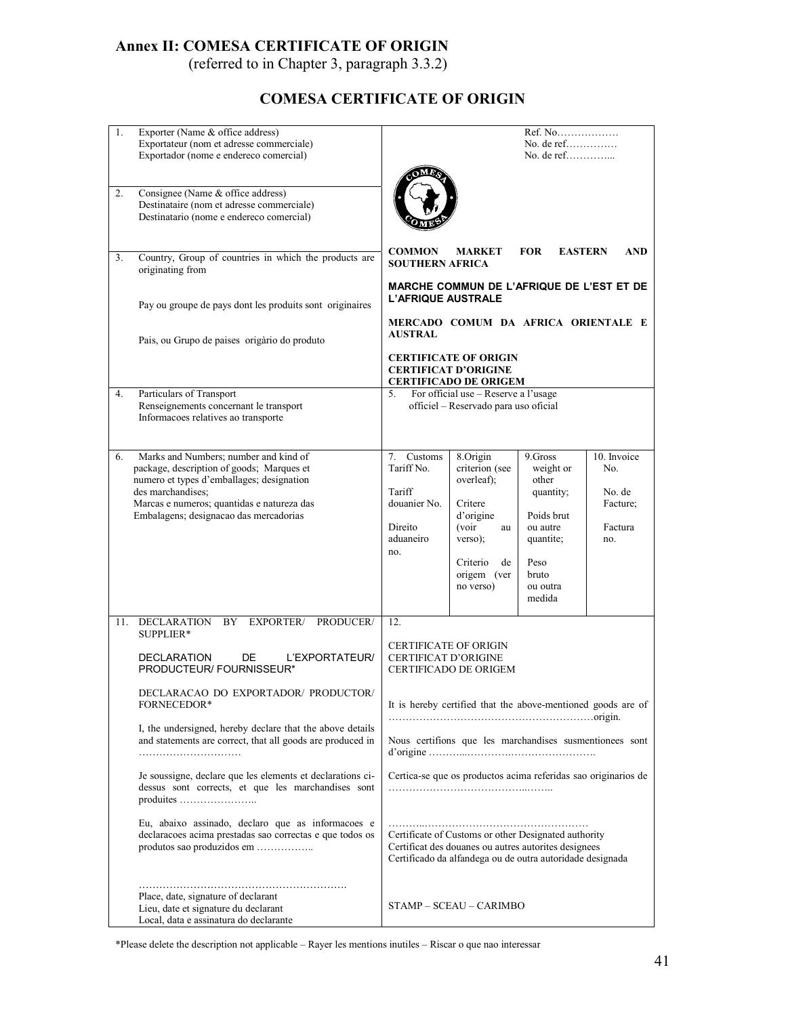# **Annex II: COMESA CERTIFICATE OF ORIGIN**

(referred to in Chapter 3, paragraph 3.3.2)

# **COMESA CERTIFICATE OF ORIGIN**

| 1.  | Exporter (Name & office address)<br>Exportateur (nom et adresse commerciale)<br>Exportador (nome e endereco comercial)                                                                                                                       |                                                                                                                                                                                                                                                                                                                                                                                                                            |  |
|-----|----------------------------------------------------------------------------------------------------------------------------------------------------------------------------------------------------------------------------------------------|----------------------------------------------------------------------------------------------------------------------------------------------------------------------------------------------------------------------------------------------------------------------------------------------------------------------------------------------------------------------------------------------------------------------------|--|
| 2.  | Consignee (Name & office address)<br>Destinataire (nom et adresse commerciale)<br>Destinatario (nome e endereco comercial)                                                                                                                   |                                                                                                                                                                                                                                                                                                                                                                                                                            |  |
| 3.  | Country, Group of countries in which the products are<br>originating from                                                                                                                                                                    | <b>COMMON</b><br><b>MARKET</b><br><b>FOR</b><br><b>EASTERN</b><br><b>AND</b><br><b>SOUTHERN AFRICA</b>                                                                                                                                                                                                                                                                                                                     |  |
|     | Pay ou groupe de pays dont les produits sont originaires                                                                                                                                                                                     | MARCHE COMMUN DE L'AFRIQUE DE L'EST ET DE<br><b>L'AFRIQUE AUSTRALE</b><br>MERCADO COMUM DA AFRICA ORIENTALE E                                                                                                                                                                                                                                                                                                              |  |
|     | Pais, ou Grupo de paises origàrio do produto                                                                                                                                                                                                 | <b>AUSTRAL</b><br><b>CERTIFICATE OF ORIGIN</b><br><b>CERTIFICAT D'ORIGINE</b><br><b>CERTIFICADO DE ORIGEM</b>                                                                                                                                                                                                                                                                                                              |  |
| 4.  | Particulars of Transport<br>Renseignements concernant le transport<br>Informacoes relatives ao transporte                                                                                                                                    | 5.<br>For official use - Reserve a l'usage<br>officiel - Reservado para uso oficial                                                                                                                                                                                                                                                                                                                                        |  |
| 6.  | Marks and Numbers; number and kind of<br>package, description of goods; Marques et<br>numero et types d'emballages; designation<br>des marchandises:<br>Marcas e numeros; quantidas e natureza das<br>Embalagens; designacao das mercadorias | 10. Invoice<br>7.<br>Customs<br>8.Origin<br>9.Gross<br>Tariff No.<br>criterion (see<br>No.<br>weight or<br>overleaf);<br>other<br>No. de<br>Tariff<br>quantity;<br>douanier No.<br>Critere<br>Facture;<br>d'origine<br>Poids brut<br>(voir<br>Direito<br>ou autre<br>Factura<br>au<br>aduaneiro<br>verso);<br>quantite;<br>no.<br>no.<br>Peso<br>Criterio<br>de<br>bruto<br>origem (ver<br>no verso)<br>ou outra<br>medida |  |
| 11. | EXPORTER/ PRODUCER/<br>DECLARATION<br>BY<br>SUPPLIER*<br>DECLARATION<br>DE<br>L'EXPORTATEUR/<br>PRODUCTEUR/ FOURNISSEUR*                                                                                                                     | 12.<br><b>CERTIFICATE OF ORIGIN</b><br><b>CERTIFICAT D'ORIGINE</b><br><b>CERTIFICADO DE ORIGEM</b>                                                                                                                                                                                                                                                                                                                         |  |
|     | DECLARACAO DO EXPORTADOR/ PRODUCTOR/<br>FORNECEDOR*                                                                                                                                                                                          | It is hereby certified that the above-mentioned goods are of                                                                                                                                                                                                                                                                                                                                                               |  |
|     | I, the undersigned, hereby declare that the above details<br>and statements are correct, that all goods are produced in                                                                                                                      | Nous certifions que les marchandises susmentionees sont                                                                                                                                                                                                                                                                                                                                                                    |  |
|     | Je soussigne, declare que les elements et declarations ci-<br>dessus sont corrects, et que les marchandises sont<br>produites                                                                                                                | Certica-se que os productos acima referidas sao originarios de                                                                                                                                                                                                                                                                                                                                                             |  |
|     | Eu, abaixo assinado, declaro que as informacoes e<br>declaracoes acima prestadas sao correctas e que todos os<br>produtos sao produzidos em                                                                                                  | Certificate of Customs or other Designated authority<br>Certificat des douanes ou autres autorites designees<br>Certificado da alfandega ou de outra autoridade designada                                                                                                                                                                                                                                                  |  |
|     | Place, date, signature of declarant<br>Lieu, date et signature du declarant<br>Local, data e assinatura do declarante                                                                                                                        | STAMP - SCEAU - CARIMBO                                                                                                                                                                                                                                                                                                                                                                                                    |  |

\*Please delete the description not applicable – Rayer les mentions inutiles – Riscar o que nao interessar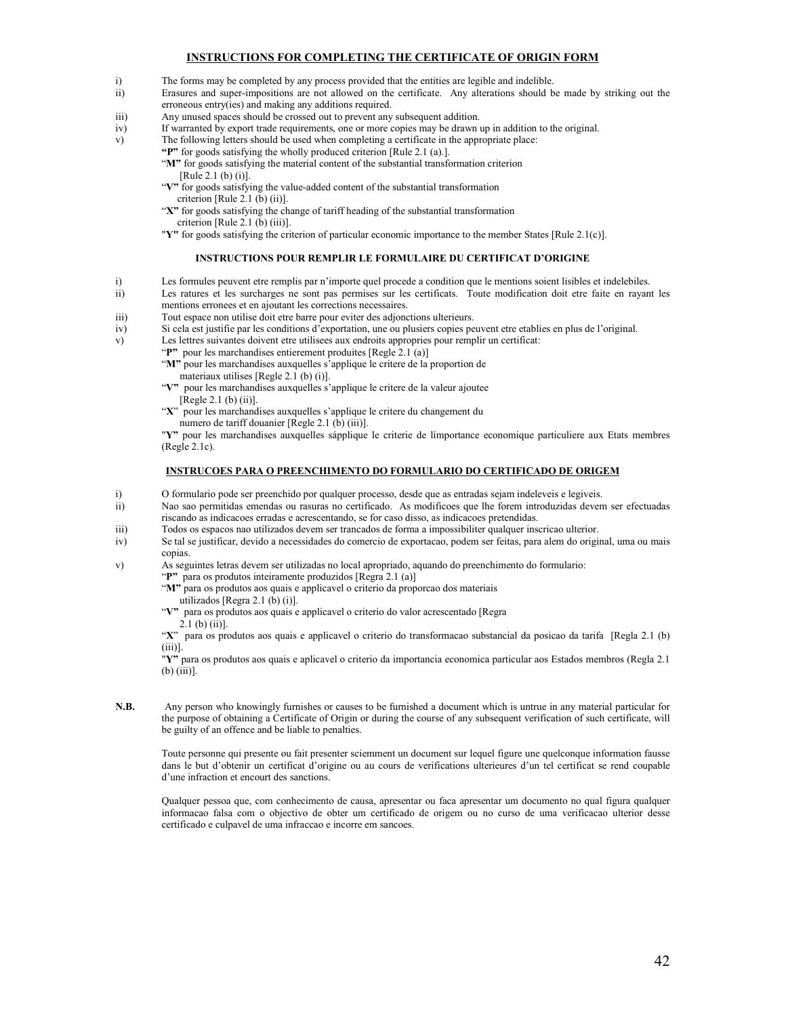#### **INSTRUCTIONS FOR COMPLETING THE CERTIFICATE OF ORIGIN FORM**

- i) The forms may be completed by any process provided that the entities are legible and indelible.
- ii) Erasures and super-impositions are not allowed on the certificate. Any alterations should be made by striking out the erroneous entry(ies) and making any additions required.
- iii) Any unused spaces should be crossed out to prevent any subsequent addition.
- iv) If warranted by export trade requirements, one or more copies may be drawn up in addition to the original.
- v) The following letters should be used when completing a certificate in the appropriate place:

**"P"** for goods satisfying the wholly produced criterion [Rule 2.1 (a).].

[Rule 2.1 (b) (i)]. "**V"** for goods satisfying the value-added content of the substantial transformation

- "**X"** for goods satisfying the change of tariff heading of the substantial transformation
	- criterion [Rule 2.1 (b) (iii)].
- "**Y"** for goods satisfying the criterion of particular economic importance to the member States [Rule 2.1(c)].

#### **INSTRUCTIONS POUR REMPLIR LE FORMULAIRE DU CERTIFICAT D'ORIGINE**

- i) Les formules peuvent etre remplis par n'importe quel procede a condition que le mentions soient lisibles et indelebiles.
- ii) Les ratures et les surcharges ne sont pas permises sur les certificats. Toute modification doit etre faite en rayant les mentions erronees et en ajoutant les corrections necessaires.
- iii) Tout espace non utilise doit etre barre pour eviter des adjonctions ulterieurs.
- iv) Si cela est justifie par les conditions d'exportation, une ou plusiers copies peuvent etre etablies en plus de l'original.
- v) Les lettres suivantes doivent etre utilisees aux endroits appropries pour remplir un certificat:
	- "**P**" pour les marchandises entierement produites [Regle 2.1 (a)]
		- "M" pour les marchandises auxquelles s'applique le critere de la proportion de materiaux utilises [Regle 2.1 (b) (i)].
		- "**V"** pour les marchandises auxquelles s'applique le critere de la valeur ajoutee [Regle 2.1 (b) (ii)].
	- "**X**" pour les marchandises auxquelles s'applique le critere du changement du numero de tariff douanier [Regle 2.1 (b) (iii)].

"**Y"** pour les marchandises auxquelles sápplique le criterie de límportance economique particuliere aux Etats membres (Regle 2.1c).

#### **INSTRUCOES PARA O PREENCHIMENTO DO FORMULARIO DO CERTIFICADO DE ORIGEM**

- i) O formulario pode ser preenchido por qualquer processo, desde que as entradas sejam indeleveis e legiveis.<br>ii) Nao sao permitidas emendas ou rasuras no certificado. As modificoes que lhe forem introduzidas dever
- Nao sao permitidas emendas ou rasuras no certificado. As modificoes que lhe forem introduzidas devem ser efectuadas riscando as indicacoes erradas e acrescentando, se for caso disso, as indicacoes pretendidas.
- iii) Todos os espacos nao utilizados devem ser trancados de forma a impossibiliter qualquer inscricao ulterior.
- iv) Se tal se justificar, devido a necessidades do comercio de exportacao, podem ser feitas, para alem do original, uma ou mais copias.
- v) As seguintes letras devem ser utilizadas no local apropriado, aquando do preenchimento do formulario:
	- "**P"** para os produtos inteiramente produzidos [Regra 2.1 (a)]
		- "M" para os produtos aos quais e applicavel o criterio da proporcao dos materiais
			- utilizados [Regra 2.1 (b) (i)].
		- "**V"** para os produtos aos quais e applicavel o criterio do valor acrescentado [Regra 2.1 (b) (ii)].

"**X**" para os produtos aos quais e applicavel o criterio do transformacao substancial da posicao da tarifa [Regla 2.1 (b)  $(iii)$ ].

"**Y"** para os produtos aos quais e aplicavel o criterio da importancia economica particular aos Estados membros (Regla 2.1 (b) (iii)].

**N.B.** Any person who knowingly furnishes or causes to be furnished a document which is untrue in any material particular for the purpose of obtaining a Certificate of Origin or during the course of any subsequent verification of such certificate, will be guilty of an offence and be liable to penalties.

Toute personne qui presente ou fait presenter sciemment un document sur lequel figure une quelconque information fausse dans le but d'obtenir un certificat d'origine ou au cours de verifications ulterieures d'un tel certificat se rend coupable d'une infraction et encourt des sanctions.

Qualquer pessoa que, com conhecimento de causa, apresentar ou faca apresentar um documento no qual figura qualquer informacao falsa com o objectivo de obter um certificado de origem ou no curso de uma verificacao ulterior desse certificado e culpavel de uma infraccao e incorre em sancoes.

<sup>&</sup>quot;M" for goods satisfying the material content of the substantial transformation criterion

criterion [Rule 2.1 (b) (ii)].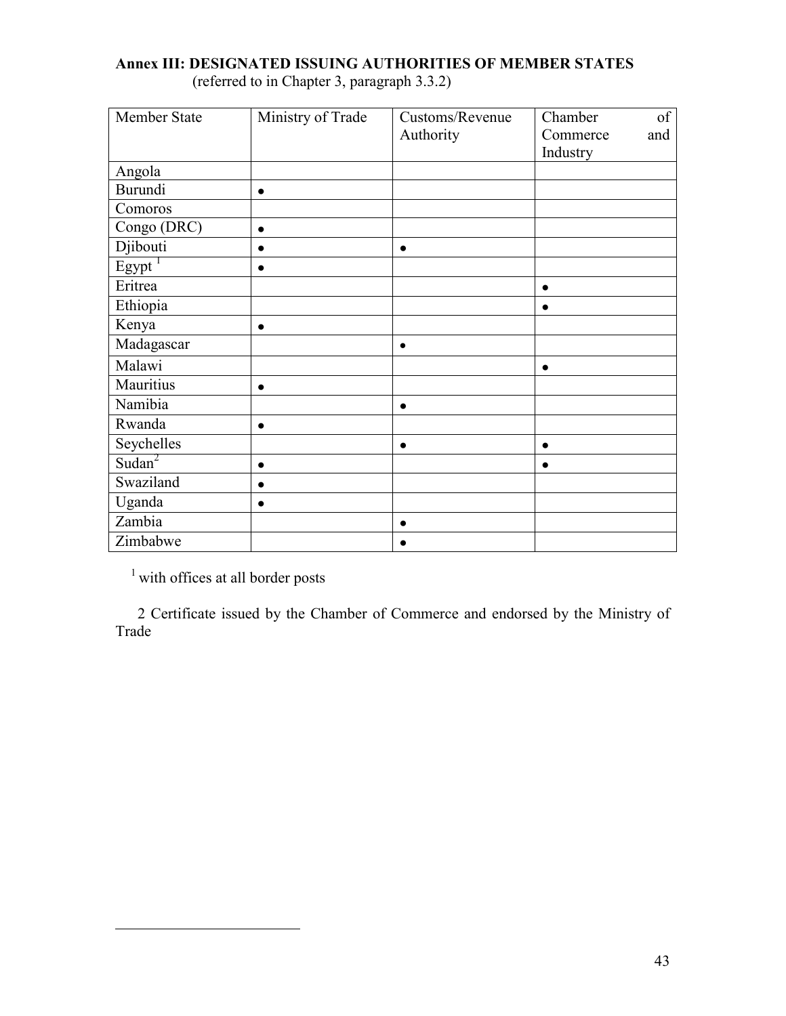| Member State       | Ministry of Trade | Customs/Revenue | of<br>Chamber   |
|--------------------|-------------------|-----------------|-----------------|
|                    |                   | Authority       | Commerce<br>and |
|                    |                   |                 | Industry        |
| Angola             |                   |                 |                 |
| <b>Burundi</b>     | $\bullet$         |                 |                 |
| Comoros            |                   |                 |                 |
| Congo (DRC)        | $\bullet$         |                 |                 |
| Djibouti           | $\bullet$         | $\bullet$       |                 |
| Egypt              |                   |                 |                 |
| Eritrea            |                   |                 |                 |
| Ethiopia           |                   |                 |                 |
| Kenya              | $\bullet$         |                 |                 |
| Madagascar         |                   | $\bullet$       |                 |
| Malawi             |                   |                 | $\bullet$       |
| Mauritius          | $\bullet$         |                 |                 |
| Namibia            |                   | $\bullet$       |                 |
| Rwanda             |                   |                 |                 |
| Seychelles         |                   | $\bullet$       | $\bullet$       |
| Sudan <sup>2</sup> | $\bullet$         |                 |                 |
| Swaziland          | $\bullet$         |                 |                 |
| Uganda             | $\bullet$         |                 |                 |
| Zambia             |                   | $\bullet$       |                 |
| Zimbabwe           |                   |                 |                 |

# <span id="page-42-0"></span>**Annex III: DESIGNATED ISSUING AUTHORITIES OF MEMBER STATES**

(referred to in Chapter 3, paragraph 3.3.2)

<sup>1</sup> with offices at all border posts

 $\overline{a}$ 

 2 Certificate issued by the Chamber of Commerce and endorsed by the Ministry of Trade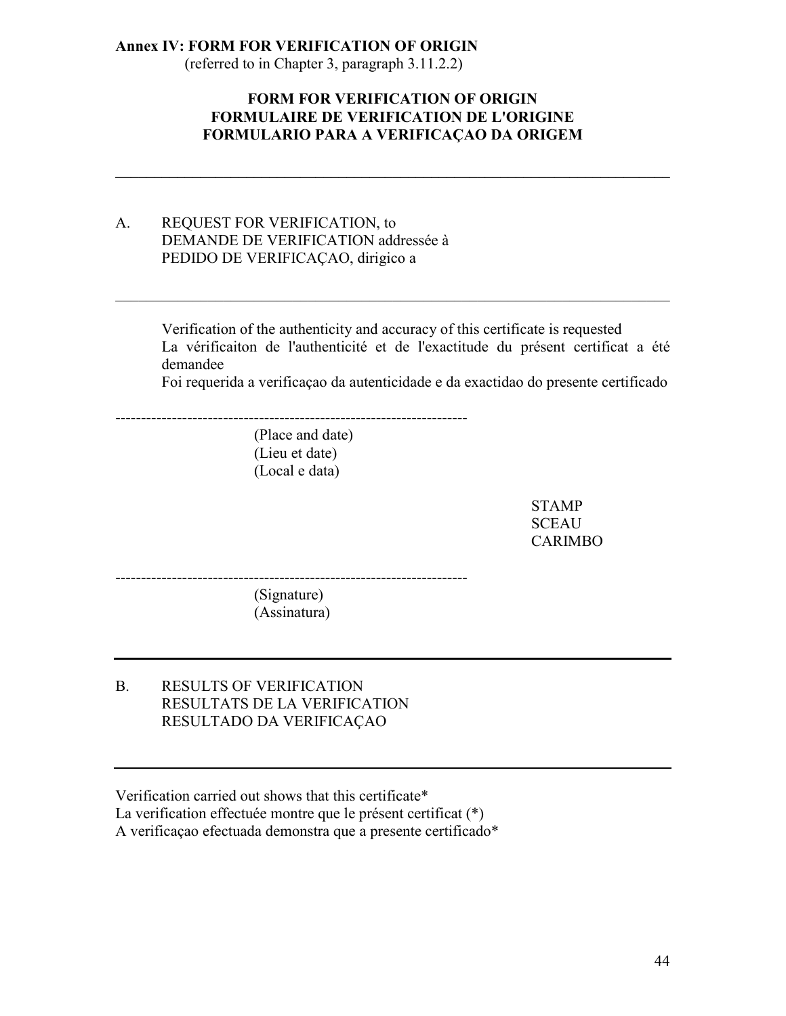#### **Annex IV: FORM FOR VERIFICATION OF ORIGIN**

(referred to in Chapter 3, paragraph 3.11.2.2)

#### **FORM FOR VERIFICATION OF ORIGIN FORMULAIRE DE VERIFICATION DE L'ORIGINE FORMULARIO PARA A VERIFICAÇAO DA ORIGEM**

 $\mathcal{L}_\mathcal{L} = \mathcal{L}_\mathcal{L} - \mathcal{L}_\mathcal{L}$ 

 $\mathcal{L}_\text{max}$  , and the contribution of the contribution of the contribution of the contribution of the contribution of the contribution of the contribution of the contribution of the contribution of the contribution of t

#### A. REQUEST FOR VERIFICATION, to DEMANDE DE VERIFICATION addressée à PEDIDO DE VERIFICAÇAO, dirigico a

Verification of the authenticity and accuracy of this certificate is requested La vérificaiton de l'authenticité et de l'exactitude du présent certificat a été demandee

Foi requerida a verificaçao da autenticidade e da exactidao do presente certificado

(Place and date) (Lieu et date) (Local e data)

---------------------------------------------------------------------

STAMP **SCEAU** CARIMBO

--------------------------------------------------------------------- (Signature) (Assinatura)

B. RESULTS OF VERIFICATION RESULTATS DE LA VERIFICATION RESULTADO DA VERIFICAÇAO

Verification carried out shows that this certificate\* La verification effectuée montre que le présent certificat (\*) A verificaçao efectuada demonstra que a presente certificado\*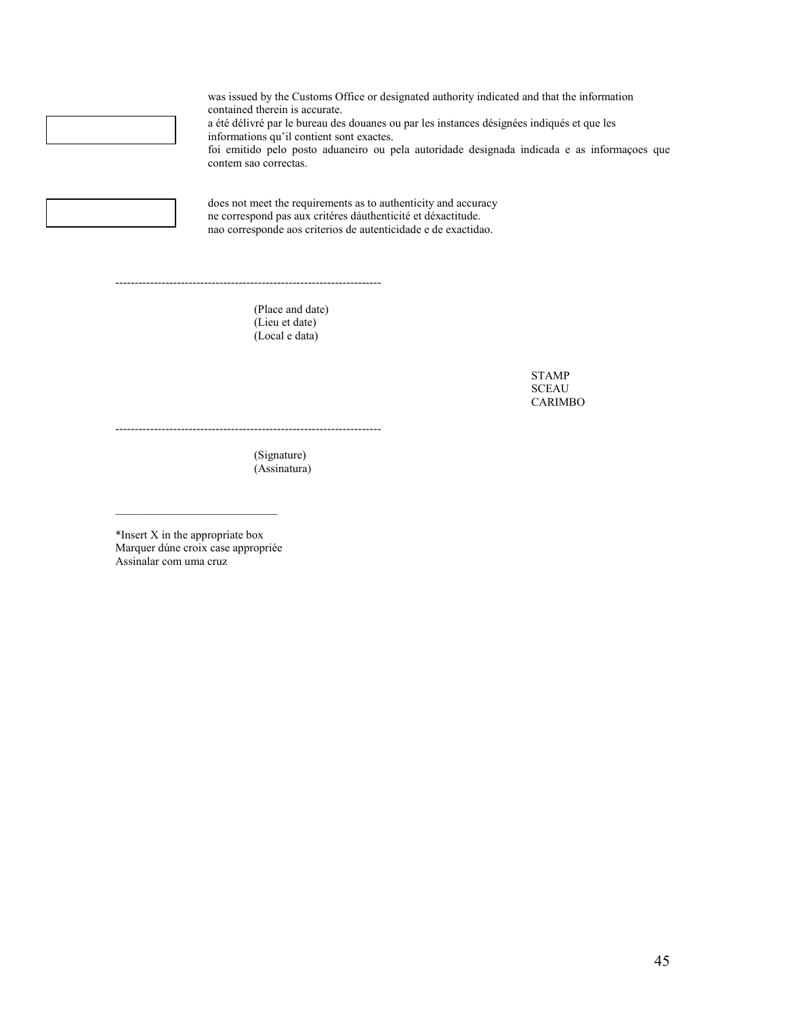

was issued by the Customs Office or designated authority indicated and that the information contained therein is accurate. a été délivré par le bureau des douanes ou par les instances désignées indiqués et que les informations qu'il contient sont exactes. foi emitido pelo posto aduaneiro ou pela autoridade designada indicada e as informaçoes que contem sao correctas.

does not meet the requirements as to authenticity and accuracy ne correspond pas aux critéres dáuthenticité et déxactitude. nao corresponde aos criterios de autenticidade e de exactidao.

> (Place and date) (Lieu et date) (Local e data)

---------------------------------------------------------------------

STAMP **SCEAU** CARIMBO

(Signature) (Assinatura)

---------------------------------------------------------------------

\*Insert X in the appropriate box Marquer dúne croix case appropriée Assinalar com uma cruz

 $\mathcal{L}_\text{max}$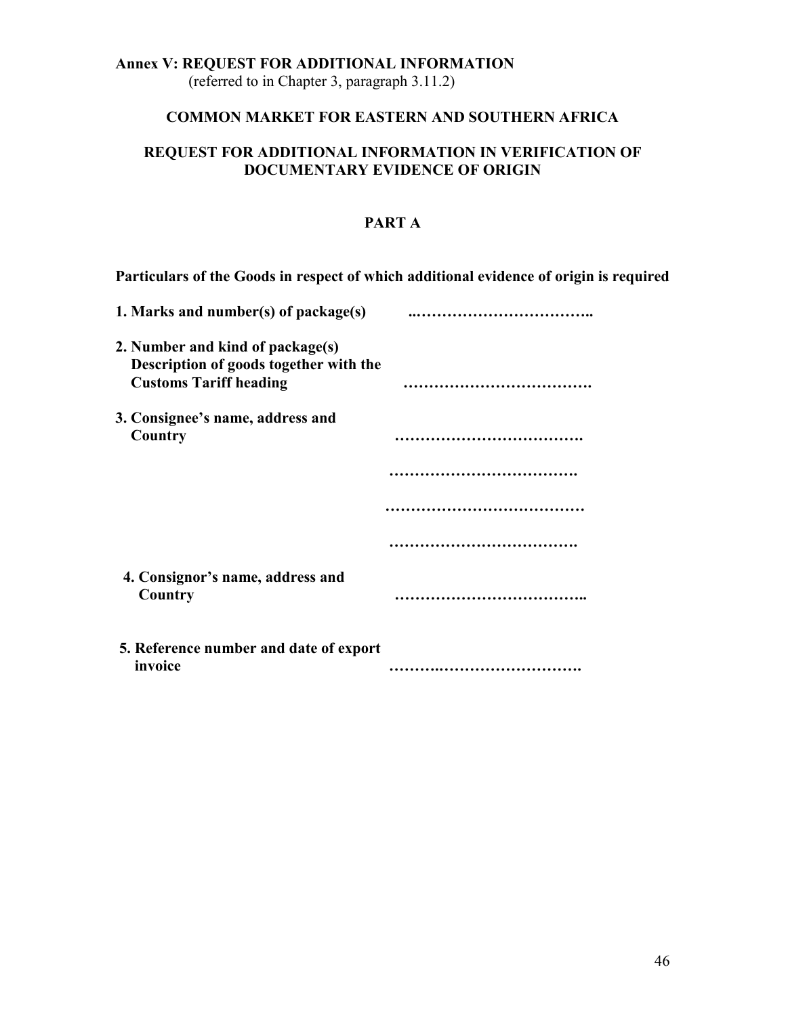### **Annex V: REQUEST FOR ADDITIONAL INFORMATION**

(referred to in Chapter 3, paragraph 3.11.2)

#### **COMMON MARKET FOR EASTERN AND SOUTHERN AFRICA**

#### **REQUEST FOR ADDITIONAL INFORMATION IN VERIFICATION OF DOCUMENTARY EVIDENCE OF ORIGIN**

#### **PART A**

**Particulars of the Goods in respect of which additional evidence of origin is required**

| 1. Marks and number(s) of package(s)                                                                        |  |
|-------------------------------------------------------------------------------------------------------------|--|
| 2. Number and kind of package(s)<br>Description of goods together with the<br><b>Customs Tariff heading</b> |  |
| 3. Consignee's name, address and<br>Country                                                                 |  |
|                                                                                                             |  |
|                                                                                                             |  |
|                                                                                                             |  |
| 4. Consignor's name, address and<br>Country                                                                 |  |
| 5. Reference number and date of export<br>invoice                                                           |  |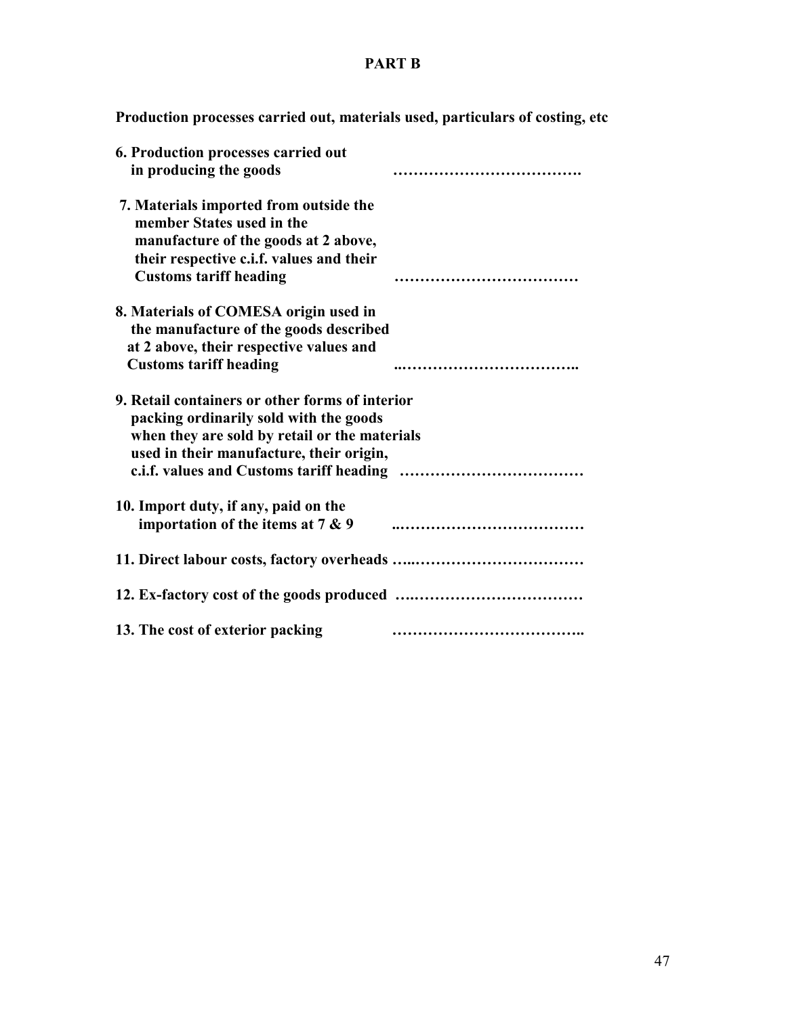# **PART B**

**Production processes carried out, materials used, particulars of costing, etc**

| 6. Production processes carried out             |  |
|-------------------------------------------------|--|
| in producing the goods                          |  |
| 7. Materials imported from outside the          |  |
| member States used in the                       |  |
| manufacture of the goods at 2 above,            |  |
| their respective c.i.f. values and their        |  |
| <b>Customs tariff heading</b>                   |  |
| 8. Materials of COMESA origin used in           |  |
| the manufacture of the goods described          |  |
| at 2 above, their respective values and         |  |
| <b>Customs tariff heading</b>                   |  |
| 9. Retail containers or other forms of interior |  |
| packing ordinarily sold with the goods          |  |
| when they are sold by retail or the materials   |  |
| used in their manufacture, their origin,        |  |
|                                                 |  |
| 10. Import duty, if any, paid on the            |  |
| importation of the items at $7 & 9$             |  |
|                                                 |  |
|                                                 |  |
| 13. The cost of exterior packing                |  |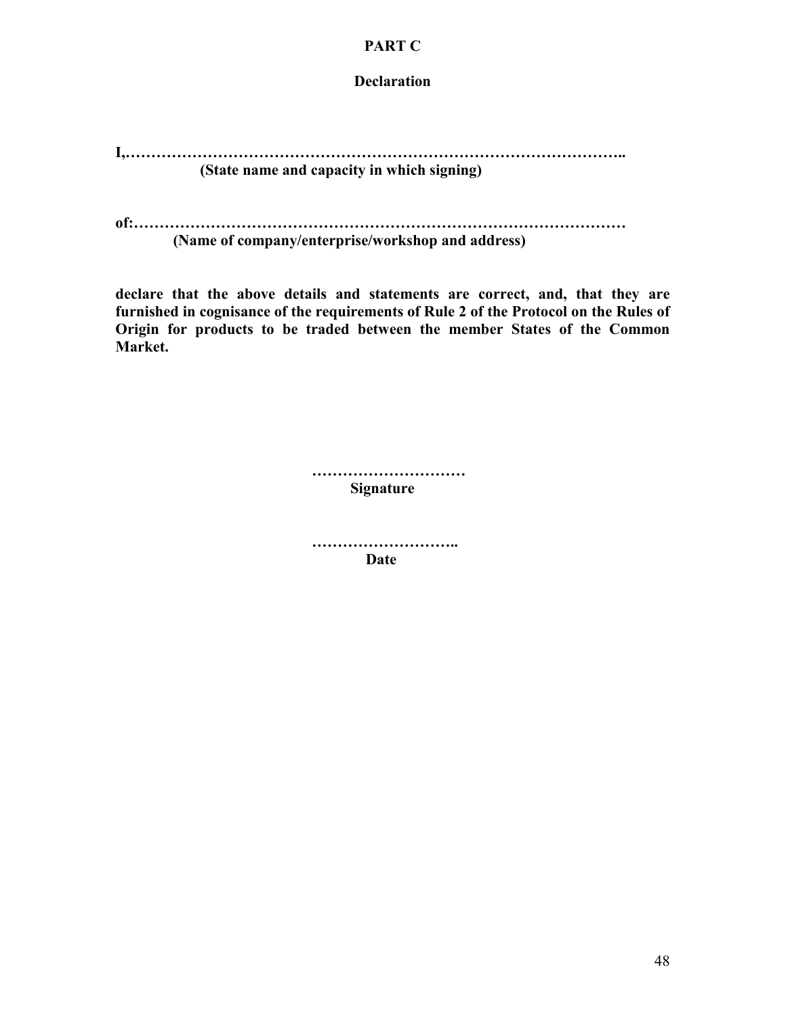#### **PART C**

**Declaration**

**I,…………………………………………………………………………………….. (State name and capacity in which signing)**

**of:…………………………………………………………………………………… (Name of company/enterprise/workshop and address)** 

**declare that the above details and statements are correct, and, that they are furnished in cognisance of the requirements of Rule 2 of the Protocol on the Rules of Origin for products to be traded between the member States of the Common Market.**

> **………………………… Signature**

 **………………………..** *Date*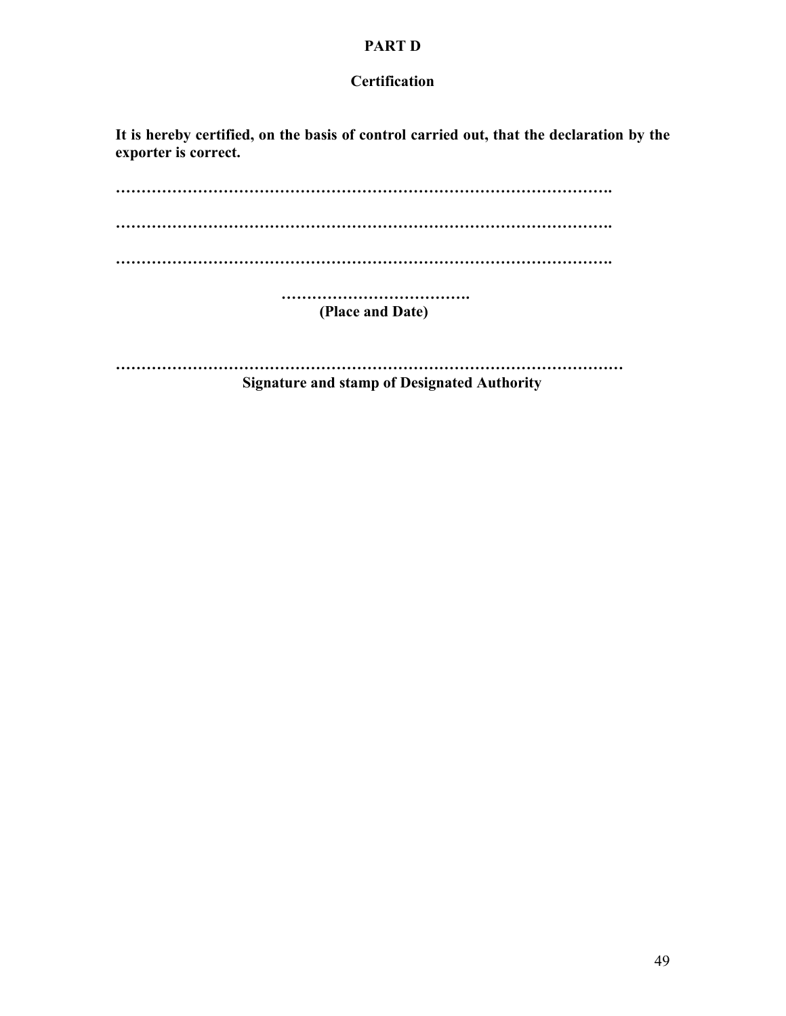#### **PART D**

#### **Certification**

**It is hereby certified, on the basis of control carried out, that the declaration by the exporter is correct.**

**……………………………………………………………………………………. ……………………………………………………………………………………. ……………………………………………………………………………………. ………………………………. (Place and Date) ………………………………………………………………………………………**

 **Signature and stamp of Designated Authority**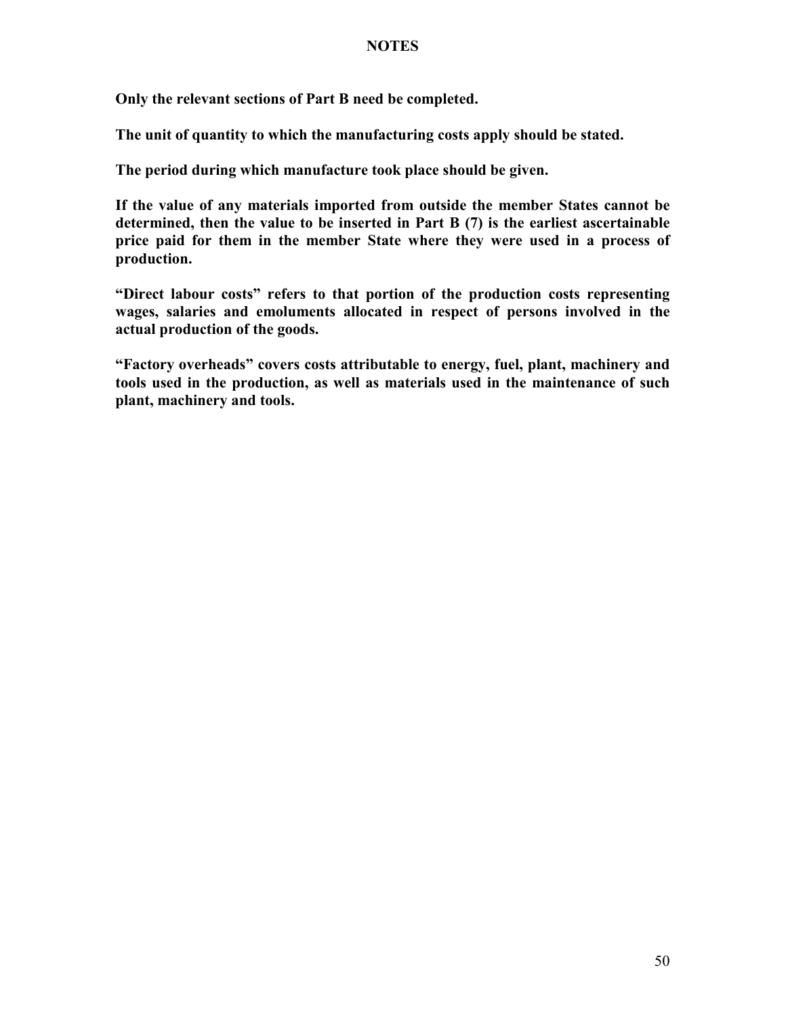#### **NOTES**

**Only the relevant sections of Part B need be completed.**

**The unit of quantity to which the manufacturing costs apply should be stated.**

**The period during which manufacture took place should be given.**

**If the value of any materials imported from outside the member States cannot be determined, then the value to be inserted in Part B (7) is the earliest ascertainable price paid for them in the member State where they were used in a process of production.**

**"Direct labour costs" refers to that portion of the production costs representing wages, salaries and emoluments allocated in respect of persons involved in the actual production of the goods.**

**"Factory overheads" covers costs attributable to energy, fuel, plant, machinery and tools used in the production, as well as materials used in the maintenance of such plant, machinery and tools.**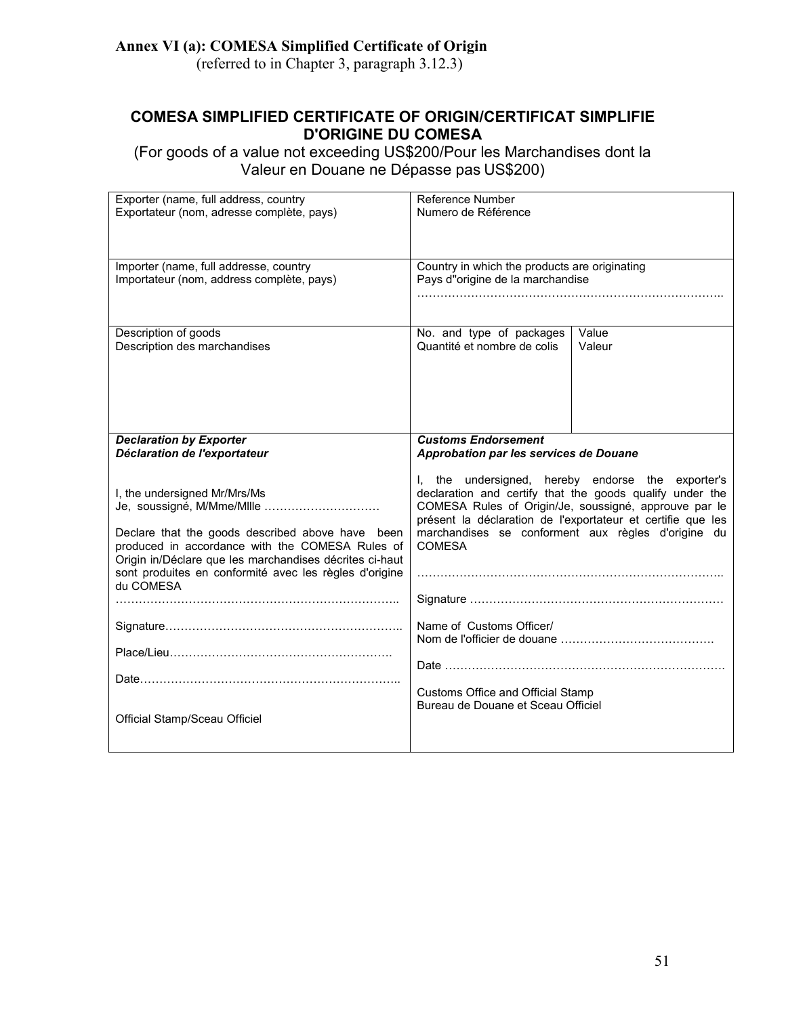## **Annex VI (a): COMESA Simplified Certificate of Origin**

(referred to in Chapter 3, paragraph 3.12.3)

## **COMESA SIMPLIFIED CERTIFICATE OF ORIGIN/CERTIFICAT SIMPLIFIE D'ORIGINE DU COMESA**

(For goods of a value not exceeding US\$200/Pour les Marchandises dont la Valeur en Douane ne Dépasse pas US\$200)

| Exporter (name, full address, country                                               | Reference Number                                                                                                  |        |  |  |
|-------------------------------------------------------------------------------------|-------------------------------------------------------------------------------------------------------------------|--------|--|--|
| Exportateur (nom, adresse complète, pays)                                           | Numero de Référence                                                                                               |        |  |  |
|                                                                                     |                                                                                                                   |        |  |  |
|                                                                                     |                                                                                                                   |        |  |  |
|                                                                                     |                                                                                                                   |        |  |  |
| Importer (name, full addresse, country<br>Importateur (nom, address complète, pays) | Country in which the products are originating<br>Pays d"origine de la marchandise                                 |        |  |  |
|                                                                                     |                                                                                                                   |        |  |  |
|                                                                                     |                                                                                                                   |        |  |  |
|                                                                                     |                                                                                                                   |        |  |  |
| Description of goods                                                                | No. and type of packages                                                                                          | Value  |  |  |
| Description des marchandises                                                        | Quantité et nombre de colis                                                                                       | Valeur |  |  |
|                                                                                     |                                                                                                                   |        |  |  |
|                                                                                     |                                                                                                                   |        |  |  |
|                                                                                     |                                                                                                                   |        |  |  |
|                                                                                     |                                                                                                                   |        |  |  |
|                                                                                     |                                                                                                                   |        |  |  |
| <b>Declaration by Exporter</b>                                                      | <b>Customs Endorsement</b>                                                                                        |        |  |  |
| Déclaration de l'exportateur                                                        | Approbation par les services de Douane                                                                            |        |  |  |
|                                                                                     |                                                                                                                   |        |  |  |
|                                                                                     | I, the undersigned, hereby endorse the exporter's                                                                 |        |  |  |
| I, the undersigned Mr/Mrs/Ms<br>Je, soussigné, M/Mme/MIIIe                          | declaration and certify that the goods qualify under the<br>COMESA Rules of Origin/Je, soussigné, approuve par le |        |  |  |
|                                                                                     | présent la déclaration de l'exportateur et certifie que les                                                       |        |  |  |
| Declare that the goods described above have been                                    | marchandises se conforment aux règles d'origine du                                                                |        |  |  |
| produced in accordance with the COMESA Rules of                                     | <b>COMESA</b>                                                                                                     |        |  |  |
| Origin in/Déclare que les marchandises décrites ci-haut                             |                                                                                                                   |        |  |  |
| sont produites en conformité avec les règles d'origine                              |                                                                                                                   |        |  |  |
| du COMESA                                                                           |                                                                                                                   |        |  |  |
|                                                                                     |                                                                                                                   |        |  |  |
|                                                                                     | Name of Customs Officer/                                                                                          |        |  |  |
|                                                                                     |                                                                                                                   |        |  |  |
|                                                                                     |                                                                                                                   |        |  |  |
|                                                                                     |                                                                                                                   |        |  |  |
|                                                                                     |                                                                                                                   |        |  |  |
|                                                                                     | Customs Office and Official Stamp                                                                                 |        |  |  |
|                                                                                     | Bureau de Douane et Sceau Officiel                                                                                |        |  |  |
| Official Stamp/Sceau Officiel                                                       |                                                                                                                   |        |  |  |
|                                                                                     |                                                                                                                   |        |  |  |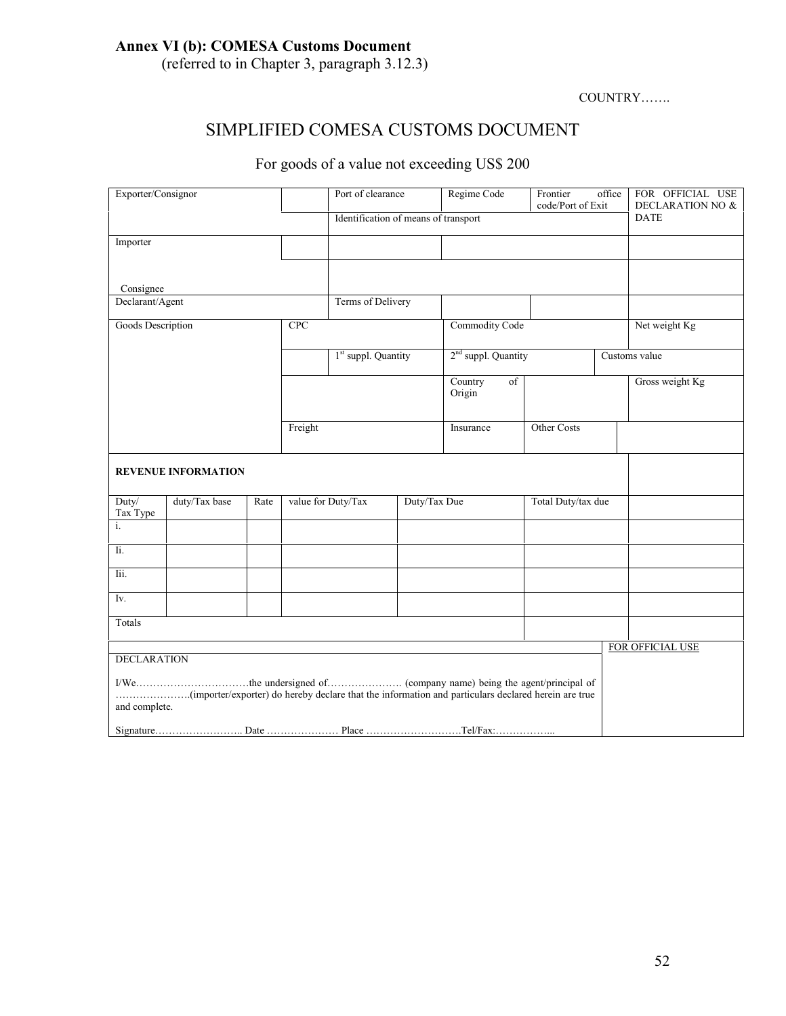# **Annex VI (b): COMESA Customs Document**

(referred to in Chapter 3, paragraph 3.12.3)

#### COUNTRY…….

# SIMPLIFIED COMESA CUSTOMS DOCUMENT

# For goods of a value not exceeding US\$ 200

| Exporter/Consignor |                            |      | Port of clearance |                                      | Regime Code           | Frontier<br>code/Port of Exit | office           | FOR OFFICIAL USE<br><b>DECLARATION NO &amp;</b> |                 |
|--------------------|----------------------------|------|-------------------|--------------------------------------|-----------------------|-------------------------------|------------------|-------------------------------------------------|-----------------|
|                    |                            |      |                   | Identification of means of transport |                       |                               |                  | <b>DATE</b>                                     |                 |
| Importer           |                            |      |                   |                                      |                       |                               |                  |                                                 |                 |
|                    |                            |      |                   |                                      |                       |                               |                  |                                                 |                 |
| Consignee          |                            |      |                   |                                      |                       |                               |                  |                                                 |                 |
|                    | Declarant/Agent            |      |                   | Terms of Delivery                    |                       |                               |                  |                                                 |                 |
|                    | Goods Description          |      | CPC               |                                      | <b>Commodity Code</b> |                               |                  | Net weight Kg                                   |                 |
|                    |                            |      |                   | 1 <sup>st</sup> suppl. Quantity      |                       | $2nd$ suppl. Quantity         |                  |                                                 | Customs value   |
|                    |                            |      |                   |                                      |                       | Country<br>of<br>Origin       |                  |                                                 | Gross weight Kg |
|                    |                            |      | Freight           |                                      |                       | Insurance                     | Other Costs      |                                                 |                 |
|                    | <b>REVENUE INFORMATION</b> |      |                   |                                      |                       |                               |                  |                                                 |                 |
| Duty/<br>Tax Type  | duty/Tax base              | Rate |                   | value for Duty/Tax<br>Duty/Tax Due   |                       | Total Duty/tax due            |                  |                                                 |                 |
| i.                 |                            |      |                   |                                      |                       |                               |                  |                                                 |                 |
| Ii.                |                            |      |                   |                                      |                       |                               |                  |                                                 |                 |
| Iii.               |                            |      |                   |                                      |                       |                               |                  |                                                 |                 |
| Iv.                |                            |      |                   |                                      |                       |                               |                  |                                                 |                 |
| Totals             |                            |      |                   |                                      |                       |                               |                  |                                                 |                 |
|                    |                            |      |                   |                                      |                       |                               | FOR OFFICIAL USE |                                                 |                 |
| <b>DECLARATION</b> |                            |      |                   |                                      |                       |                               |                  |                                                 |                 |
| and complete.      |                            |      |                   |                                      |                       |                               |                  |                                                 |                 |
|                    |                            |      |                   |                                      |                       |                               |                  |                                                 |                 |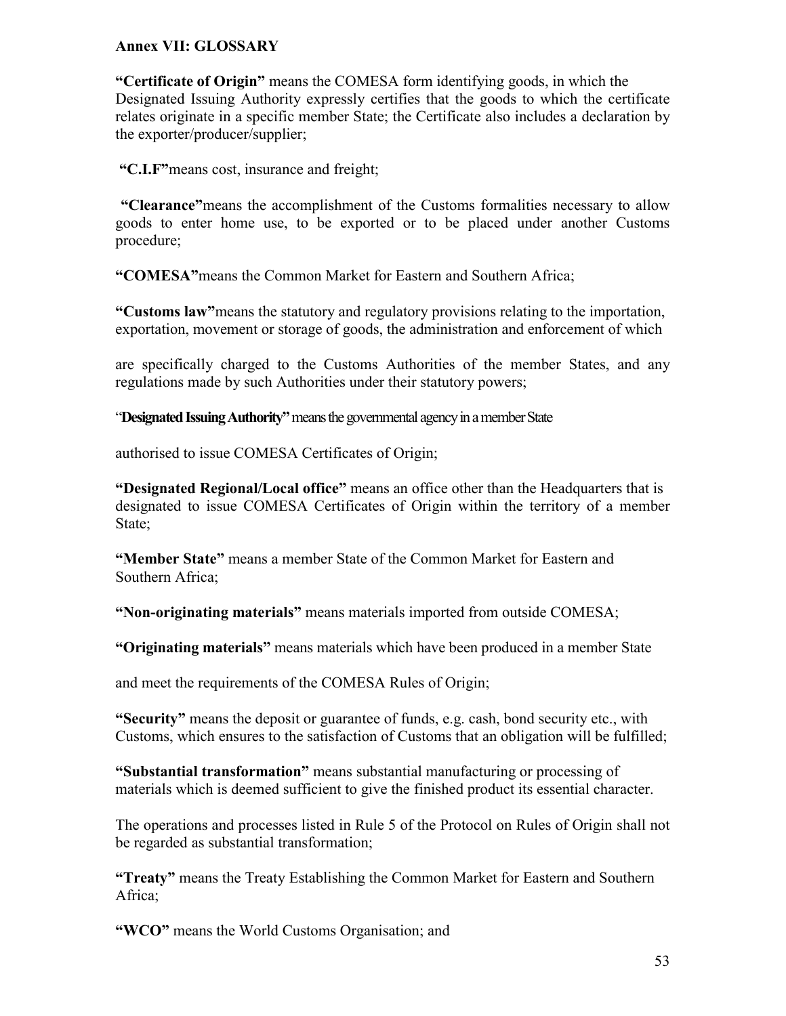#### **Annex VII: GLOSSARY**

**"Certificate of Origin"** means the COMESA form identifying goods, in which the Designated Issuing Authority expressly certifies that the goods to which the certificate relates originate in a specific member State; the Certificate also includes a declaration by the exporter/producer/supplier;

 **"C.I.F"**means cost, insurance and freight;

 **"Clearance"**means the accomplishment of the Customs formalities necessary to allow goods to enter home use, to be exported or to be placed under another Customs procedure;

**"COMESA"**means the Common Market for Eastern and Southern Africa;

**"Customs law"**means the statutory and regulatory provisions relating to the importation, exportation, movement or storage of goods, the administration and enforcement of which

are specifically charged to the Customs Authorities of the member States, and any regulations made by such Authorities under their statutory powers;

"**Designated Issuing Authority"** means the governmental agency in a member State

authorised to issue COMESA Certificates of Origin;

**"Designated Regional/Local office"** means an office other than the Headquarters that is designated to issue COMESA Certificates of Origin within the territory of a member State;

**"Member State"** means a member State of the Common Market for Eastern and Southern Africa;

**"Non-originating materials"** means materials imported from outside COMESA;

**"Originating materials"** means materials which have been produced in a member State

and meet the requirements of the COMESA Rules of Origin;

**"Security"** means the deposit or guarantee of funds, e.g. cash, bond security etc., with Customs, which ensures to the satisfaction of Customs that an obligation will be fulfilled;

**"Substantial transformation"** means substantial manufacturing or processing of materials which is deemed sufficient to give the finished product its essential character.

The operations and processes listed in Rule 5 of the Protocol on Rules of Origin shall not be regarded as substantial transformation;

**"Treaty"** means the Treaty Establishing the Common Market for Eastern and Southern Africa;

**"WCO"** means the World Customs Organisation; and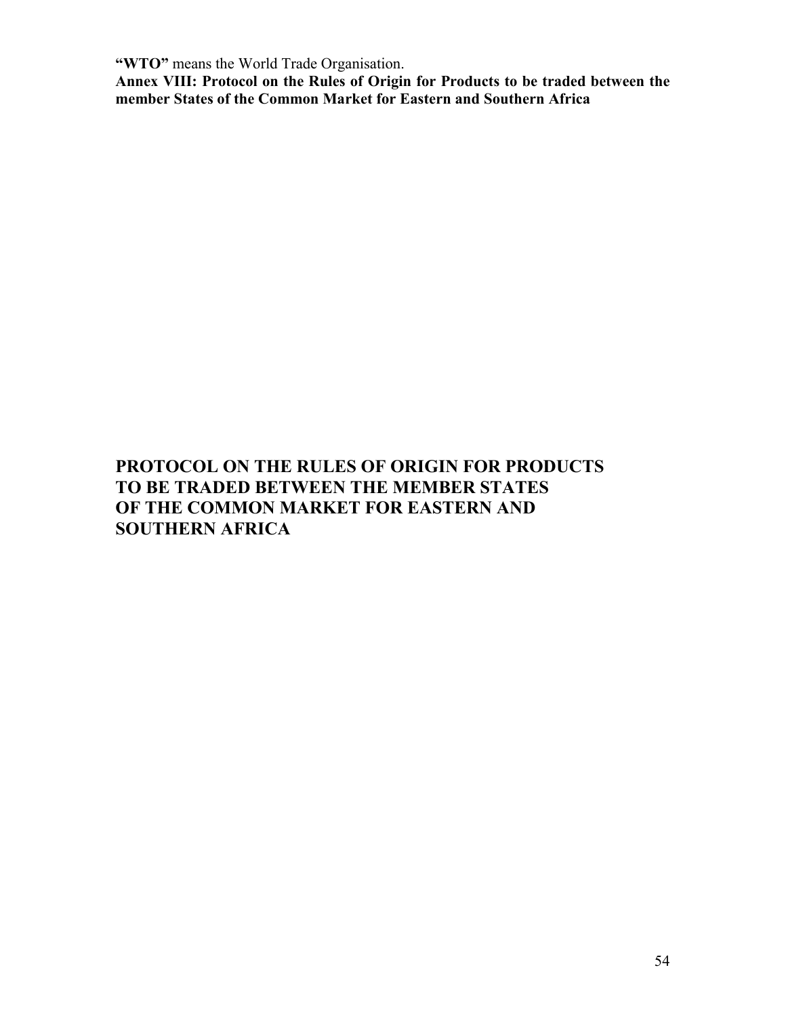**"WTO"** means the World Trade Organisation.

**Annex VIII: Protocol on the Rules of Origin for Products to be traded between the member States of the Common Market for Eastern and Southern Africa**

# **PROTOCOL ON THE RULES OF ORIGIN FOR PRODUCTS TO BE TRADED BETWEEN THE MEMBER STATES OF THE COMMON MARKET FOR EASTERN AND SOUTHERN AFRICA**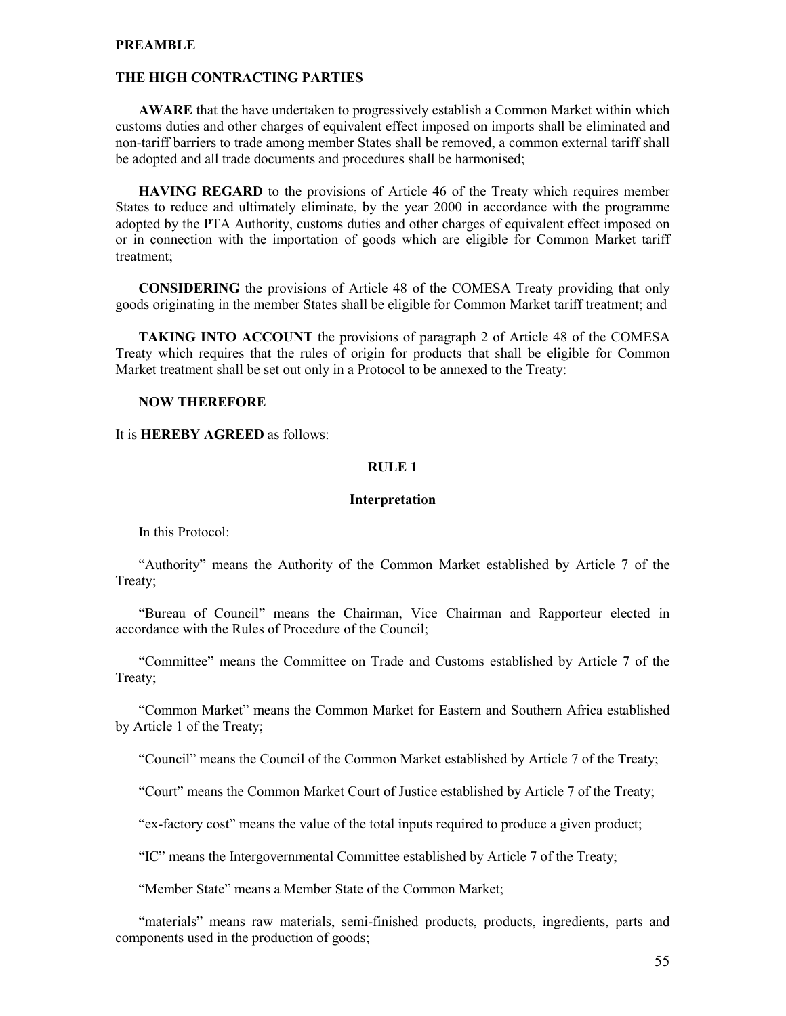#### **PREAMBLE**

#### **THE HIGH CONTRACTING PARTIES**

**AWARE** that the have undertaken to progressively establish a Common Market within which customs duties and other charges of equivalent effect imposed on imports shall be eliminated and non-tariff barriers to trade among member States shall be removed, a common external tariff shall be adopted and all trade documents and procedures shall be harmonised;

**HAVING REGARD** to the provisions of Article 46 of the Treaty which requires member States to reduce and ultimately eliminate, by the year 2000 in accordance with the programme adopted by the PTA Authority, customs duties and other charges of equivalent effect imposed on or in connection with the importation of goods which are eligible for Common Market tariff treatment;

**CONSIDERING** the provisions of Article 48 of the COMESA Treaty providing that only goods originating in the member States shall be eligible for Common Market tariff treatment; and

**TAKING INTO ACCOUNT** the provisions of paragraph 2 of Article 48 of the COMESA Treaty which requires that the rules of origin for products that shall be eligible for Common Market treatment shall be set out only in a Protocol to be annexed to the Treaty:

#### **NOW THEREFORE**

It is **HEREBY AGREED** as follows:

#### **RULE 1**

#### **Interpretation**

In this Protocol:

"Authority" means the Authority of the Common Market established by Article 7 of the Treaty;

"Bureau of Council" means the Chairman, Vice Chairman and Rapporteur elected in accordance with the Rules of Procedure of the Council;

"Committee" means the Committee on Trade and Customs established by Article 7 of the Treaty;

"Common Market" means the Common Market for Eastern and Southern Africa established by Article 1 of the Treaty;

"Council" means the Council of the Common Market established by Article 7 of the Treaty;

"Court" means the Common Market Court of Justice established by Article 7 of the Treaty;

"ex-factory cost" means the value of the total inputs required to produce a given product;

"IC" means the Intergovernmental Committee established by Article 7 of the Treaty;

"Member State" means a Member State of the Common Market;

"materials" means raw materials, semi-finished products, products, ingredients, parts and components used in the production of goods;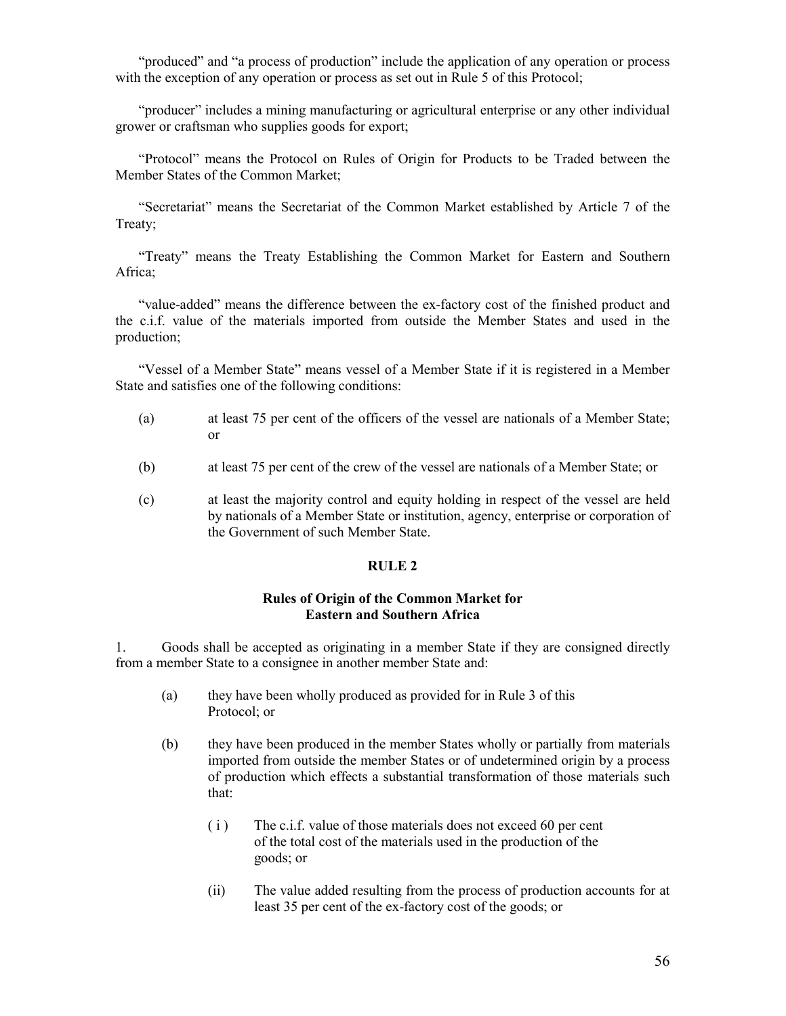"produced" and "a process of production" include the application of any operation or process with the exception of any operation or process as set out in Rule 5 of this Protocol;

"producer" includes a mining manufacturing or agricultural enterprise or any other individual grower or craftsman who supplies goods for export;

"Protocol" means the Protocol on Rules of Origin for Products to be Traded between the Member States of the Common Market;

"Secretariat" means the Secretariat of the Common Market established by Article 7 of the Treaty;

"Treaty" means the Treaty Establishing the Common Market for Eastern and Southern Africa;

"value-added" means the difference between the ex-factory cost of the finished product and the c.i.f. value of the materials imported from outside the Member States and used in the production;

"Vessel of a Member State" means vessel of a Member State if it is registered in a Member State and satisfies one of the following conditions:

- (a) at least 75 per cent of the officers of the vessel are nationals of a Member State; or
- (b) at least 75 per cent of the crew of the vessel are nationals of a Member State; or
- (c) at least the majority control and equity holding in respect of the vessel are held by nationals of a Member State or institution, agency, enterprise or corporation of the Government of such Member State.

#### **RULE 2**

#### **Rules of Origin of the Common Market for Eastern and Southern Africa**

1. Goods shall be accepted as originating in a member State if they are consigned directly from a member State to a consignee in another member State and:

- (a) they have been wholly produced as provided for in Rule 3 of this Protocol; or
- (b) they have been produced in the member States wholly or partially from materials imported from outside the member States or of undetermined origin by a process of production which effects a substantial transformation of those materials such that:
	- ( i ) The c.i.f. value of those materials does not exceed 60 per cent of the total cost of the materials used in the production of the goods; or
	- (ii) The value added resulting from the process of production accounts for at least 35 per cent of the ex-factory cost of the goods; or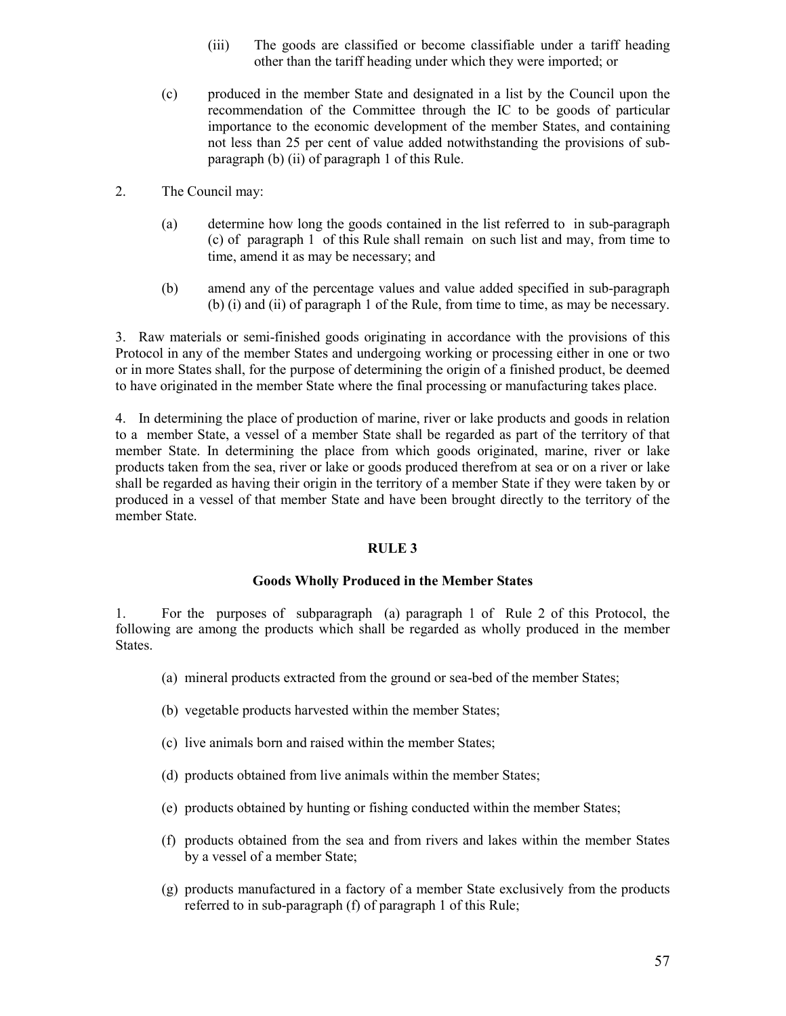- (iii) The goods are classified or become classifiable under a tariff heading other than the tariff heading under which they were imported; or
- (c) produced in the member State and designated in a list by the Council upon the recommendation of the Committee through the IC to be goods of particular importance to the economic development of the member States, and containing not less than 25 per cent of value added notwithstanding the provisions of subparagraph (b) (ii) of paragraph 1 of this Rule.
- 2. The Council may:
	- (a) determine how long the goods contained in the list referred to in sub-paragraph (c) of paragraph 1 of this Rule shall remain on such list and may, from time to time, amend it as may be necessary; and
	- (b) amend any of the percentage values and value added specified in sub-paragraph (b) (i) and (ii) of paragraph 1 of the Rule, from time to time, as may be necessary.

3. Raw materials or semi-finished goods originating in accordance with the provisions of this Protocol in any of the member States and undergoing working or processing either in one or two or in more States shall, for the purpose of determining the origin of a finished product, be deemed to have originated in the member State where the final processing or manufacturing takes place.

4. In determining the place of production of marine, river or lake products and goods in relation to a member State, a vessel of a member State shall be regarded as part of the territory of that member State. In determining the place from which goods originated, marine, river or lake products taken from the sea, river or lake or goods produced therefrom at sea or on a river or lake shall be regarded as having their origin in the territory of a member State if they were taken by or produced in a vessel of that member State and have been brought directly to the territory of the member State.

#### **RULE 3**

#### **Goods Wholly Produced in the Member States**

1. For the purposes of subparagraph (a) paragraph 1 of Rule 2 of this Protocol, the following are among the products which shall be regarded as wholly produced in the member States.

- (a) mineral products extracted from the ground or sea-bed of the member States;
- (b) vegetable products harvested within the member States;
- (c) live animals born and raised within the member States;
- (d) products obtained from live animals within the member States;
- (e) products obtained by hunting or fishing conducted within the member States;
- (f) products obtained from the sea and from rivers and lakes within the member States by a vessel of a member State;
- (g) products manufactured in a factory of a member State exclusively from the products referred to in sub-paragraph (f) of paragraph 1 of this Rule;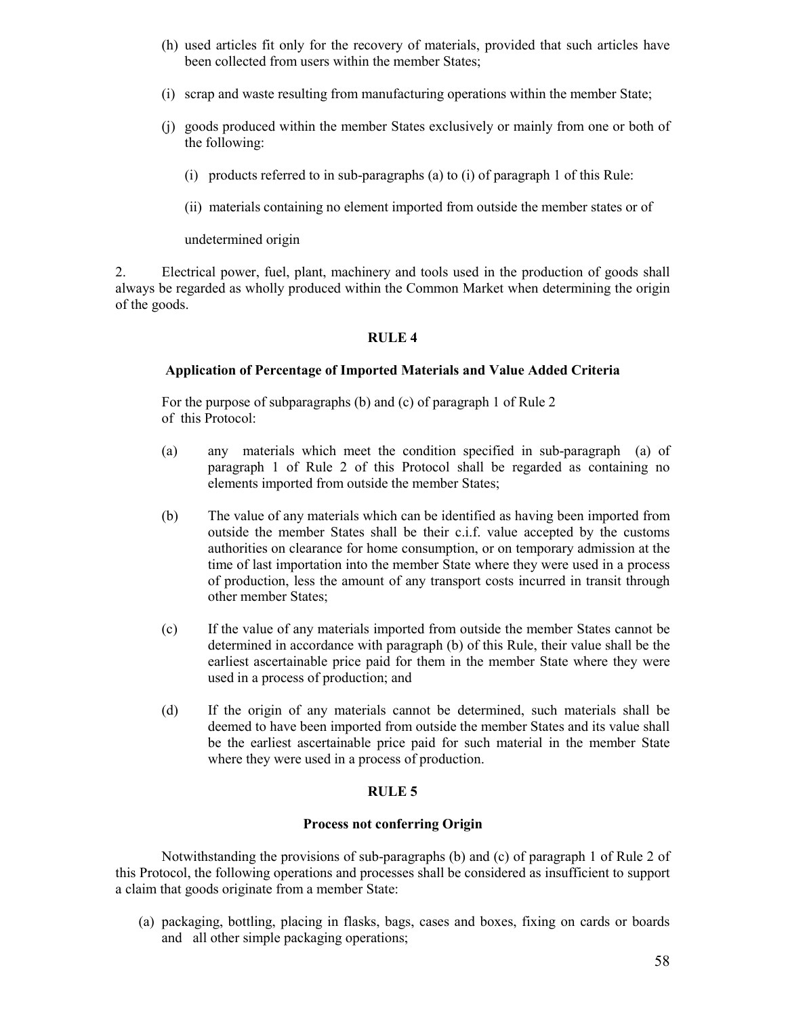- (h) used articles fit only for the recovery of materials, provided that such articles have been collected from users within the member States;
- (i) scrap and waste resulting from manufacturing operations within the member State;
- (j) goods produced within the member States exclusively or mainly from one or both of the following:
	- (i) products referred to in sub-paragraphs (a) to (i) of paragraph 1 of this Rule:
	- (ii) materials containing no element imported from outside the member states or of

undetermined origin

2. Electrical power, fuel, plant, machinery and tools used in the production of goods shall always be regarded as wholly produced within the Common Market when determining the origin of the goods.

#### **RULE 4**

#### **Application of Percentage of Imported Materials and Value Added Criteria**

For the purpose of subparagraphs (b) and (c) of paragraph 1 of Rule 2 of this Protocol:

- (a) any materials which meet the condition specified in sub-paragraph (a) of paragraph 1 of Rule 2 of this Protocol shall be regarded as containing no elements imported from outside the member States;
- (b) The value of any materials which can be identified as having been imported from outside the member States shall be their c.i.f. value accepted by the customs authorities on clearance for home consumption, or on temporary admission at the time of last importation into the member State where they were used in a process of production, less the amount of any transport costs incurred in transit through other member States;
- (c) If the value of any materials imported from outside the member States cannot be determined in accordance with paragraph (b) of this Rule, their value shall be the earliest ascertainable price paid for them in the member State where they were used in a process of production; and
- (d) If the origin of any materials cannot be determined, such materials shall be deemed to have been imported from outside the member States and its value shall be the earliest ascertainable price paid for such material in the member State where they were used in a process of production.

#### **RULE 5**

#### **Process not conferring Origin**

Notwithstanding the provisions of sub-paragraphs (b) and (c) of paragraph 1 of Rule 2 of this Protocol, the following operations and processes shall be considered as insufficient to support a claim that goods originate from a member State:

(a) packaging, bottling, placing in flasks, bags, cases and boxes, fixing on cards or boards and all other simple packaging operations;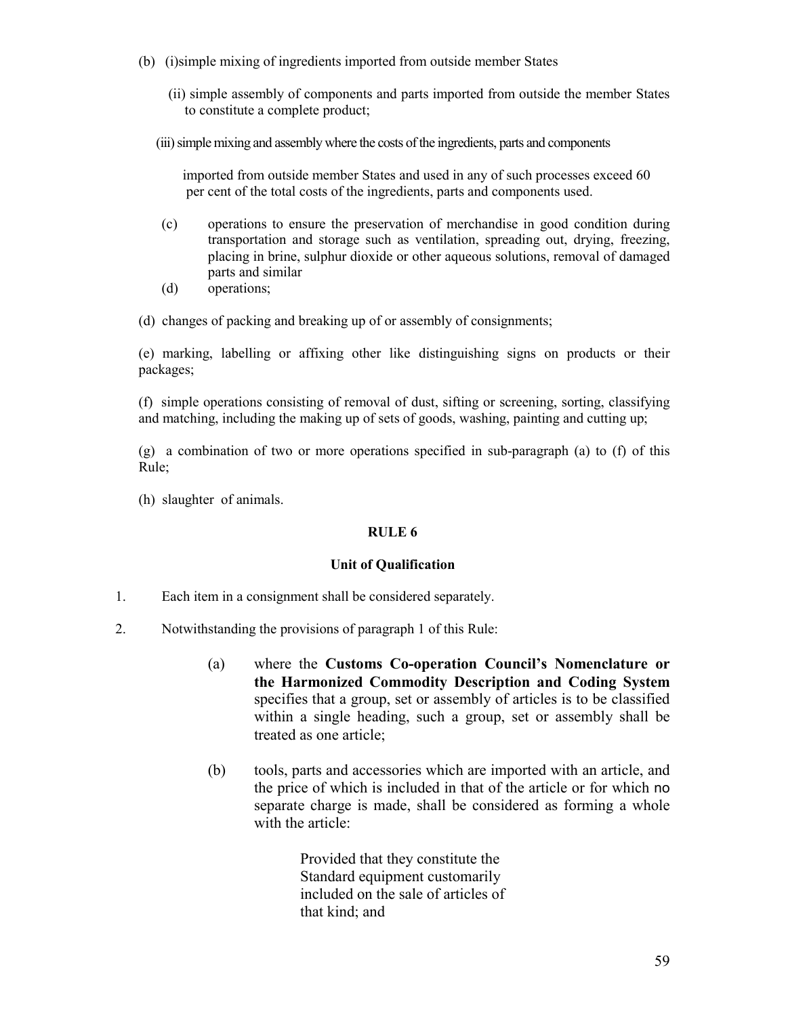- (b) (i)simple mixing of ingredients imported from outside member States
	- (ii) simple assembly of components and parts imported from outside the member States to constitute a complete product;
	- (iii) simple mixing and assembly where the costs of the ingredients, parts and components

 imported from outside member States and used in any of such processes exceed 60 per cent of the total costs of the ingredients, parts and components used.

- (c) operations to ensure the preservation of merchandise in good condition during transportation and storage such as ventilation, spreading out, drying, freezing, placing in brine, sulphur dioxide or other aqueous solutions, removal of damaged parts and similar
- (d) operations;
- (d) changes of packing and breaking up of or assembly of consignments;

(e) marking, labelling or affixing other like distinguishing signs on products or their packages;

(f) simple operations consisting of removal of dust, sifting or screening, sorting, classifying and matching, including the making up of sets of goods, washing, painting and cutting up;

(g) a combination of two or more operations specified in sub-paragraph (a) to (f) of this Rule;

(h) slaughter of animals.

#### **RULE 6**

#### **Unit of Qualification**

- 1. Each item in a consignment shall be considered separately.
- 2. Notwithstanding the provisions of paragraph 1 of this Rule:
	- (a) where the **Customs Co-operation Council's Nomenclature or the Harmonized Commodity Description and Coding System** specifies that a group, set or assembly of articles is to be classified within a single heading, such a group, set or assembly shall be treated as one article;
	- (b) tools, parts and accessories which are imported with an article, and the price of which is included in that of the article or for which no separate charge is made, shall be considered as forming a whole with the article<sup>.</sup>

Provided that they constitute the Standard equipment customarily included on the sale of articles of that kind; and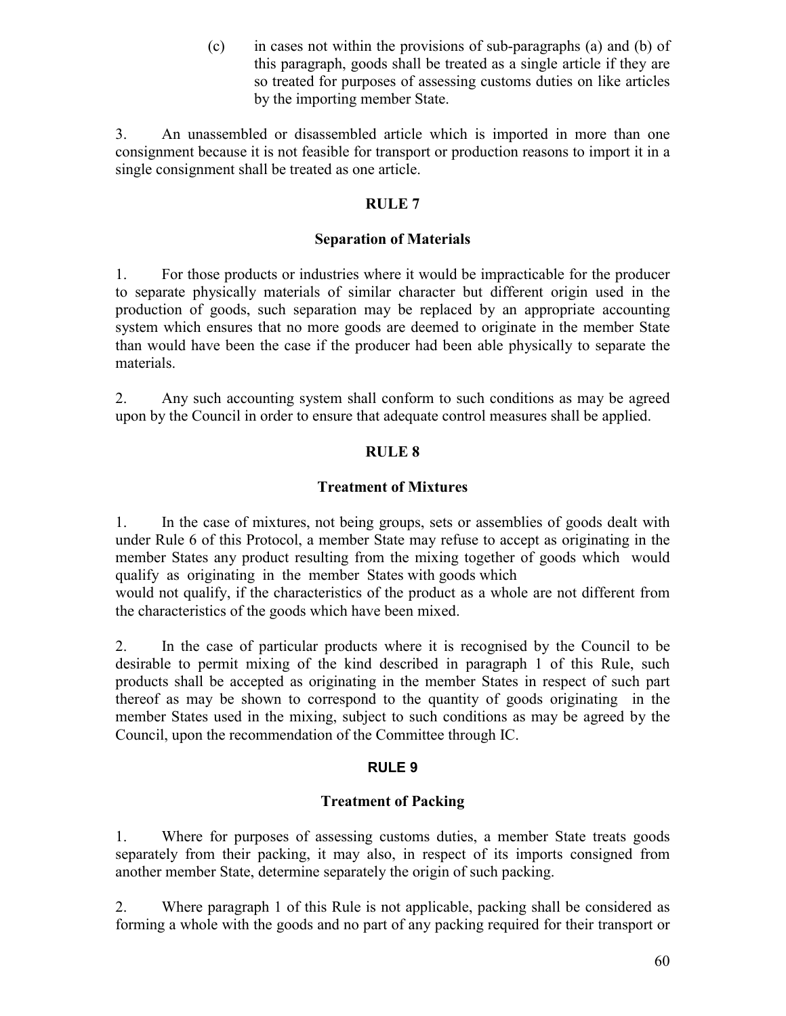(c) in cases not within the provisions of sub-paragraphs (a) and (b) of this paragraph, goods shall be treated as a single article if they are so treated for purposes of assessing customs duties on like articles by the importing member State.

3. An unassembled or disassembled article which is imported in more than one consignment because it is not feasible for transport or production reasons to import it in a single consignment shall be treated as one article.

#### **RULE 7**

#### **Separation of Materials**

1. For those products or industries where it would be impracticable for the producer to separate physically materials of similar character but different origin used in the production of goods, such separation may be replaced by an appropriate accounting system which ensures that no more goods are deemed to originate in the member State than would have been the case if the producer had been able physically to separate the materials.

2. Any such accounting system shall conform to such conditions as may be agreed upon by the Council in order to ensure that adequate control measures shall be applied.

### **RULE 8**

#### **Treatment of Mixtures**

1. In the case of mixtures, not being groups, sets or assemblies of goods dealt with under Rule 6 of this Protocol, a member State may refuse to accept as originating in the member States any product resulting from the mixing together of goods which would qualify as originating in the member States with goods which

would not qualify, if the characteristics of the product as a whole are not different from the characteristics of the goods which have been mixed.

2. In the case of particular products where it is recognised by the Council to be desirable to permit mixing of the kind described in paragraph 1 of this Rule, such products shall be accepted as originating in the member States in respect of such part thereof as may be shown to correspond to the quantity of goods originating in the member States used in the mixing, subject to such conditions as may be agreed by the Council, upon the recommendation of the Committee through IC.

#### **RULE 9**

#### **Treatment of Packing**

1. Where for purposes of assessing customs duties, a member State treats goods separately from their packing, it may also, in respect of its imports consigned from another member State, determine separately the origin of such packing.

2. Where paragraph 1 of this Rule is not applicable, packing shall be considered as forming a whole with the goods and no part of any packing required for their transport or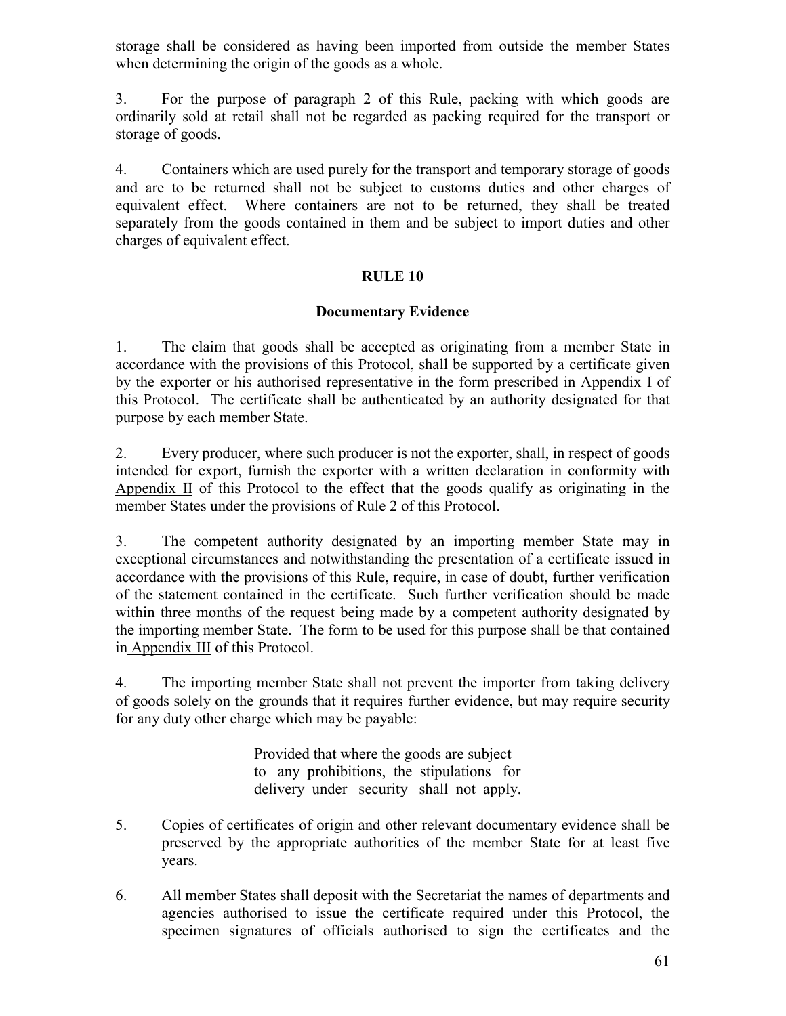storage shall be considered as having been imported from outside the member States when determining the origin of the goods as a whole.

3. For the purpose of paragraph 2 of this Rule, packing with which goods are ordinarily sold at retail shall not be regarded as packing required for the transport or storage of goods.

4. Containers which are used purely for the transport and temporary storage of goods and are to be returned shall not be subject to customs duties and other charges of equivalent effect. Where containers are not to be returned, they shall be treated separately from the goods contained in them and be subject to import duties and other charges of equivalent effect.

#### **RULE 10**

#### **Documentary Evidence**

1. The claim that goods shall be accepted as originating from a member State in accordance with the provisions of this Protocol, shall be supported by a certificate given by the exporter or his authorised representative in the form prescribed in Appendix I of this Protocol. The certificate shall be authenticated by an authority designated for that purpose by each member State.

2. Every producer, where such producer is not the exporter, shall, in respect of goods intended for export, furnish the exporter with a written declaration in conformity with Appendix II of this Protocol to the effect that the goods qualify as originating in the member States under the provisions of Rule 2 of this Protocol.

3. The competent authority designated by an importing member State may in exceptional circumstances and notwithstanding the presentation of a certificate issued in accordance with the provisions of this Rule, require, in case of doubt, further verification of the statement contained in the certificate. Such further verification should be made within three months of the request being made by a competent authority designated by the importing member State. The form to be used for this purpose shall be that contained in Appendix III of this Protocol.

4. The importing member State shall not prevent the importer from taking delivery of goods solely on the grounds that it requires further evidence, but may require security for any duty other charge which may be payable:

> Provided that where the goods are subject to any prohibitions, the stipulations for delivery under security shall not apply.

- 5. Copies of certificates of origin and other relevant documentary evidence shall be preserved by the appropriate authorities of the member State for at least five years.
- 6. All member States shall deposit with the Secretariat the names of departments and agencies authorised to issue the certificate required under this Protocol, the specimen signatures of officials authorised to sign the certificates and the